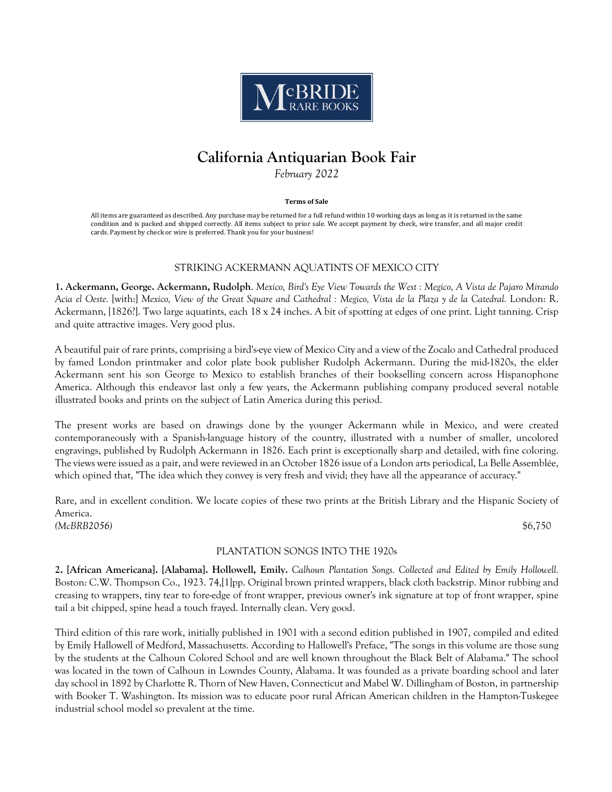

# **California Antiquarian Book Fair**

*February 2022*

#### **Terms of Sale**

All items are guaranteed as described. Any purchase may be returned for a full refund within 10 working days as long as it is returned in the same condition and is packed and shipped correctly. All items subject to prior sale. We accept payment by check, wire transfer, and all major credit cards. Payment by check or wire is preferred. Thank you for your business!

# STRIKING ACKERMANN AQUATINTS OF MEXICO CITY

**1. Ackermann, George. Ackermann, Rudolph**. *Mexico, Bird's Eye View Towards the West : Megico, A Vista de Pajaro Mirando Acia el Oeste.* [with:] *Mexico, View of the Great Square and Cathedral : Megico, Vista de la Plaza y de la Catedral.* London: R. Ackermann, [1826?]. Two large aquatints, each 18 x 24 inches. A bit of spotting at edges of one print. Light tanning. Crisp and quite attractive images. Very good plus.

A beautiful pair of rare prints, comprising a bird's-eye view of Mexico City and a view of the Zocalo and Cathedral produced by famed London printmaker and color plate book publisher Rudolph Ackermann. During the mid-1820s, the elder Ackermann sent his son George to Mexico to establish branches of their bookselling concern across Hispanophone America. Although this endeavor last only a few years, the Ackermann publishing company produced several notable illustrated books and prints on the subject of Latin America during this period.

The present works are based on drawings done by the younger Ackermann while in Mexico, and were created contemporaneously with a Spanish-language history of the country, illustrated with a number of smaller, uncolored engravings, published by Rudolph Ackermann in 1826. Each print is exceptionally sharp and detailed, with fine coloring. The views were issued as a pair, and were reviewed in an October 1826 issue of a London arts periodical, La Belle Assemblée, which opined that, "The idea which they convey is very fresh and vivid; they have all the appearance of accuracy."

Rare, and in excellent condition. We locate copies of these two prints at the British Library and the Hispanic Society of America. *(McBRB2056)* \$6,750

### PLANTATION SONGS INTO THE 1920s

**2. [African Americana]. [Alabama]. Hollowell, Emily.** *Calhoun Plantation Songs. Collected and Edited by Emily Hollowell.* Boston: C.W. Thompson Co., 1923. 74,[1]pp. Original brown printed wrappers, black cloth backstrip. Minor rubbing and creasing to wrappers, tiny tear to fore-edge of front wrapper, previous owner's ink signature at top of front wrapper, spine tail a bit chipped, spine head a touch frayed. Internally clean. Very good.

Third edition of this rare work, initially published in 1901 with a second edition published in 1907, compiled and edited by Emily Hallowell of Medford, Massachusetts. According to Hallowell's Preface, "The songs in this volume are those sung by the students at the Calhoun Colored School and are well known throughout the Black Belt of Alabama." The school was located in the town of Calhoun in Lowndes County, Alabama. It was founded as a private boarding school and later day school in 1892 by Charlotte R. Thorn of New Haven, Connecticut and Mabel W. Dillingham of Boston, in partnership with Booker T. Washington. Its mission was to educate poor rural African American children in the Hampton-Tuskegee industrial school model so prevalent at the time.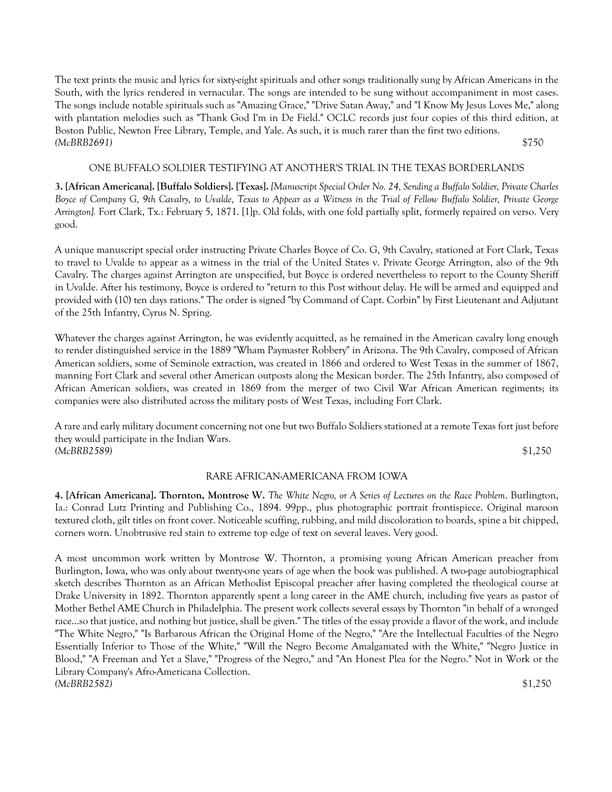The text prints the music and lyrics for sixty-eight spirituals and other songs traditionally sung by African Americans in the South, with the lyrics rendered in vernacular. The songs are intended to be sung without accompaniment in most cases. The songs include notable spirituals such as "Amazing Grace," "Drive Satan Away," and "I Know My Jesus Loves Me," along with plantation melodies such as "Thank God I'm in De Field." OCLC records just four copies of this third edition, at Boston Public, Newton Free Library, Temple, and Yale. As such, it is much rarer than the first two editions. *(McBRB2691)* \$750

# ONE BUFFALO SOLDIER TESTIFYING AT ANOTHER'S TRIAL IN THE TEXAS BORDERLANDS

**3. [African Americana]. [Buffalo Soldiers]. [Texas].** *[Manuscript Special Order No. 24, Sending a Buffalo Soldier, Private Charles Boyce of Company G, 9th Cavalry, to Uvalde, Texas to Appear as a Witness in the Trial of Fellow Buffalo Soldier, Private George Arrington].* Fort Clark, Tx.: February 5, 1871. [1]p. Old folds, with one fold partially split, formerly repaired on verso. Very good.

A unique manuscript special order instructing Private Charles Boyce of Co. G, 9th Cavalry, stationed at Fort Clark, Texas to travel to Uvalde to appear as a witness in the trial of the United States v. Private George Arrington, also of the 9th Cavalry. The charges against Arrington are unspecified, but Boyce is ordered nevertheless to report to the County Sheriff in Uvalde. After his testimony, Boyce is ordered to "return to this Post without delay. He will be armed and equipped and provided with (10) ten days rations." The order is signed "by Command of Capt. Corbin" by First Lieutenant and Adjutant of the 25th Infantry, Cyrus N. Spring.

Whatever the charges against Arrington, he was evidently acquitted, as he remained in the American cavalry long enough to render distinguished service in the 1889 "Wham Paymaster Robbery" in Arizona. The 9th Cavalry, composed of African American soldiers, some of Seminole extraction, was created in 1866 and ordered to West Texas in the summer of 1867, manning Fort Clark and several other American outposts along the Mexican border. The 25th Infantry, also composed of African American soldiers, was created in 1869 from the merger of two Civil War African American regiments; its companies were also distributed across the military posts of West Texas, including Fort Clark.

A rare and early military document concerning not one but two Buffalo Soldiers stationed at a remote Texas fort just before they would participate in the Indian Wars. *(McBRB2589)* \$1,250

### RARE AFRICAN-AMERICANA FROM IOWA

**4. [African Americana]. Thornton, Montrose W.** *The White Negro, or A Series of Lectures on the Race Problem*. Burlington, Ia.: Conrad Lutz Printing and Publishing Co., 1894. 99pp., plus photographic portrait frontispiece. Original maroon textured cloth, gilt titles on front cover. Noticeable scuffing, rubbing, and mild discoloration to boards, spine a bit chipped, corners worn. Unobtrusive red stain to extreme top edge of text on several leaves. Very good.

A most uncommon work written by Montrose W. Thornton, a promising young African American preacher from Burlington, Iowa, who was only about twenty-one years of age when the book was published. A two-page autobiographical sketch describes Thornton as an African Methodist Episcopal preacher after having completed the theological course at Drake University in 1892. Thornton apparently spent a long career in the AME church, including five years as pastor of Mother Bethel AME Church in Philadelphia. The present work collects several essays by Thornton "in behalf of a wronged race...so that justice, and nothing but justice, shall be given." The titles of the essay provide a flavor of the work, and include "The White Negro," "Is Barbarous African the Original Home of the Negro," "Are the Intellectual Faculties of the Negro Essentially Inferior to Those of the White," "Will the Negro Become Amalgamated with the White," "Negro Justice in Blood," "A Freeman and Yet a Slave," "Progress of the Negro," and "An Honest Plea for the Negro." Not in Work or the Library Company's Afro-Americana Collection. *(McBRB2582)* \$1,250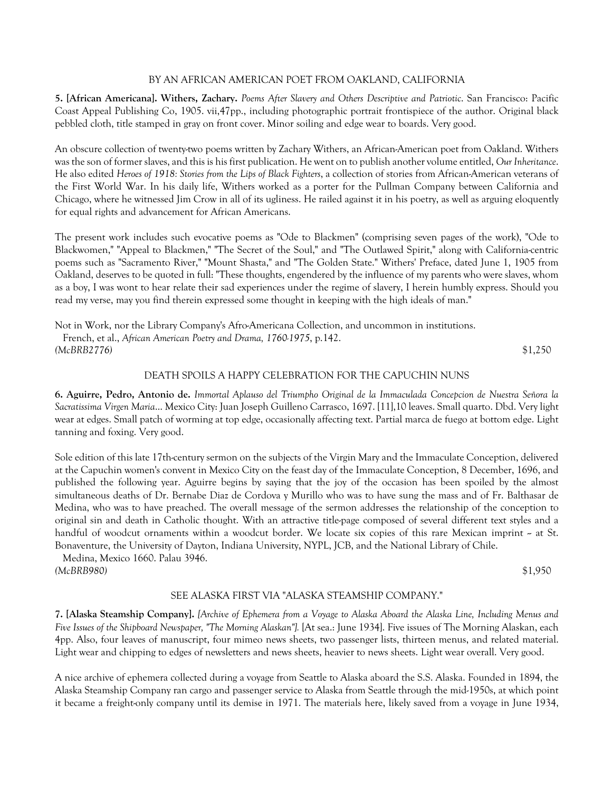### BY AN AFRICAN AMERICAN POET FROM OAKLAND, CALIFORNIA

**5. [African Americana]. Withers, Zachary.** *Poems After Slavery and Others Descriptive and Patriotic*. San Francisco: Pacific Coast Appeal Publishing Co, 1905. vii,47pp., including photographic portrait frontispiece of the author. Original black pebbled cloth, title stamped in gray on front cover. Minor soiling and edge wear to boards. Very good.

An obscure collection of twenty-two poems written by Zachary Withers, an African-American poet from Oakland. Withers was the son of former slaves, and this is his first publication. He went on to publish another volume entitled, *Our Inheritance*. He also edited *Heroes of 1918: Stories from the Lips of Black Fighters*, a collection of stories from African-American veterans of the First World War. In his daily life, Withers worked as a porter for the Pullman Company between California and Chicago, where he witnessed Jim Crow in all of its ugliness. He railed against it in his poetry, as well as arguing eloquently for equal rights and advancement for African Americans.

The present work includes such evocative poems as "Ode to Blackmen" (comprising seven pages of the work), "Ode to Blackwomen," "Appeal to Blackmen," "The Secret of the Soul," and "The Outlawed Spirit," along with California-centric poems such as "Sacramento River," "Mount Shasta," and "The Golden State." Withers' Preface, dated June 1, 1905 from Oakland, deserves to be quoted in full: "These thoughts, engendered by the influence of my parents who were slaves, whom as a boy, I was wont to hear relate their sad experiences under the regime of slavery, I herein humbly express. Should you read my verse, may you find therein expressed some thought in keeping with the high ideals of man."

Not in Work, nor the Library Company's Afro-Americana Collection, and uncommon in institutions. French, et al., *African American Poetry and Drama, 1760-1975*, p.142. *(McBRB2776)* \$1,250

#### DEATH SPOILS A HAPPY CELEBRATION FOR THE CAPUCHIN NUNS

**6. Aguirre, Pedro, Antonio de.** *Immortal Aplauso del Triumpho Original de la Immaculada Concepcion de Nuestra Señora la Sacratissima Virgen Maria*... Mexico City: Juan Joseph Guilleno Carrasco, 1697. [11],10 leaves. Small quarto. Dbd. Very light wear at edges. Small patch of worming at top edge, occasionally affecting text. Partial marca de fuego at bottom edge. Light tanning and foxing. Very good.

Sole edition of this late 17th-century sermon on the subjects of the Virgin Mary and the Immaculate Conception, delivered at the Capuchin women's convent in Mexico City on the feast day of the Immaculate Conception, 8 December, 1696, and published the following year. Aguirre begins by saying that the joy of the occasion has been spoiled by the almost simultaneous deaths of Dr. Bernabe Diaz de Cordova y Murillo who was to have sung the mass and of Fr. Balthasar de Medina, who was to have preached. The overall message of the sermon addresses the relationship of the conception to original sin and death in Catholic thought. With an attractive title-page composed of several different text styles and a handful of woodcut ornaments within a woodcut border. We locate six copies of this rare Mexican imprint - at St. Bonaventure, the University of Dayton, Indiana University, NYPL, JCB, and the National Library of Chile.

 Medina, Mexico 1660. Palau 3946. *(McBRB980)* \$1,950

# SEE ALASKA FIRST VIA "ALASKA STEAMSHIP COMPANY."

**7. [Alaska Steamship Company].** *[Archive of Ephemera from a Voyage to Alaska Aboard the Alaska Line, Including Menus and Five Issues of the Shipboard Newspaper, "The Morning Alaskan"].* [At sea.: June 1934]. Five issues of The Morning Alaskan, each 4pp. Also, four leaves of manuscript, four mimeo news sheets, two passenger lists, thirteen menus, and related material. Light wear and chipping to edges of newsletters and news sheets, heavier to news sheets. Light wear overall. Very good.

A nice archive of ephemera collected during a voyage from Seattle to Alaska aboard the S.S. Alaska. Founded in 1894, the Alaska Steamship Company ran cargo and passenger service to Alaska from Seattle through the mid-1950s, at which point it became a freight-only company until its demise in 1971. The materials here, likely saved from a voyage in June 1934,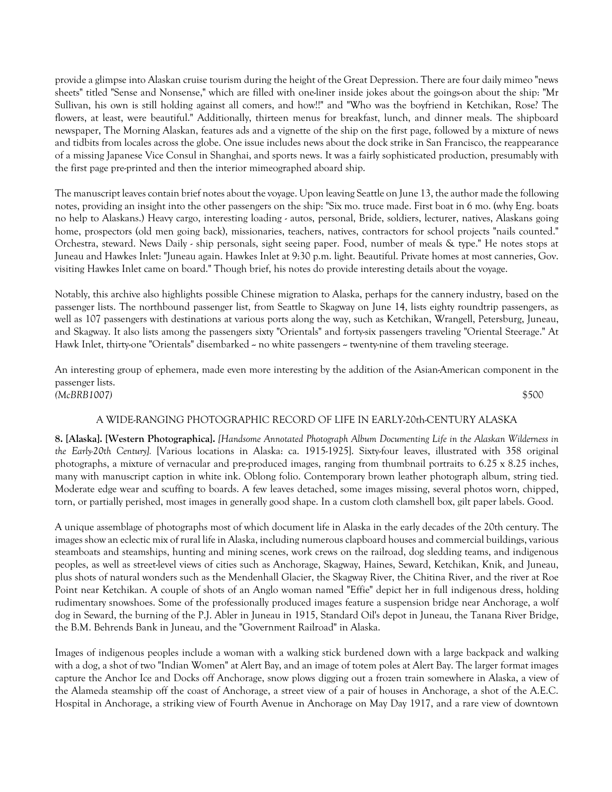provide a glimpse into Alaskan cruise tourism during the height of the Great Depression. There are four daily mimeo "news sheets" titled "Sense and Nonsense," which are filled with one-liner inside jokes about the goings-on about the ship: "Mr Sullivan, his own is still holding against all comers, and how!!" and "Who was the boyfriend in Ketchikan, Rose? The flowers, at least, were beautiful." Additionally, thirteen menus for breakfast, lunch, and dinner meals. The shipboard newspaper, The Morning Alaskan, features ads and a vignette of the ship on the first page, followed by a mixture of news and tidbits from locales across the globe. One issue includes news about the dock strike in San Francisco, the reappearance of a missing Japanese Vice Consul in Shanghai, and sports news. It was a fairly sophisticated production, presumably with the first page pre-printed and then the interior mimeographed aboard ship.

The manuscript leaves contain brief notes about the voyage. Upon leaving Seattle on June 13, the author made the following notes, providing an insight into the other passengers on the ship: "Six mo. truce made. First boat in 6 mo. (why Eng. boats no help to Alaskans.) Heavy cargo, interesting loading - autos, personal, Bride, soldiers, lecturer, natives, Alaskans going home, prospectors (old men going back), missionaries, teachers, natives, contractors for school projects "nails counted." Orchestra, steward. News Daily - ship personals, sight seeing paper. Food, number of meals & type." He notes stops at Juneau and Hawkes Inlet: "Juneau again. Hawkes Inlet at 9:30 p.m. light. Beautiful. Private homes at most canneries, Gov. visiting Hawkes Inlet came on board." Though brief, his notes do provide interesting details about the voyage.

Notably, this archive also highlights possible Chinese migration to Alaska, perhaps for the cannery industry, based on the passenger lists. The northbound passenger list, from Seattle to Skagway on June 14, lists eighty roundtrip passengers, as well as 107 passengers with destinations at various ports along the way, such as Ketchikan, Wrangell, Petersburg, Juneau, and Skagway. It also lists among the passengers sixty "Orientals" and forty-six passengers traveling "Oriental Steerage." At Hawk Inlet, thirty-one "Orientals" disembarked  $\sim$  no white passengers  $\sim$  twenty-nine of them traveling steerage.

An interesting group of ephemera, made even more interesting by the addition of the Asian-American component in the passenger lists. *(McBRB1007)* \$500

### A WIDE-RANGING PHOTOGRAPHIC RECORD OF LIFE IN EARLY-20th-CENTURY ALASKA

**8. [Alaska]. [Western Photographica].** *[Handsome Annotated Photograph Album Documenting Life in the Alaskan Wilderness in the Early-20th Century].* [Various locations in Alaska: ca. 1915-1925]. Sixty-four leaves, illustrated with 358 original photographs, a mixture of vernacular and pre-produced images, ranging from thumbnail portraits to 6.25 x 8.25 inches, many with manuscript caption in white ink. Oblong folio. Contemporary brown leather photograph album, string tied. Moderate edge wear and scuffing to boards. A few leaves detached, some images missing, several photos worn, chipped, torn, or partially perished, most images in generally good shape. In a custom cloth clamshell box, gilt paper labels. Good.

A unique assemblage of photographs most of which document life in Alaska in the early decades of the 20th century. The images show an eclectic mix of rural life in Alaska, including numerous clapboard houses and commercial buildings, various steamboats and steamships, hunting and mining scenes, work crews on the railroad, dog sledding teams, and indigenous peoples, as well as street-level views of cities such as Anchorage, Skagway, Haines, Seward, Ketchikan, Knik, and Juneau, plus shots of natural wonders such as the Mendenhall Glacier, the Skagway River, the Chitina River, and the river at Roe Point near Ketchikan. A couple of shots of an Anglo woman named "Effie" depict her in full indigenous dress, holding rudimentary snowshoes. Some of the professionally produced images feature a suspension bridge near Anchorage, a wolf dog in Seward, the burning of the P.J. Abler in Juneau in 1915, Standard Oil's depot in Juneau, the Tanana River Bridge, the B.M. Behrends Bank in Juneau, and the "Government Railroad" in Alaska.

Images of indigenous peoples include a woman with a walking stick burdened down with a large backpack and walking with a dog, a shot of two "Indian Women" at Alert Bay, and an image of totem poles at Alert Bay. The larger format images capture the Anchor Ice and Docks off Anchorage, snow plows digging out a frozen train somewhere in Alaska, a view of the Alameda steamship off the coast of Anchorage, a street view of a pair of houses in Anchorage, a shot of the A.E.C. Hospital in Anchorage, a striking view of Fourth Avenue in Anchorage on May Day 1917, and a rare view of downtown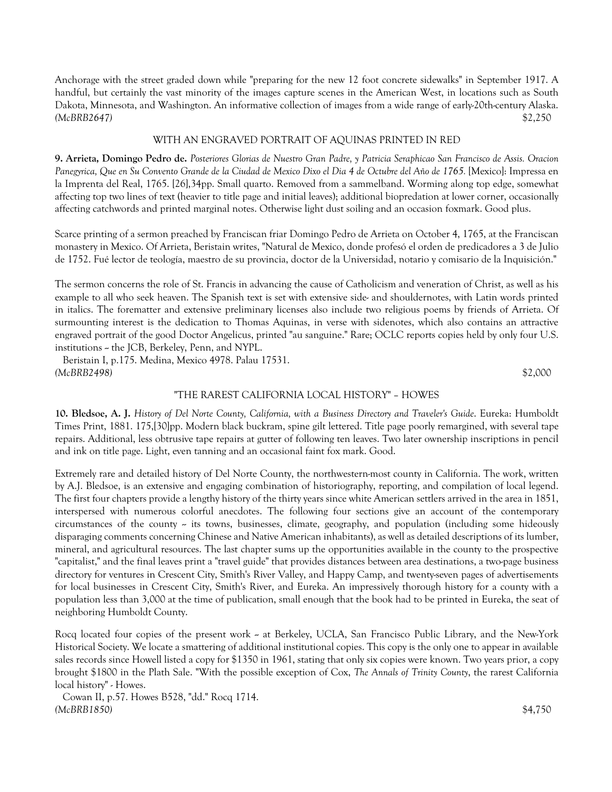Anchorage with the street graded down while "preparing for the new 12 foot concrete sidewalks" in September 1917. A handful, but certainly the vast minority of the images capture scenes in the American West, in locations such as South Dakota, Minnesota, and Washington. An informative collection of images from a wide range of early-20th-century Alaska. *(McBRB2647)* \$2,250

# WITH AN ENGRAVED PORTRAIT OF AQUINAS PRINTED IN RED

**9. Arrieta, Domingo Pedro de.** *Posteriores Glorias de Nuestro Gran Padre, y Patricia Seraphicao San Francisco de Assis. Oracion Panegyrica, Que en Su Convento Grande de la Ciudad de Mexico Dixo el Dia 4 de Octubre del Año de 1765.* [Mexico]: Impressa en la Imprenta del Real, 1765. [26],34pp. Small quarto. Removed from a sammelband. Worming along top edge, somewhat affecting top two lines of text (heavier to title page and initial leaves); additional biopredation at lower corner, occasionally affecting catchwords and printed marginal notes. Otherwise light dust soiling and an occasion foxmark. Good plus.

Scarce printing of a sermon preached by Franciscan friar Domingo Pedro de Arrieta on October 4, 1765, at the Franciscan monastery in Mexico. Of Arrieta, Beristain writes, "Natural de Mexico, donde profesó el orden de predicadores a 3 de Julio de 1752. Fué lector de teología, maestro de su provincia, doctor de la Universidad, notario y comisario de la Inquisición."

The sermon concerns the role of St. Francis in advancing the cause of Catholicism and veneration of Christ, as well as his example to all who seek heaven. The Spanish text is set with extensive side- and shouldernotes, with Latin words printed in italics. The forematter and extensive preliminary licenses also include two religious poems by friends of Arrieta. Of surmounting interest is the dedication to Thomas Aquinas, in verse with sidenotes, which also contains an attractive engraved portrait of the good Doctor Angelicus, printed "au sanguine." Rare; OCLC reports copies held by only four U.S. institutions -- the JCB, Berkeley, Penn, and NYPL.

 Beristain I, p.175. Medina, Mexico 4978. Palau 17531. *(McBRB2498)* \$2,000

#### "THE RAREST CALIFORNIA LOCAL HISTORY" – HOWES

**10. Bledsoe, A. J.** *History of Del Norte County, California, with a Business Directory and Traveler's Guide*. Eureka: Humboldt Times Print, 1881. 175,[30]pp. Modern black buckram, spine gilt lettered. Title page poorly remargined, with several tape repairs. Additional, less obtrusive tape repairs at gutter of following ten leaves. Two later ownership inscriptions in pencil and ink on title page. Light, even tanning and an occasional faint fox mark. Good.

Extremely rare and detailed history of Del Norte County, the northwestern-most county in California. The work, written by A.J. Bledsoe, is an extensive and engaging combination of historiography, reporting, and compilation of local legend. The first four chapters provide a lengthy history of the thirty years since white American settlers arrived in the area in 1851, interspersed with numerous colorful anecdotes. The following four sections give an account of the contemporary circumstances of the county  $\sim$  its towns, businesses, climate, geography, and population (including some hideously disparaging comments concerning Chinese and Native American inhabitants), as well as detailed descriptions of its lumber, mineral, and agricultural resources. The last chapter sums up the opportunities available in the county to the prospective "capitalist," and the final leaves print a "travel guide" that provides distances between area destinations, a two-page business directory for ventures in Crescent City, Smith's River Valley, and Happy Camp, and twenty-seven pages of advertisements for local businesses in Crescent City, Smith's River, and Eureka. An impressively thorough history for a county with a population less than 3,000 at the time of publication, small enough that the book had to be printed in Eureka, the seat of neighboring Humboldt County.

Rocq located four copies of the present work -- at Berkeley, UCLA, San Francisco Public Library, and the New-York Historical Society. We locate a smattering of additional institutional copies. This copy is the only one to appear in available sales records since Howell listed a copy for \$1350 in 1961, stating that only six copies were known. Two years prior, a copy brought \$1800 in the Plath Sale. "With the possible exception of Cox, *The Annals of Trinity County*, the rarest California local history" - Howes.

 Cowan II, p.57. Howes B528, "dd." Rocq 1714. *(McBRB1850)* \$4,750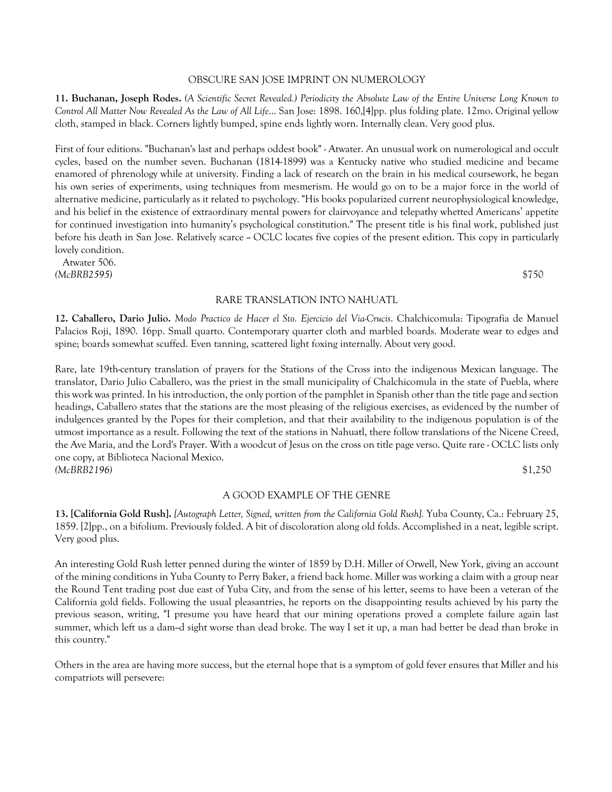#### OBSCURE SAN JOSE IMPRINT ON NUMEROLOGY

**11. Buchanan, Joseph Rodes.** *(A Scientific Secret Revealed.) Periodicity the Absolute Law of the Entire Universe Long Known to Control All Matter Now Revealed As the Law of All Life*... San Jose: 1898. 160,[4]pp. plus folding plate. 12mo. Original yellow cloth, stamped in black. Corners lightly bumped, spine ends lightly worn. Internally clean. Very good plus.

First of four editions. "Buchanan's last and perhaps oddest book" - Atwater. An unusual work on numerological and occult cycles, based on the number seven. Buchanan (1814-1899) was a Kentucky native who studied medicine and became enamored of phrenology while at university. Finding a lack of research on the brain in his medical coursework, he began his own series of experiments, using techniques from mesmerism. He would go on to be a major force in the world of alternative medicine, particularly as it related to psychology. "His books popularized current neurophysiological knowledge, and his belief in the existence of extraordinary mental powers for clairvoyance and telepathy whetted Americans' appetite for continued investigation into humanity's psychological constitution." The present title is his final work, published just before his death in San Jose. Relatively scarce  $\sim$  OCLC locates five copies of the present edition. This copy in particularly lovely condition.

 Atwater 506. *(McBRB2595)* \$750

### RARE TRANSLATION INTO NAHUATL

**12. Caballero, Dario Julio.** *Modo Practico de Hacer el Sto. Ejercicio del Via-Crucis*. Chalchicomula: Tipografia de Manuel Palacios Roji, 1890. 16pp. Small quarto. Contemporary quarter cloth and marbled boards. Moderate wear to edges and spine; boards somewhat scuffed. Even tanning, scattered light foxing internally. About very good.

Rare, late 19th-century translation of prayers for the Stations of the Cross into the indigenous Mexican language. The translator, Dario Julio Caballero, was the priest in the small municipality of Chalchicomula in the state of Puebla, where this work was printed. In his introduction, the only portion of the pamphlet in Spanish other than the title page and section headings, Caballero states that the stations are the most pleasing of the religious exercises, as evidenced by the number of indulgences granted by the Popes for their completion, and that their availability to the indigenous population is of the utmost importance as a result. Following the text of the stations in Nahuatl, there follow translations of the Nicene Creed, the Ave Maria, and the Lord's Prayer. With a woodcut of Jesus on the cross on title page verso. Quite rare - OCLC lists only one copy, at Biblioteca Nacional Mexico. *(McBRB2196)* \$1,250

#### A GOOD EXAMPLE OF THE GENRE

**13. [California Gold Rush].** *[Autograph Letter, Signed, written from the California Gold Rush].* Yuba County, Ca.: February 25, 1859. [2]pp., on a bifolium. Previously folded. A bit of discoloration along old folds. Accomplished in a neat, legible script. Very good plus.

An interesting Gold Rush letter penned during the winter of 1859 by D.H. Miller of Orwell, New York, giving an account of the mining conditions in Yuba County to Perry Baker, a friend back home. Miller was working a claim with a group near the Round Tent trading post due east of Yuba City, and from the sense of his letter, seems to have been a veteran of the California gold fields. Following the usual pleasantries, he reports on the disappointing results achieved by his party the previous season, writing, "I presume you have heard that our mining operations proved a complete failure again last summer, which left us a dam--d sight worse than dead broke. The way I set it up, a man had better be dead than broke in this country."

Others in the area are having more success, but the eternal hope that is a symptom of gold fever ensures that Miller and his compatriots will persevere: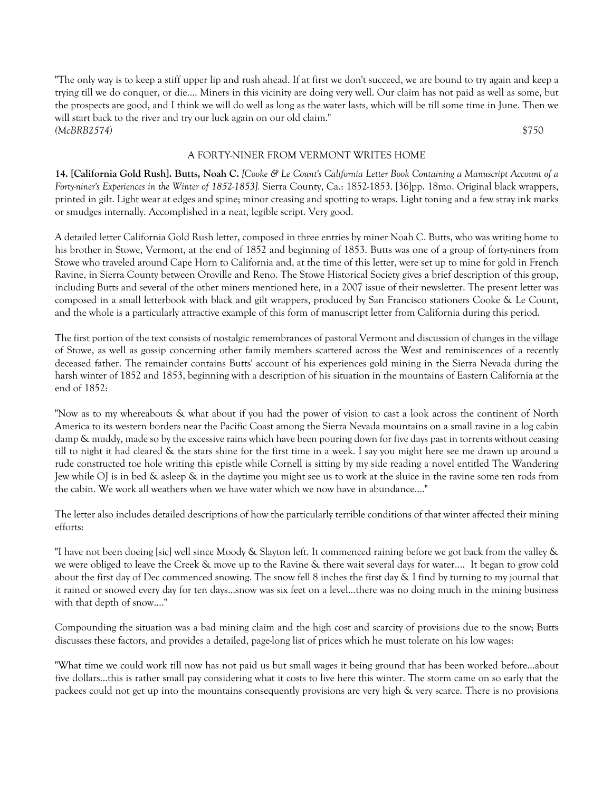"The only way is to keep a stiff upper lip and rush ahead. If at first we don't succeed, we are bound to try again and keep a trying till we do conquer, or die.... Miners in this vicinity are doing very well. Our claim has not paid as well as some, but the prospects are good, and I think we will do well as long as the water lasts, which will be till some time in June. Then we will start back to the river and try our luck again on our old claim." *(McBRB2574)* \$750

# A FORTY-NINER FROM VERMONT WRITES HOME

**14. [California Gold Rush]. Butts, Noah C.** *[Cooke & Le Count's California Letter Book Containing a Manuscript Account of a Forty-niner's Experiences in the Winter of 1852-1853].* Sierra County, Ca.: 1852-1853. [36]pp. 18mo. Original black wrappers, printed in gilt. Light wear at edges and spine; minor creasing and spotting to wraps. Light toning and a few stray ink marks or smudges internally. Accomplished in a neat, legible script. Very good.

A detailed letter California Gold Rush letter, composed in three entries by miner Noah C. Butts, who was writing home to his brother in Stowe, Vermont, at the end of 1852 and beginning of 1853. Butts was one of a group of forty-niners from Stowe who traveled around Cape Horn to California and, at the time of this letter, were set up to mine for gold in French Ravine, in Sierra County between Oroville and Reno. The Stowe Historical Society gives a brief description of this group, including Butts and several of the other miners mentioned here, in a 2007 issue of their newsletter. The present letter was composed in a small letterbook with black and gilt wrappers, produced by San Francisco stationers Cooke & Le Count, and the whole is a particularly attractive example of this form of manuscript letter from California during this period.

The first portion of the text consists of nostalgic remembrances of pastoral Vermont and discussion of changes in the village of Stowe, as well as gossip concerning other family members scattered across the West and reminiscences of a recently deceased father. The remainder contains Butts' account of his experiences gold mining in the Sierra Nevada during the harsh winter of 1852 and 1853, beginning with a description of his situation in the mountains of Eastern California at the end of 1852:

"Now as to my whereabouts & what about if you had the power of vision to cast a look across the continent of North America to its western borders near the Pacific Coast among the Sierra Nevada mountains on a small ravine in a log cabin damp & muddy, made so by the excessive rains which have been pouring down for five days past in torrents without ceasing till to night it had cleared & the stars shine for the first time in a week. I say you might here see me drawn up around a rude constructed toe hole writing this epistle while Cornell is sitting by my side reading a novel entitled The Wandering Jew while OJ is in bed & asleep & in the daytime you might see us to work at the sluice in the ravine some ten rods from the cabin. We work all weathers when we have water which we now have in abundance...."

The letter also includes detailed descriptions of how the particularly terrible conditions of that winter affected their mining efforts:

"I have not been doeing [sic] well since Moody & Slayton left. It commenced raining before we got back from the valley & we were obliged to leave the Creek & move up to the Ravine & there wait several days for water.... It began to grow cold about the first day of Dec commenced snowing. The snow fell 8 inches the first day & I find by turning to my journal that it rained or snowed every day for ten days...snow was six feet on a level...there was no doing much in the mining business with that depth of snow...."

Compounding the situation was a bad mining claim and the high cost and scarcity of provisions due to the snow; Butts discusses these factors, and provides a detailed, page-long list of prices which he must tolerate on his low wages:

"What time we could work till now has not paid us but small wages it being ground that has been worked before...about five dollars...this is rather small pay considering what it costs to live here this winter. The storm came on so early that the packees could not get up into the mountains consequently provisions are very high & very scarce. There is no provisions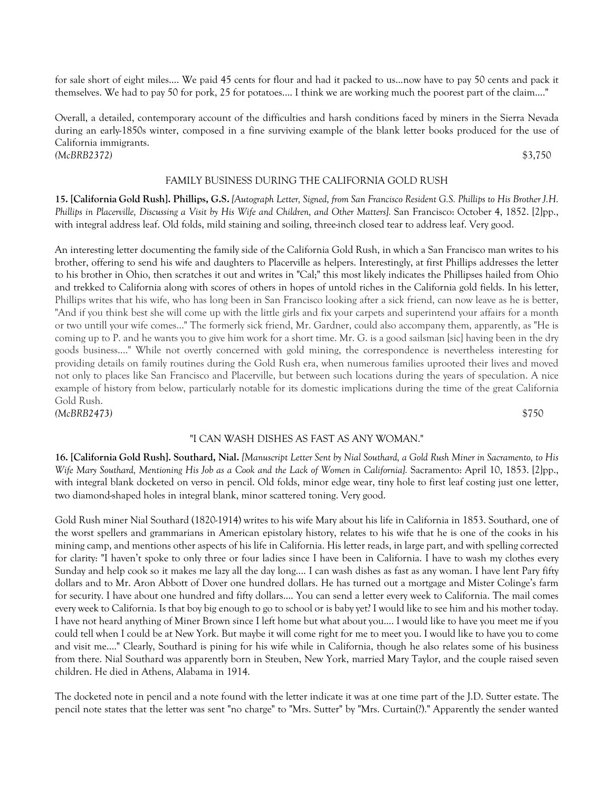for sale short of eight miles.... We paid 45 cents for flour and had it packed to us...now have to pay 50 cents and pack it themselves. We had to pay 50 for pork, 25 for potatoes.... I think we are working much the poorest part of the claim...."

Overall, a detailed, contemporary account of the difficulties and harsh conditions faced by miners in the Sierra Nevada during an early-1850s winter, composed in a fine surviving example of the blank letter books produced for the use of California immigrants. *(McBRB2372)* \$3,750

#### FAMILY BUSINESS DURING THE CALIFORNIA GOLD RUSH

**15. [California Gold Rush]. Phillips, G.S.** *[Autograph Letter, Signed, from San Francisco Resident G.S. Phillips to His Brother J.H. Phillips in Placerville, Discussing a Visit by His Wife and Children, and Other Matters].* San Francisco: October 4, 1852. [2]pp., with integral address leaf. Old folds, mild staining and soiling, three-inch closed tear to address leaf. Very good.

An interesting letter documenting the family side of the California Gold Rush, in which a San Francisco man writes to his brother, offering to send his wife and daughters to Placerville as helpers. Interestingly, at first Phillips addresses the letter to his brother in Ohio, then scratches it out and writes in "Cal;" this most likely indicates the Phillipses hailed from Ohio and trekked to California along with scores of others in hopes of untold riches in the California gold fields. In his letter, Phillips writes that his wife, who has long been in San Francisco looking after a sick friend, can now leave as he is better, "And if you think best she will come up with the little girls and fix your carpets and superintend your affairs for a month or two untill your wife comes..." The formerly sick friend, Mr. Gardner, could also accompany them, apparently, as "He is coming up to P. and he wants you to give him work for a short time. Mr. G. is a good sailsman [sic] having been in the dry goods business...." While not overtly concerned with gold mining, the correspondence is nevertheless interesting for providing details on family routines during the Gold Rush era, when numerous families uprooted their lives and moved not only to places like San Francisco and Placerville, but between such locations during the years of speculation. A nice example of history from below, particularly notable for its domestic implications during the time of the great California Gold Rush. *(McBRB2473)* \$750

### "I CAN WASH DISHES AS FAST AS ANY WOMAN."

**16. [California Gold Rush]. Southard, Nial.** *[Manuscript Letter Sent by Nial Southard, a Gold Rush Miner in Sacramento, to His Wife Mary Southard, Mentioning His Job as a Cook and the Lack of Women in California].* Sacramento: April 10, 1853. [2]pp., with integral blank docketed on verso in pencil. Old folds, minor edge wear, tiny hole to first leaf costing just one letter, two diamond-shaped holes in integral blank, minor scattered toning. Very good.

Gold Rush miner Nial Southard (1820-1914) writes to his wife Mary about his life in California in 1853. Southard, one of the worst spellers and grammarians in American epistolary history, relates to his wife that he is one of the cooks in his mining camp, and mentions other aspects of his life in California. His letter reads, in large part, and with spelling corrected for clarity: "I haven't spoke to only three or four ladies since I have been in California. I have to wash my clothes every Sunday and help cook so it makes me lazy all the day long.... I can wash dishes as fast as any woman. I have lent Pary fifty dollars and to Mr. Aron Abbott of Dover one hundred dollars. He has turned out a mortgage and Mister Colinge's farm for security. I have about one hundred and fifty dollars.... You can send a letter every week to California. The mail comes every week to California. Is that boy big enough to go to school or is baby yet? I would like to see him and his mother today. I have not heard anything of Miner Brown since I left home but what about you.... I would like to have you meet me if you could tell when I could be at New York. But maybe it will come right for me to meet you. I would like to have you to come and visit me...." Clearly, Southard is pining for his wife while in California, though he also relates some of his business from there. Nial Southard was apparently born in Steuben, New York, married Mary Taylor, and the couple raised seven children. He died in Athens, Alabama in 1914.

The docketed note in pencil and a note found with the letter indicate it was at one time part of the J.D. Sutter estate. The pencil note states that the letter was sent "no charge" to "Mrs. Sutter" by "Mrs. Curtain(?)." Apparently the sender wanted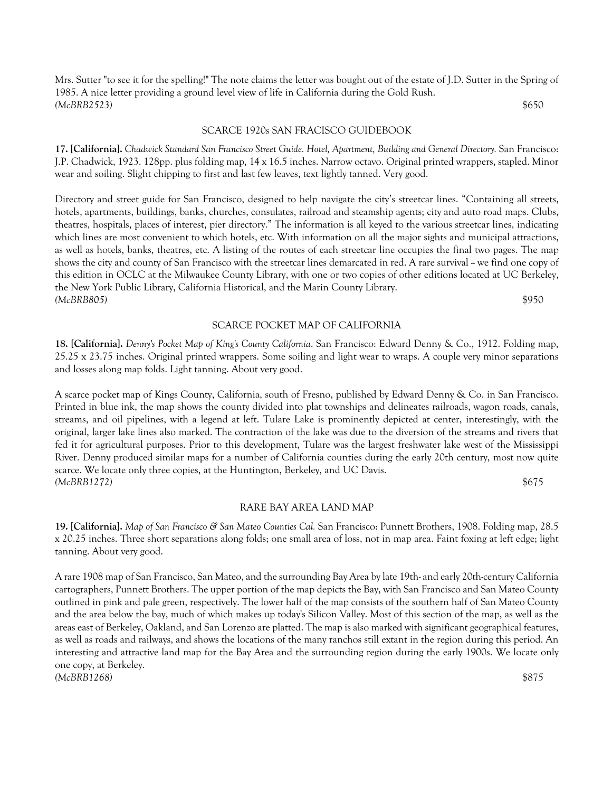Mrs. Sutter "to see it for the spelling!" The note claims the letter was bought out of the estate of J.D. Sutter in the Spring of 1985. A nice letter providing a ground level view of life in California during the Gold Rush. *(McBRB2523)* \$650

#### SCARCE 1920s SAN FRACISCO GUIDEBOOK

**17. [California].** *Chadwick Standard San Francisco Street Guide. Hotel, Apartment, Building and General Directory.* San Francisco: J.P. Chadwick, 1923. 128pp. plus folding map, 14 x 16.5 inches. Narrow octavo. Original printed wrappers, stapled. Minor wear and soiling. Slight chipping to first and last few leaves, text lightly tanned. Very good.

Directory and street guide for San Francisco, designed to help navigate the city's streetcar lines. "Containing all streets, hotels, apartments, buildings, banks, churches, consulates, railroad and steamship agents; city and auto road maps. Clubs, theatres, hospitals, places of interest, pier directory." The information is all keyed to the various streetcar lines, indicating which lines are most convenient to which hotels, etc. With information on all the major sights and municipal attractions, as well as hotels, banks, theatres, etc. A listing of the routes of each streetcar line occupies the final two pages. The map shows the city and county of San Francisco with the streetcar lines demarcated in red. A rare survival  $\sim$  we find one copy of this edition in OCLC at the Milwaukee County Library, with one or two copies of other editions located at UC Berkeley, the New York Public Library, California Historical, and the Marin County Library. *(McBRB805)* \$950

#### SCARCE POCKET MAP OF CALIFORNIA

**18. [California].** *Denny's Pocket Map of King's County California*. San Francisco: Edward Denny & Co., 1912. Folding map, 25.25 x 23.75 inches. Original printed wrappers. Some soiling and light wear to wraps. A couple very minor separations and losses along map folds. Light tanning. About very good.

A scarce pocket map of Kings County, California, south of Fresno, published by Edward Denny & Co. in San Francisco. Printed in blue ink, the map shows the county divided into plat townships and delineates railroads, wagon roads, canals, streams, and oil pipelines, with a legend at left. Tulare Lake is prominently depicted at center, interestingly, with the original, larger lake lines also marked. The contraction of the lake was due to the diversion of the streams and rivers that fed it for agricultural purposes. Prior to this development, Tulare was the largest freshwater lake west of the Mississippi River. Denny produced similar maps for a number of California counties during the early 20th century, most now quite scarce. We locate only three copies, at the Huntington, Berkeley, and UC Davis. *(McBRB1272)* \$675

#### RARE BAY AREA LAND MAP

**19. [California].** *Map of San Francisco & San Mateo Counties Cal.* San Francisco: Punnett Brothers, 1908. Folding map, 28.5 x 20.25 inches. Three short separations along folds; one small area of loss, not in map area. Faint foxing at left edge; light tanning. About very good.

A rare 1908 map of San Francisco, San Mateo, and the surrounding Bay Area by late 19th- and early 20th-century California cartographers, Punnett Brothers. The upper portion of the map depicts the Bay, with San Francisco and San Mateo County outlined in pink and pale green, respectively. The lower half of the map consists of the southern half of San Mateo County and the area below the bay, much of which makes up today's Silicon Valley. Most of this section of the map, as well as the areas east of Berkeley, Oakland, and San Lorenzo are platted. The map is also marked with significant geographical features, as well as roads and railways, and shows the locations of the many ranchos still extant in the region during this period. An interesting and attractive land map for the Bay Area and the surrounding region during the early 1900s. We locate only one copy, at Berkeley. *(McBRB1268)* \$875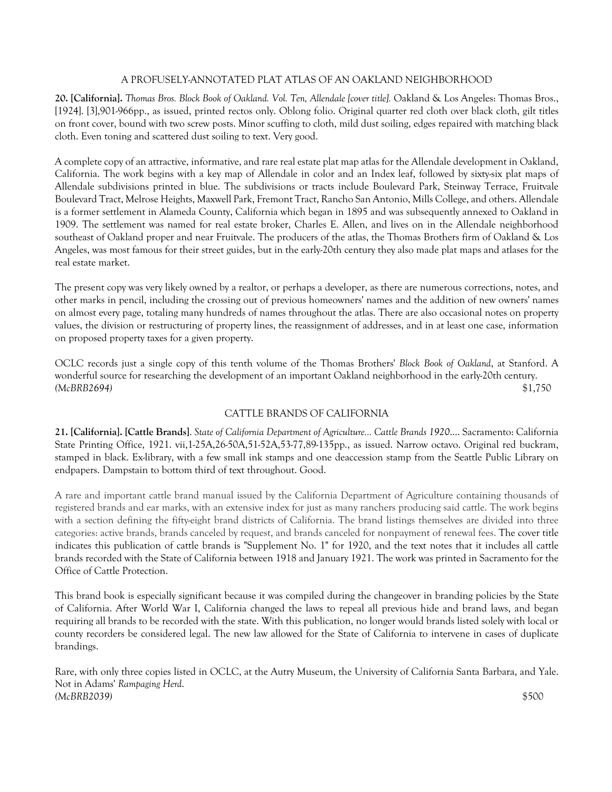# A PROFUSELY-ANNOTATED PLAT ATLAS OF AN OAKLAND NEIGHBORHOOD

**20. [California].** *Thomas Bros. Block Book of Oakland. Vol. Ten, Allendale [cover title].* Oakland & Los Angeles: Thomas Bros., [1924]. [3],901-966pp., as issued, printed rectos only. Oblong folio. Original quarter red cloth over black cloth, gilt titles on front cover, bound with two screw posts. Minor scuffing to cloth, mild dust soiling, edges repaired with matching black cloth. Even toning and scattered dust soiling to text. Very good.

A complete copy of an attractive, informative, and rare real estate plat map atlas for the Allendale development in Oakland, California. The work begins with a key map of Allendale in color and an Index leaf, followed by sixty-six plat maps of Allendale subdivisions printed in blue. The subdivisions or tracts include Boulevard Park, Steinway Terrace, Fruitvale Boulevard Tract, Melrose Heights, Maxwell Park, Fremont Tract, Rancho San Antonio, Mills College, and others. Allendale is a former settlement in Alameda County, California which began in 1895 and was subsequently annexed to Oakland in 1909. The settlement was named for real estate broker, Charles E. Allen, and lives on in the Allendale neighborhood southeast of Oakland proper and near Fruitvale. The producers of the atlas, the Thomas Brothers firm of Oakland & Los Angeles, was most famous for their street guides, but in the early-20th century they also made plat maps and atlases for the real estate market.

The present copy was very likely owned by a realtor, or perhaps a developer, as there are numerous corrections, notes, and other marks in pencil, including the crossing out of previous homeowners' names and the addition of new owners' names on almost every page, totaling many hundreds of names throughout the atlas. There are also occasional notes on property values, the division or restructuring of property lines, the reassignment of addresses, and in at least one case, information on proposed property taxes for a given property.

OCLC records just a single copy of this tenth volume of the Thomas Brothers' *Block Book of Oakland*, at Stanford. A wonderful source for researching the development of an important Oakland neighborhood in the early-20th century. *(McBRB2694)* \$1,750

# CATTLE BRANDS OF CALIFORNIA

**21. [California]. [Cattle Brands]**. *State of California Department of Agriculture... Cattle Brands 1920*.... Sacramento: California State Printing Office, 1921. vii,1-25A,26-50A,51-52A,53-77,89-135pp., as issued. Narrow octavo. Original red buckram, stamped in black. Ex-library, with a few small ink stamps and one deaccession stamp from the Seattle Public Library on endpapers. Dampstain to bottom third of text throughout. Good.

A rare and important cattle brand manual issued by the California Department of Agriculture containing thousands of registered brands and ear marks, with an extensive index for just as many ranchers producing said cattle. The work begins with a section defining the fifty-eight brand districts of California. The brand listings themselves are divided into three categories: active brands, brands canceled by request, and brands canceled for nonpayment of renewal fees. The cover title indicates this publication of cattle brands is "Supplement No. 1" for 1920, and the text notes that it includes all cattle brands recorded with the State of California between 1918 and January 1921. The work was printed in Sacramento for the Office of Cattle Protection.

This brand book is especially significant because it was compiled during the changeover in branding policies by the State of California. After World War I, California changed the laws to repeal all previous hide and brand laws, and began requiring all brands to be recorded with the state. With this publication, no longer would brands listed solely with local or county recorders be considered legal. The new law allowed for the State of California to intervene in cases of duplicate brandings.

Rare, with only three copies listed in OCLC, at the Autry Museum, the University of California Santa Barbara, and Yale. Not in Adams' *Rampaging Herd*. *(McBRB2039)* \$500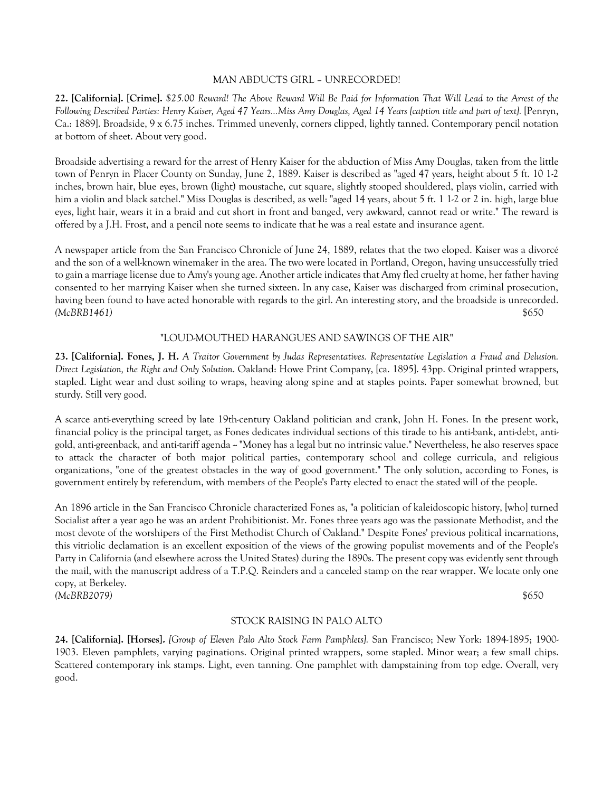### MAN ABDUCTS GIRL – UNRECORDED!

**22. [California]. [Crime].** *\$25.00 Reward! The Above Reward Will Be Paid for Information That Will Lead to the Arrest of the Following Described Parties: Henry Kaiser, Aged 47 Years...Miss Amy Douglas, Aged 14 Years [caption title and part of text].* [Penryn, Ca.: 1889]. Broadside, 9 x 6.75 inches. Trimmed unevenly, corners clipped, lightly tanned. Contemporary pencil notation at bottom of sheet. About very good.

Broadside advertising a reward for the arrest of Henry Kaiser for the abduction of Miss Amy Douglas, taken from the little town of Penryn in Placer County on Sunday, June 2, 1889. Kaiser is described as "aged 47 years, height about 5 ft. 10 1-2 inches, brown hair, blue eyes, brown (light) moustache, cut square, slightly stooped shouldered, plays violin, carried with him a violin and black satchel." Miss Douglas is described, as well: "aged 14 years, about 5 ft. 1 1-2 or 2 in. high, large blue eyes, light hair, wears it in a braid and cut short in front and banged, very awkward, cannot read or write." The reward is offered by a J.H. Frost, and a pencil note seems to indicate that he was a real estate and insurance agent.

A newspaper article from the San Francisco Chronicle of June 24, 1889, relates that the two eloped. Kaiser was a divorcé and the son of a well-known winemaker in the area. The two were located in Portland, Oregon, having unsuccessfully tried to gain a marriage license due to Amy's young age. Another article indicates that Amy fled cruelty at home, her father having consented to her marrying Kaiser when she turned sixteen. In any case, Kaiser was discharged from criminal prosecution, having been found to have acted honorable with regards to the girl. An interesting story, and the broadside is unrecorded. *(McBRB1461)* \$650

#### "LOUD-MOUTHED HARANGUES AND SAWINGS OF THE AIR"

**23. [California]. Fones, J. H.** *A Traitor Government by Judas Representatives. Representative Legislation a Fraud and Delusion. Direct Legislation, the Right and Only Solution*. Oakland: Howe Print Company, [ca. 1895]. 43pp. Original printed wrappers, stapled. Light wear and dust soiling to wraps, heaving along spine and at staples points. Paper somewhat browned, but sturdy. Still very good.

A scarce anti-everything screed by late 19th-century Oakland politician and crank, John H. Fones. In the present work, financial policy is the principal target, as Fones dedicates individual sections of this tirade to his anti-bank, anti-debt, antigold, anti-greenback, and anti-tariff agenda -- "Money has a legal but no intrinsic value." Nevertheless, he also reserves space to attack the character of both major political parties, contemporary school and college curricula, and religious organizations, "one of the greatest obstacles in the way of good government." The only solution, according to Fones, is government entirely by referendum, with members of the People's Party elected to enact the stated will of the people.

An 1896 article in the San Francisco Chronicle characterized Fones as, "a politician of kaleidoscopic history, [who] turned Socialist after a year ago he was an ardent Prohibitionist. Mr. Fones three years ago was the passionate Methodist, and the most devote of the worshipers of the First Methodist Church of Oakland." Despite Fones' previous political incarnations, this vitriolic declamation is an excellent exposition of the views of the growing populist movements and of the People's Party in California (and elsewhere across the United States) during the 1890s. The present copy was evidently sent through the mail, with the manuscript address of a T.P.Q. Reinders and a canceled stamp on the rear wrapper. We locate only one copy, at Berkeley. *(McBRB2079)* \$650

# STOCK RAISING IN PALO ALTO

**24. [California]. [Horses].** *[Group of Eleven Palo Alto Stock Farm Pamphlets].* San Francisco; New York: 1894-1895; 1900- 1903. Eleven pamphlets, varying paginations. Original printed wrappers, some stapled. Minor wear; a few small chips. Scattered contemporary ink stamps. Light, even tanning. One pamphlet with dampstaining from top edge. Overall, very good.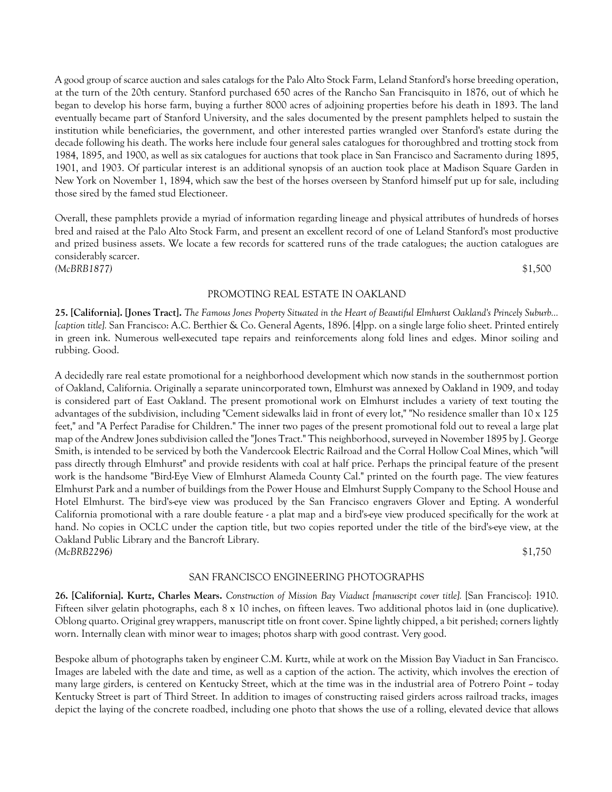A good group of scarce auction and sales catalogs for the Palo Alto Stock Farm, Leland Stanford's horse breeding operation, at the turn of the 20th century. Stanford purchased 650 acres of the Rancho San Francisquito in 1876, out of which he began to develop his horse farm, buying a further 8000 acres of adjoining properties before his death in 1893. The land eventually became part of Stanford University, and the sales documented by the present pamphlets helped to sustain the institution while beneficiaries, the government, and other interested parties wrangled over Stanford's estate during the decade following his death. The works here include four general sales catalogues for thoroughbred and trotting stock from 1984, 1895, and 1900, as well as six catalogues for auctions that took place in San Francisco and Sacramento during 1895, 1901, and 1903. Of particular interest is an additional synopsis of an auction took place at Madison Square Garden in New York on November 1, 1894, which saw the best of the horses overseen by Stanford himself put up for sale, including those sired by the famed stud Electioneer.

Overall, these pamphlets provide a myriad of information regarding lineage and physical attributes of hundreds of horses bred and raised at the Palo Alto Stock Farm, and present an excellent record of one of Leland Stanford's most productive and prized business assets. We locate a few records for scattered runs of the trade catalogues; the auction catalogues are considerably scarcer.

*(McBRB1877)* \$1,500

#### PROMOTING REAL ESTATE IN OAKLAND

**25. [California]. [Jones Tract].** *The Famous Jones Property Situated in the Heart of Beautiful Elmhurst Oakland's Princely Suburb... [caption title].* San Francisco: A.C. Berthier & Co. General Agents, 1896. [4]pp. on a single large folio sheet. Printed entirely in green ink. Numerous well-executed tape repairs and reinforcements along fold lines and edges. Minor soiling and rubbing. Good.

A decidedly rare real estate promotional for a neighborhood development which now stands in the southernmost portion of Oakland, California. Originally a separate unincorporated town, Elmhurst was annexed by Oakland in 1909, and today is considered part of East Oakland. The present promotional work on Elmhurst includes a variety of text touting the advantages of the subdivision, including "Cement sidewalks laid in front of every lot," "No residence smaller than 10 x 125 feet," and "A Perfect Paradise for Children." The inner two pages of the present promotional fold out to reveal a large plat map of the Andrew Jones subdivision called the "Jones Tract." This neighborhood, surveyed in November 1895 by J. George Smith, is intended to be serviced by both the Vandercook Electric Railroad and the Corral Hollow Coal Mines, which "will pass directly through Elmhurst" and provide residents with coal at half price. Perhaps the principal feature of the present work is the handsome "Bird-Eye View of Elmhurst Alameda County Cal." printed on the fourth page. The view features Elmhurst Park and a number of buildings from the Power House and Elmhurst Supply Company to the School House and Hotel Elmhurst. The bird's-eye view was produced by the San Francisco engravers Glover and Epting. A wonderful California promotional with a rare double feature - a plat map and a bird's-eye view produced specifically for the work at hand. No copies in OCLC under the caption title, but two copies reported under the title of the bird's-eye view, at the Oakland Public Library and the Bancroft Library. *(McBRB2296)* \$1,750

SAN FRANCISCO ENGINEERING PHOTOGRAPHS

**26. [California]. Kurtz, Charles Mears.** *Construction of Mission Bay Viaduct [manuscript cover title].* [San Francisco]: 1910. Fifteen silver gelatin photographs, each 8 x 10 inches, on fifteen leaves. Two additional photos laid in (one duplicative). Oblong quarto. Original grey wrappers, manuscript title on front cover. Spine lightly chipped, a bit perished; corners lightly worn. Internally clean with minor wear to images; photos sharp with good contrast. Very good.

Bespoke album of photographs taken by engineer C.M. Kurtz, while at work on the Mission Bay Viaduct in San Francisco. Images are labeled with the date and time, as well as a caption of the action. The activity, which involves the erection of many large girders, is centered on Kentucky Street, which at the time was in the industrial area of Potrero Point ~ today Kentucky Street is part of Third Street. In addition to images of constructing raised girders across railroad tracks, images depict the laying of the concrete roadbed, including one photo that shows the use of a rolling, elevated device that allows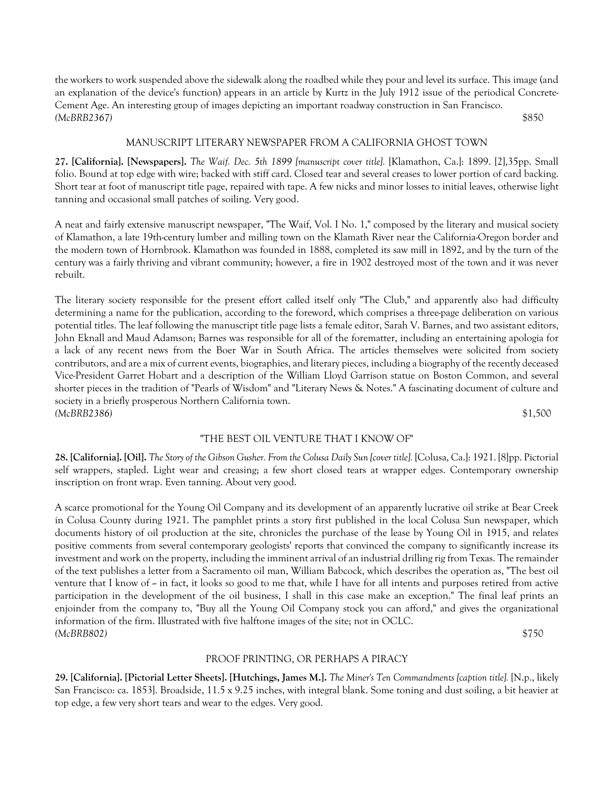the workers to work suspended above the sidewalk along the roadbed while they pour and level its surface. This image (and an explanation of the device's function) appears in an article by Kurtz in the July 1912 issue of the periodical Concrete-Cement Age. An interesting group of images depicting an important roadway construction in San Francisco. *(McBRB2367)* \$850

### MANUSCRIPT LITERARY NEWSPAPER FROM A CALIFORNIA GHOST TOWN

**27. [California]. [Newspapers].** *The Waif. Dec. 5th 1899 [manuscript cover title].* [Klamathon, Ca.]: 1899. [2],35pp. Small folio. Bound at top edge with wire; backed with stiff card. Closed tear and several creases to lower portion of card backing. Short tear at foot of manuscript title page, repaired with tape. A few nicks and minor losses to initial leaves, otherwise light tanning and occasional small patches of soiling. Very good.

A neat and fairly extensive manuscript newspaper, "The Waif, Vol. I No. 1," composed by the literary and musical society of Klamathon, a late 19th-century lumber and milling town on the Klamath River near the California-Oregon border and the modern town of Hornbrook. Klamathon was founded in 1888, completed its saw mill in 1892, and by the turn of the century was a fairly thriving and vibrant community; however, a fire in 1902 destroyed most of the town and it was never rebuilt.

The literary society responsible for the present effort called itself only "The Club," and apparently also had difficulty determining a name for the publication, according to the foreword, which comprises a three-page deliberation on various potential titles. The leaf following the manuscript title page lists a female editor, Sarah V. Barnes, and two assistant editors, John Eknall and Maud Adamson; Barnes was responsible for all of the forematter, including an entertaining apologia for a lack of any recent news from the Boer War in South Africa. The articles themselves were solicited from society contributors, and are a mix of current events, biographies, and literary pieces, including a biography of the recently deceased Vice-President Garret Hobart and a description of the William Lloyd Garrison statue on Boston Common, and several shorter pieces in the tradition of "Pearls of Wisdom" and "Literary News & Notes." A fascinating document of culture and society in a briefly prosperous Northern California town. *(McBRB2386)* \$1,500

### "THE BEST OIL VENTURE THAT I KNOW OF"

**28. [California]. [Oil].** *The Story of the Gibson Gusher. From the Colusa Daily Sun [cover title].* [Colusa, Ca.]: 1921. [8]pp. Pictorial self wrappers, stapled. Light wear and creasing; a few short closed tears at wrapper edges. Contemporary ownership inscription on front wrap. Even tanning. About very good.

A scarce promotional for the Young Oil Company and its development of an apparently lucrative oil strike at Bear Creek in Colusa County during 1921. The pamphlet prints a story first published in the local Colusa Sun newspaper, which documents history of oil production at the site, chronicles the purchase of the lease by Young Oil in 1915, and relates positive comments from several contemporary geologists' reports that convinced the company to significantly increase its investment and work on the property, including the imminent arrival of an industrial drilling rig from Texas. The remainder of the text publishes a letter from a Sacramento oil man, William Babcock, which describes the operation as, "The best oil venture that I know of  $\sim$  in fact, it looks so good to me that, while I have for all intents and purposes retired from active participation in the development of the oil business, I shall in this case make an exception." The final leaf prints an enjoinder from the company to, "Buy all the Young Oil Company stock you can afford," and gives the organizational information of the firm. Illustrated with five halftone images of the site; not in OCLC. *(McBRB802)* \$750

### PROOF PRINTING, OR PERHAPS A PIRACY

**29. [California]. [Pictorial Letter Sheets]. [Hutchings, James M.].** *The Miner's Ten Commandments [caption title].* [N.p., likely San Francisco: ca. 1853]. Broadside, 11.5 x 9.25 inches, with integral blank. Some toning and dust soiling, a bit heavier at top edge, a few very short tears and wear to the edges. Very good.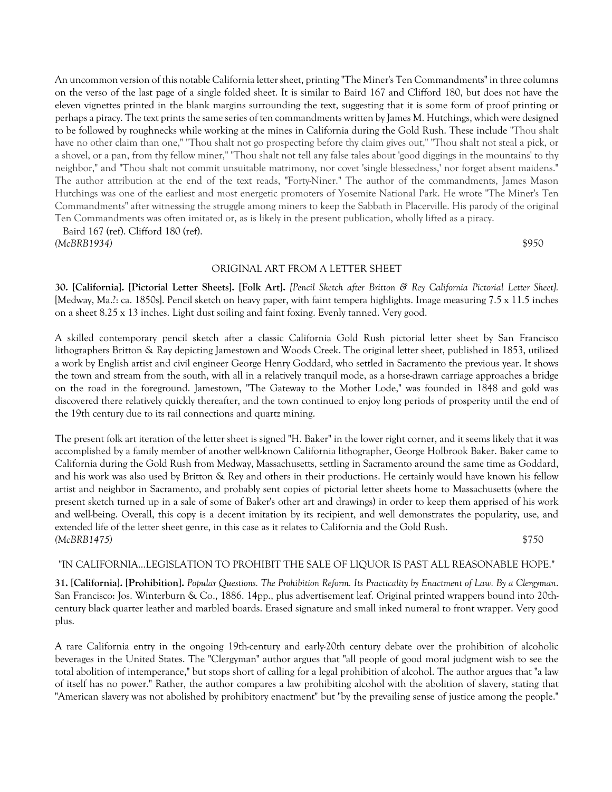An uncommon version of this notable California letter sheet, printing "The Miner's Ten Commandments" in three columns on the verso of the last page of a single folded sheet. It is similar to Baird 167 and Clifford 180, but does not have the eleven vignettes printed in the blank margins surrounding the text, suggesting that it is some form of proof printing or perhaps a piracy. The text prints the same series of ten commandments written by James M. Hutchings, which were designed to be followed by roughnecks while working at the mines in California during the Gold Rush. These include "Thou shalt have no other claim than one," "Thou shalt not go prospecting before thy claim gives out," "Thou shalt not steal a pick, or a shovel, or a pan, from thy fellow miner," "Thou shalt not tell any false tales about 'good diggings in the mountains' to thy neighbor," and "Thou shalt not commit unsuitable matrimony, nor covet 'single blessedness,' nor forget absent maidens." The author attribution at the end of the text reads, "Forty-Niner." The author of the commandments, James Mason Hutchings was one of the earliest and most energetic promoters of Yosemite National Park. He wrote "The Miner's Ten Commandments" after witnessing the struggle among miners to keep the Sabbath in Placerville. His parody of the original Ten Commandments was often imitated or, as is likely in the present publication, wholly lifted as a piracy.

 Baird 167 (ref). Clifford 180 (ref). *(McBRB1934)* \$950

#### ORIGINAL ART FROM A LETTER SHEET

**30. [California]. [Pictorial Letter Sheets]. [Folk Art].** *[Pencil Sketch after Britton & Rey California Pictorial Letter Sheet].*  [Medway, Ma.?: ca. 1850s]. Pencil sketch on heavy paper, with faint tempera highlights. Image measuring 7.5 x 11.5 inches on a sheet 8.25 x 13 inches. Light dust soiling and faint foxing. Evenly tanned. Very good.

A skilled contemporary pencil sketch after a classic California Gold Rush pictorial letter sheet by San Francisco lithographers Britton & Ray depicting Jamestown and Woods Creek. The original letter sheet, published in 1853, utilized a work by English artist and civil engineer George Henry Goddard, who settled in Sacramento the previous year. It shows the town and stream from the south, with all in a relatively tranquil mode, as a horse-drawn carriage approaches a bridge on the road in the foreground. Jamestown, "The Gateway to the Mother Lode," was founded in 1848 and gold was discovered there relatively quickly thereafter, and the town continued to enjoy long periods of prosperity until the end of the 19th century due to its rail connections and quartz mining.

The present folk art iteration of the letter sheet is signed "H. Baker" in the lower right corner, and it seems likely that it was accomplished by a family member of another well-known California lithographer, George Holbrook Baker. Baker came to California during the Gold Rush from Medway, Massachusetts, settling in Sacramento around the same time as Goddard, and his work was also used by Britton & Rey and others in their productions. He certainly would have known his fellow artist and neighbor in Sacramento, and probably sent copies of pictorial letter sheets home to Massachusetts (where the present sketch turned up in a sale of some of Baker's other art and drawings) in order to keep them apprised of his work and well-being. Overall, this copy is a decent imitation by its recipient, and well demonstrates the popularity, use, and extended life of the letter sheet genre, in this case as it relates to California and the Gold Rush. *(McBRB1475)* \$750

### "IN CALIFORNIA...LEGISLATION TO PROHIBIT THE SALE OF LIQUOR IS PAST ALL REASONABLE HOPE."

**31. [California]. [Prohibition].** *Popular Questions. The Prohibition Reform. Its Practicality by Enactment of Law. By a Clergyman*. San Francisco: Jos. Winterburn & Co., 1886. 14pp., plus advertisement leaf. Original printed wrappers bound into 20thcentury black quarter leather and marbled boards. Erased signature and small inked numeral to front wrapper. Very good plus.

A rare California entry in the ongoing 19th-century and early-20th century debate over the prohibition of alcoholic beverages in the United States. The "Clergyman" author argues that "all people of good moral judgment wish to see the total abolition of intemperance," but stops short of calling for a legal prohibition of alcohol. The author argues that "a law of itself has no power." Rather, the author compares a law prohibiting alcohol with the abolition of slavery, stating that "American slavery was not abolished by prohibitory enactment" but "by the prevailing sense of justice among the people."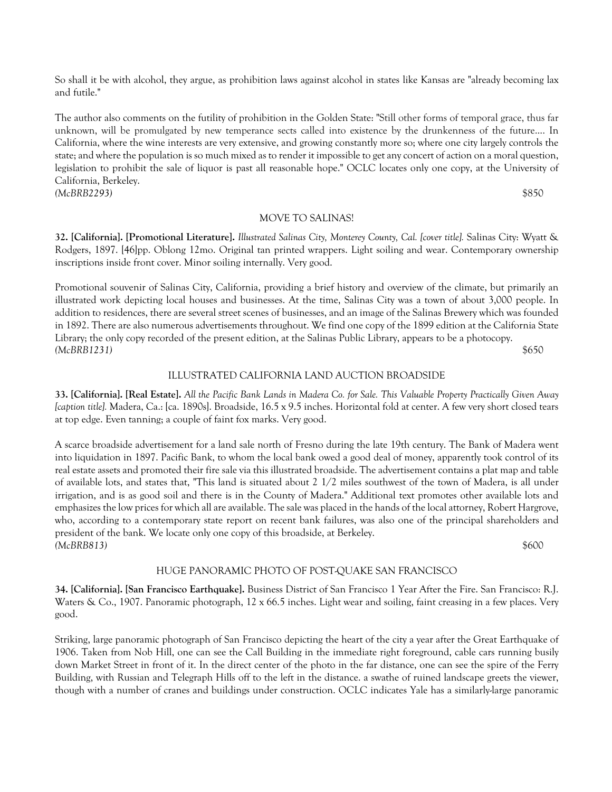So shall it be with alcohol, they argue, as prohibition laws against alcohol in states like Kansas are "already becoming lax and futile."

The author also comments on the futility of prohibition in the Golden State: "Still other forms of temporal grace, thus far unknown, will be promulgated by new temperance sects called into existence by the drunkenness of the future.... In California, where the wine interests are very extensive, and growing constantly more so; where one city largely controls the state; and where the population is so much mixed as to render it impossible to get any concert of action on a moral question, legislation to prohibit the sale of liquor is past all reasonable hope." OCLC locates only one copy, at the University of California, Berkeley. *(McBRB2293)* \$850

#### MOVE TO SALINAS!

**32. [California]. [Promotional Literature].** *Illustrated Salinas City, Monterey County, Cal. [cover title].* Salinas City: Wyatt & Rodgers, 1897. [46]pp. Oblong 12mo. Original tan printed wrappers. Light soiling and wear. Contemporary ownership inscriptions inside front cover. Minor soiling internally. Very good.

Promotional souvenir of Salinas City, California, providing a brief history and overview of the climate, but primarily an illustrated work depicting local houses and businesses. At the time, Salinas City was a town of about 3,000 people. In addition to residences, there are several street scenes of businesses, and an image of the Salinas Brewery which was founded in 1892. There are also numerous advertisements throughout. We find one copy of the 1899 edition at the California State Library; the only copy recorded of the present edition, at the Salinas Public Library, appears to be a photocopy. *(McBRB1231)* \$650

### ILLUSTRATED CALIFORNIA LAND AUCTION BROADSIDE

**33. [California]. [Real Estate].** *All the Pacific Bank Lands in Madera Co. for Sale. This Valuable Property Practically Given Away [caption title].* Madera, Ca.: [ca. 1890s]. Broadside, 16.5 x 9.5 inches. Horizontal fold at center. A few very short closed tears at top edge. Even tanning; a couple of faint fox marks. Very good.

A scarce broadside advertisement for a land sale north of Fresno during the late 19th century. The Bank of Madera went into liquidation in 1897. Pacific Bank, to whom the local bank owed a good deal of money, apparently took control of its real estate assets and promoted their fire sale via this illustrated broadside. The advertisement contains a plat map and table of available lots, and states that, "This land is situated about 2 1/2 miles southwest of the town of Madera, is all under irrigation, and is as good soil and there is in the County of Madera." Additional text promotes other available lots and emphasizes the low prices for which all are available. The sale was placed in the hands of the local attorney, Robert Hargrove, who, according to a contemporary state report on recent bank failures, was also one of the principal shareholders and president of the bank. We locate only one copy of this broadside, at Berkeley. *(McBRB813)* \$600

#### HUGE PANORAMIC PHOTO OF POST-QUAKE SAN FRANCISCO

**34. [California]. [San Francisco Earthquake].** Business District of San Francisco 1 Year After the Fire. San Francisco: R.J. Waters & Co., 1907. Panoramic photograph, 12 x 66.5 inches. Light wear and soiling, faint creasing in a few places. Very good.

Striking, large panoramic photograph of San Francisco depicting the heart of the city a year after the Great Earthquake of 1906. Taken from Nob Hill, one can see the Call Building in the immediate right foreground, cable cars running busily down Market Street in front of it. In the direct center of the photo in the far distance, one can see the spire of the Ferry Building, with Russian and Telegraph Hills off to the left in the distance. a swathe of ruined landscape greets the viewer, though with a number of cranes and buildings under construction. OCLC indicates Yale has a similarly-large panoramic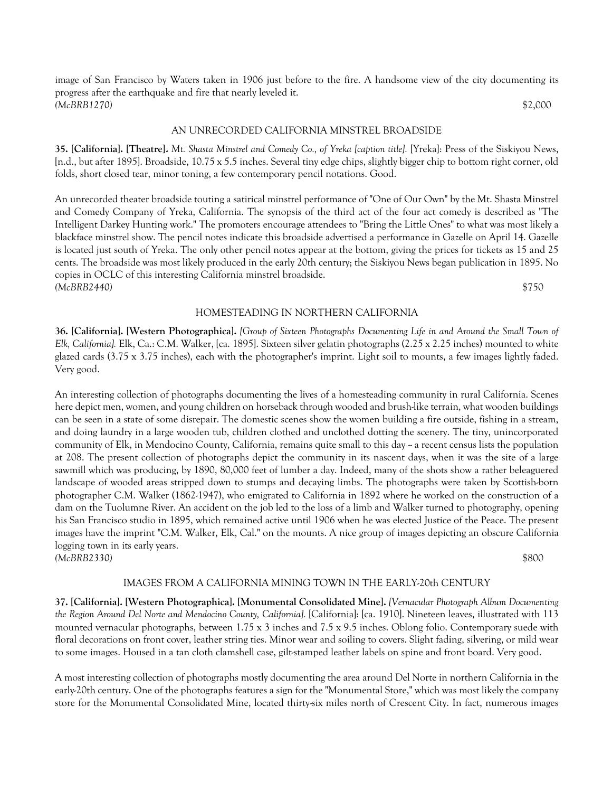image of San Francisco by Waters taken in 1906 just before to the fire. A handsome view of the city documenting its progress after the earthquake and fire that nearly leveled it. *(McBRB1270)* \$2,000

#### AN UNRECORDED CALIFORNIA MINSTREL BROADSIDE

**35. [California]. [Theatre].** *Mt. Shasta Minstrel and Comedy Co., of Yreka [caption title].* [Yreka]: Press of the Siskiyou News, [n.d., but after 1895]. Broadside, 10.75 x 5.5 inches. Several tiny edge chips, slightly bigger chip to bottom right corner, old folds, short closed tear, minor toning, a few contemporary pencil notations. Good.

An unrecorded theater broadside touting a satirical minstrel performance of "One of Our Own" by the Mt. Shasta Minstrel and Comedy Company of Yreka, California. The synopsis of the third act of the four act comedy is described as "The Intelligent Darkey Hunting work." The promoters encourage attendees to "Bring the Little Ones" to what was most likely a blackface minstrel show. The pencil notes indicate this broadside advertised a performance in Gazelle on April 14. Gazelle is located just south of Yreka. The only other pencil notes appear at the bottom, giving the prices for tickets as 15 and 25 cents. The broadside was most likely produced in the early 20th century; the Siskiyou News began publication in 1895. No copies in OCLC of this interesting California minstrel broadside. *(McBRB2440)* \$750

#### HOMESTEADING IN NORTHERN CALIFORNIA

**36. [California]. [Western Photographica].** *[Group of Sixteen Photographs Documenting Life in and Around the Small Town of Elk, California].* Elk, Ca.: C.M. Walker, [ca. 1895]. Sixteen silver gelatin photographs (2.25 x 2.25 inches) mounted to white glazed cards (3.75 x 3.75 inches), each with the photographer's imprint. Light soil to mounts, a few images lightly faded. Very good.

An interesting collection of photographs documenting the lives of a homesteading community in rural California. Scenes here depict men, women, and young children on horseback through wooded and brush-like terrain, what wooden buildings can be seen in a state of some disrepair. The domestic scenes show the women building a fire outside, fishing in a stream, and doing laundry in a large wooden tub, children clothed and unclothed dotting the scenery. The tiny, unincorporated community of Elk, in Mendocino County, California, remains quite small to this day - a recent census lists the population at 208. The present collection of photographs depict the community in its nascent days, when it was the site of a large sawmill which was producing, by 1890, 80,000 feet of lumber a day. Indeed, many of the shots show a rather beleaguered landscape of wooded areas stripped down to stumps and decaying limbs. The photographs were taken by Scottish-born photographer C.M. Walker (1862-1947), who emigrated to California in 1892 where he worked on the construction of a dam on the Tuolumne River. An accident on the job led to the loss of a limb and Walker turned to photography, opening his San Francisco studio in 1895, which remained active until 1906 when he was elected Justice of the Peace. The present images have the imprint "C.M. Walker, Elk, Cal." on the mounts. A nice group of images depicting an obscure California logging town in its early years. *(McBRB2330)* \$800

#### IMAGES FROM A CALIFORNIA MINING TOWN IN THE EARLY-20th CENTURY

**37. [California]. [Western Photographica]. [Monumental Consolidated Mine].** *[Vernacular Photograph Album Documenting the Region Around Del Norte and Mendocino County, California].* [California]: [ca. 1910]. Nineteen leaves, illustrated with 113 mounted vernacular photographs, between 1.75 x 3 inches and 7.5 x 9.5 inches. Oblong folio. Contemporary suede with floral decorations on front cover, leather string ties. Minor wear and soiling to covers. Slight fading, silvering, or mild wear to some images. Housed in a tan cloth clamshell case, gilt-stamped leather labels on spine and front board. Very good.

A most interesting collection of photographs mostly documenting the area around Del Norte in northern California in the early-20th century. One of the photographs features a sign for the "Monumental Store," which was most likely the company store for the Monumental Consolidated Mine, located thirty-six miles north of Crescent City. In fact, numerous images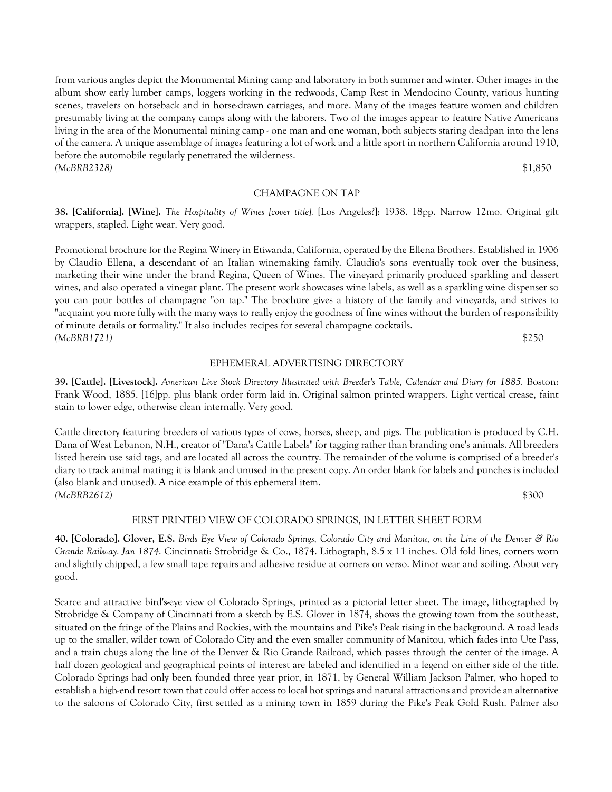from various angles depict the Monumental Mining camp and laboratory in both summer and winter. Other images in the album show early lumber camps, loggers working in the redwoods, Camp Rest in Mendocino County, various hunting scenes, travelers on horseback and in horse-drawn carriages, and more. Many of the images feature women and children presumably living at the company camps along with the laborers. Two of the images appear to feature Native Americans living in the area of the Monumental mining camp - one man and one woman, both subjects staring deadpan into the lens of the camera. A unique assemblage of images featuring a lot of work and a little sport in northern California around 1910, before the automobile regularly penetrated the wilderness. *(McBRB2328)* \$1,850

#### CHAMPAGNE ON TAP

**38. [California]. [Wine].** *The Hospitality of Wines [cover title].* [Los Angeles?]: 1938. 18pp. Narrow 12mo. Original gilt wrappers, stapled. Light wear. Very good.

Promotional brochure for the Regina Winery in Etiwanda, California, operated by the Ellena Brothers. Established in 1906 by Claudio Ellena, a descendant of an Italian winemaking family. Claudio's sons eventually took over the business, marketing their wine under the brand Regina, Queen of Wines. The vineyard primarily produced sparkling and dessert wines, and also operated a vinegar plant. The present work showcases wine labels, as well as a sparkling wine dispenser so you can pour bottles of champagne "on tap." The brochure gives a history of the family and vineyards, and strives to "acquaint you more fully with the many ways to really enjoy the goodness of fine wines without the burden of responsibility of minute details or formality." It also includes recipes for several champagne cocktails. *(McBRB1721)* \$250

#### EPHEMERAL ADVERTISING DIRECTORY

**39. [Cattle]. [Livestock].** *American Live Stock Directory Illustrated with Breeder's Table, Calendar and Diary for 1885.* Boston: Frank Wood, 1885. [16]pp. plus blank order form laid in. Original salmon printed wrappers. Light vertical crease, faint stain to lower edge, otherwise clean internally. Very good.

Cattle directory featuring breeders of various types of cows, horses, sheep, and pigs. The publication is produced by C.H. Dana of West Lebanon, N.H., creator of "Dana's Cattle Labels" for tagging rather than branding one's animals. All breeders listed herein use said tags, and are located all across the country. The remainder of the volume is comprised of a breeder's diary to track animal mating; it is blank and unused in the present copy. An order blank for labels and punches is included (also blank and unused). A nice example of this ephemeral item. *(McBRB2612)* \$300

#### FIRST PRINTED VIEW OF COLORADO SPRINGS, IN LETTER SHEET FORM

**40. [Colorado]. Glover, E.S.** *Birds Eye View of Colorado Springs, Colorado City and Manitou, on the Line of the Denver & Rio Grande Railway. Jan 1874*. Cincinnati: Strobridge & Co., 1874. Lithograph, 8.5 x 11 inches. Old fold lines, corners worn and slightly chipped, a few small tape repairs and adhesive residue at corners on verso. Minor wear and soiling. About very good.

Scarce and attractive bird's-eye view of Colorado Springs, printed as a pictorial letter sheet. The image, lithographed by Strobridge & Company of Cincinnati from a sketch by E.S. Glover in 1874, shows the growing town from the southeast, situated on the fringe of the Plains and Rockies, with the mountains and Pike's Peak rising in the background. A road leads up to the smaller, wilder town of Colorado City and the even smaller community of Manitou, which fades into Ute Pass, and a train chugs along the line of the Denver & Rio Grande Railroad, which passes through the center of the image. A half dozen geological and geographical points of interest are labeled and identified in a legend on either side of the title. Colorado Springs had only been founded three year prior, in 1871, by General William Jackson Palmer, who hoped to establish a high-end resort town that could offer access to local hot springs and natural attractions and provide an alternative to the saloons of Colorado City, first settled as a mining town in 1859 during the Pike's Peak Gold Rush. Palmer also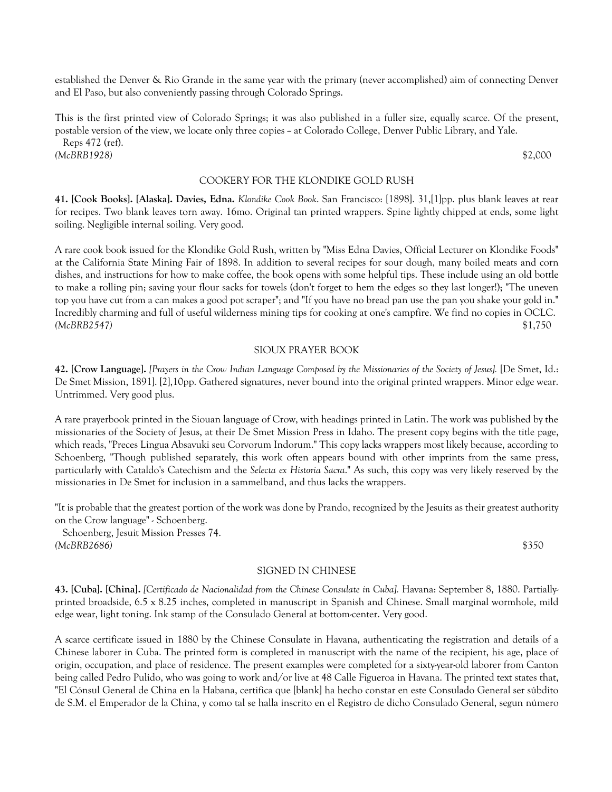established the Denver & Rio Grande in the same year with the primary (never accomplished) aim of connecting Denver and El Paso, but also conveniently passing through Colorado Springs.

This is the first printed view of Colorado Springs; it was also published in a fuller size, equally scarce. Of the present, postable version of the view, we locate only three copies -- at Colorado College, Denver Public Library, and Yale.

 Reps 472 (ref). *(McBRB1928)* \$2,000

#### COOKERY FOR THE KLONDIKE GOLD RUSH

**41. [Cook Books]. [Alaska]. Davies, Edna.** *Klondike Cook Book*. San Francisco: [1898]. 31,[1]pp. plus blank leaves at rear for recipes. Two blank leaves torn away. 16mo. Original tan printed wrappers. Spine lightly chipped at ends, some light soiling. Negligible internal soiling. Very good.

A rare cook book issued for the Klondike Gold Rush, written by "Miss Edna Davies, Official Lecturer on Klondike Foods" at the California State Mining Fair of 1898. In addition to several recipes for sour dough, many boiled meats and corn dishes, and instructions for how to make coffee, the book opens with some helpful tips. These include using an old bottle to make a rolling pin; saving your flour sacks for towels (don't forget to hem the edges so they last longer!); "The uneven top you have cut from a can makes a good pot scraper"; and "If you have no bread pan use the pan you shake your gold in." Incredibly charming and full of useful wilderness mining tips for cooking at one's campfire. We find no copies in OCLC. *(McBRB2547)* \$1,750

#### SIOUX PRAYER BOOK

**42. [Crow Language].** *[Prayers in the Crow Indian Language Composed by the Missionaries of the Society of Jesus].* [De Smet, Id.: De Smet Mission, 1891]. [2],10pp. Gathered signatures, never bound into the original printed wrappers. Minor edge wear. Untrimmed. Very good plus.

A rare prayerbook printed in the Siouan language of Crow, with headings printed in Latin. The work was published by the missionaries of the Society of Jesus, at their De Smet Mission Press in Idaho. The present copy begins with the title page, which reads, "Preces Lingua Absavuki seu Corvorum Indorum." This copy lacks wrappers most likely because, according to Schoenberg, "Though published separately, this work often appears bound with other imprints from the same press, particularly with Cataldo's Catechism and the *Selecta ex Historia Sacra*." As such, this copy was very likely reserved by the missionaries in De Smet for inclusion in a sammelband, and thus lacks the wrappers.

"It is probable that the greatest portion of the work was done by Prando, recognized by the Jesuits as their greatest authority on the Crow language" - Schoenberg.

 Schoenberg, Jesuit Mission Presses 74. *(McBRB2686)* \$350

#### SIGNED IN CHINESE

**43. [Cuba]. [China].** *[Certificado de Nacionalidad from the Chinese Consulate in Cuba].* Havana: September 8, 1880. Partiallyprinted broadside, 6.5 x 8.25 inches, completed in manuscript in Spanish and Chinese. Small marginal wormhole, mild edge wear, light toning. Ink stamp of the Consulado General at bottom-center. Very good.

A scarce certificate issued in 1880 by the Chinese Consulate in Havana, authenticating the registration and details of a Chinese laborer in Cuba. The printed form is completed in manuscript with the name of the recipient, his age, place of origin, occupation, and place of residence. The present examples were completed for a sixty-year-old laborer from Canton being called Pedro Pulido, who was going to work and/or live at 48 Calle Figueroa in Havana. The printed text states that, "El Cónsul General de China en la Habana, certifica que [blank] ha hecho constar en este Consulado General ser súbdito de S.M. el Emperador de la China, y como tal se halla inscrito en el Registro de dicho Consulado General, segun número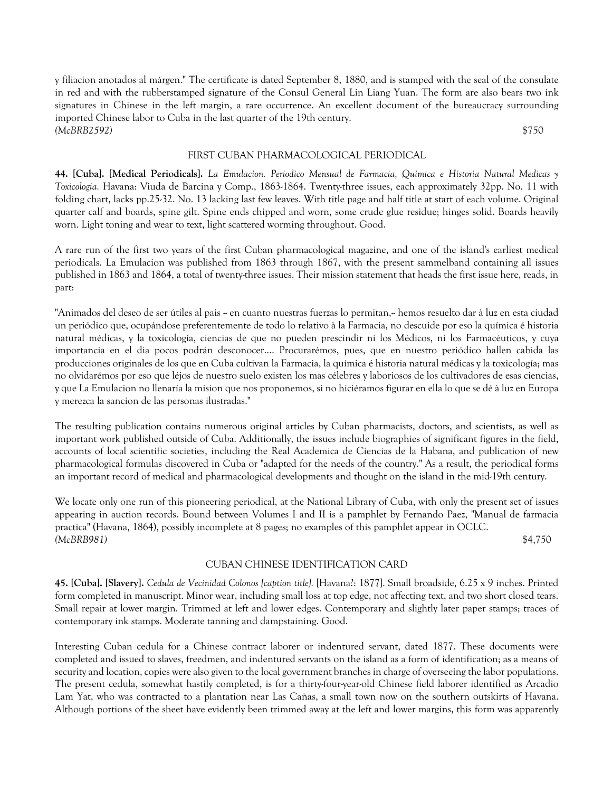y filiacion anotados al márgen." The certificate is dated September 8, 1880, and is stamped with the seal of the consulate in red and with the rubberstamped signature of the Consul General Lin Liang Yuan. The form are also bears two ink signatures in Chinese in the left margin, a rare occurrence. An excellent document of the bureaucracy surrounding imported Chinese labor to Cuba in the last quarter of the 19th century. *(McBRB2592)* \$750

#### FIRST CUBAN PHARMACOLOGICAL PERIODICAL

**44. [Cuba]. [Medical Periodicals].** *La Emulacion. Periodico Mensual de Farmacia, Quimica e Historia Natural Medicas y Toxicologia.* Havana: Viuda de Barcina y Comp., 1863-1864. Twenty-three issues, each approximately 32pp. No. 11 with folding chart, lacks pp.25-32. No. 13 lacking last few leaves. With title page and half title at start of each volume. Original quarter calf and boards, spine gilt. Spine ends chipped and worn, some crude glue residue; hinges solid. Boards heavily worn. Light toning and wear to text, light scattered worming throughout. Good.

A rare run of the first two years of the first Cuban pharmacological magazine, and one of the island's earliest medical periodicals. La Emulacion was published from 1863 through 1867, with the present sammelband containing all issues published in 1863 and 1864, a total of twenty-three issues. Their mission statement that heads the first issue here, reads, in part:

"Animados del deseo de ser útiles al pais – en cuanto nuestras fuerzas lo permitan,– hemos resuelto dar à luz en esta ciudad un periódico que, ocupándose preferentemente de todo lo relativo à la Farmacia, no descuide por eso la química é historia natural médicas, y la toxicología, ciencias de que no pueden prescindir ni los Médicos, ni los Farmacéuticos, y cuya importancia en el dia pocos podrán desconocer.... Procurarémos, pues, que en nuestro periódico hallen cabida las producciones originales de los que en Cuba cultivan la Farmacia, la química é historia natural médicas y la toxicología; mas no olvidarémos por eso que léjos de nuestro suelo existen los mas célebres y laboriosos de los cultivadores de esas ciencias, y que La Emulacion no llenaría la mision que nos proponemos, si no hiciéramos figurar en ella lo que se dé à luz en Europa y merezca la sancion de las personas ilustradas."

The resulting publication contains numerous original articles by Cuban pharmacists, doctors, and scientists, as well as important work published outside of Cuba. Additionally, the issues include biographies of significant figures in the field, accounts of local scientific societies, including the Real Academica de Ciencias de la Habana, and publication of new pharmacological formulas discovered in Cuba or "adapted for the needs of the country." As a result, the periodical forms an important record of medical and pharmacological developments and thought on the island in the mid-19th century.

We locate only one run of this pioneering periodical, at the National Library of Cuba, with only the present set of issues appearing in auction records. Bound between Volumes I and II is a pamphlet by Fernando Paez, "Manual de farmacia practica" (Havana, 1864), possibly incomplete at 8 pages; no examples of this pamphlet appear in OCLC. *(McBRB981)* \$4,750

#### CUBAN CHINESE IDENTIFICATION CARD

**45. [Cuba]. [Slavery].** *Cedula de Vecinidad Colonos [caption title].* [Havana?: 1877]. Small broadside, 6.25 x 9 inches. Printed form completed in manuscript. Minor wear, including small loss at top edge, not affecting text, and two short closed tears. Small repair at lower margin. Trimmed at left and lower edges. Contemporary and slightly later paper stamps; traces of contemporary ink stamps. Moderate tanning and dampstaining. Good.

Interesting Cuban cedula for a Chinese contract laborer or indentured servant, dated 1877. These documents were completed and issued to slaves, freedmen, and indentured servants on the island as a form of identification; as a means of security and location, copies were also given to the local government branches in charge of overseeing the labor populations. The present cedula, somewhat hastily completed, is for a thirty-four-year-old Chinese field laborer identified as Arcadio Lam Yat, who was contracted to a plantation near Las Cañas, a small town now on the southern outskirts of Havana. Although portions of the sheet have evidently been trimmed away at the left and lower margins, this form was apparently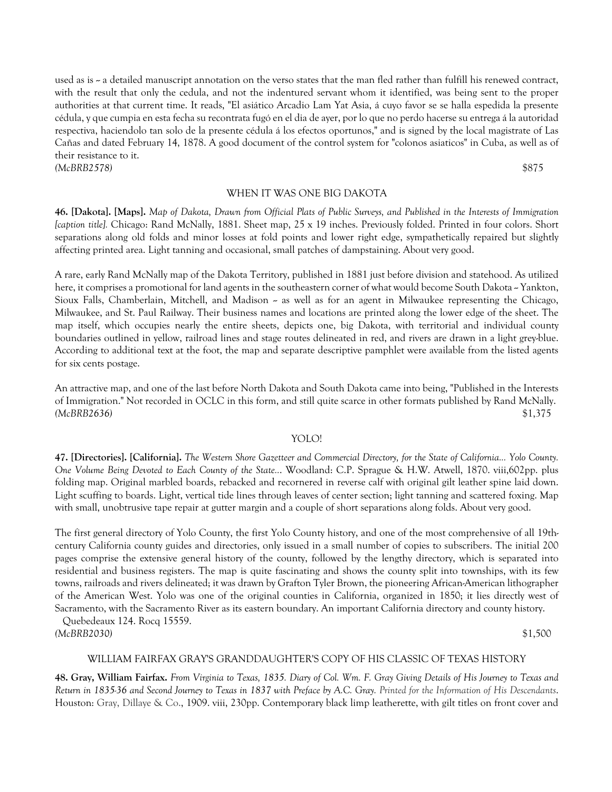used as is  $\sim$  a detailed manuscript annotation on the verso states that the man fled rather than fulfill his renewed contract, with the result that only the cedula, and not the indentured servant whom it identified, was being sent to the proper authorities at that current time. It reads, "El asiático Arcadio Lam Yat Asia, á cuyo favor se se halla espedida la presente cédula, y que cumpia en esta fecha su recontrata fugó en el dia de ayer, por lo que no perdo hacerse su entrega á la autoridad respectiva, haciendolo tan solo de la presente cédula á los efectos oportunos," and is signed by the local magistrate of Las Cañas and dated February 14, 1878. A good document of the control system for "colonos asiaticos" in Cuba, as well as of their resistance to it. *(McBRB2578)* \$875

#### WHEN IT WAS ONE BIG DAKOTA

**46. [Dakota]. [Maps].** *Map of Dakota, Drawn from Official Plats of Public Surveys, and Published in the Interests of Immigration [caption title].* Chicago: Rand McNally, 1881. Sheet map, 25 x 19 inches. Previously folded. Printed in four colors. Short separations along old folds and minor losses at fold points and lower right edge, sympathetically repaired but slightly affecting printed area. Light tanning and occasional, small patches of dampstaining. About very good.

A rare, early Rand McNally map of the Dakota Territory, published in 1881 just before division and statehood. As utilized here, it comprises a promotional for land agents in the southeastern corner of what would become South Dakota – Yankton, Sioux Falls, Chamberlain, Mitchell, and Madison – as well as for an agent in Milwaukee representing the Chicago, Milwaukee, and St. Paul Railway. Their business names and locations are printed along the lower edge of the sheet. The map itself, which occupies nearly the entire sheets, depicts one, big Dakota, with territorial and individual county boundaries outlined in yellow, railroad lines and stage routes delineated in red, and rivers are drawn in a light grey-blue. According to additional text at the foot, the map and separate descriptive pamphlet were available from the listed agents for six cents postage.

An attractive map, and one of the last before North Dakota and South Dakota came into being, "Published in the Interests of Immigration." Not recorded in OCLC in this form, and still quite scarce in other formats published by Rand McNally. *(McBRB2636)* \$1,375

### YOLO!

**47. [Directories]. [California].** *The Western Shore Gazetteer and Commercial Directory, for the State of California... Yolo County. One Volume Being Devoted to Each County of the State..*. Woodland: C.P. Sprague & H.W. Atwell, 1870. viii,602pp. plus folding map. Original marbled boards, rebacked and recornered in reverse calf with original gilt leather spine laid down. Light scuffing to boards. Light, vertical tide lines through leaves of center section; light tanning and scattered foxing. Map with small, unobtrusive tape repair at gutter margin and a couple of short separations along folds. About very good.

The first general directory of Yolo County, the first Yolo County history, and one of the most comprehensive of all 19thcentury California county guides and directories, only issued in a small number of copies to subscribers. The initial 200 pages comprise the extensive general history of the county, followed by the lengthy directory, which is separated into residential and business registers. The map is quite fascinating and shows the county split into townships, with its few towns, railroads and rivers delineated; it was drawn by Grafton Tyler Brown, the pioneering African-American lithographer of the American West. Yolo was one of the original counties in California, organized in 1850; it lies directly west of Sacramento, with the Sacramento River as its eastern boundary. An important California directory and county history.

 Quebedeaux 124. Rocq 15559. *(McBRB2030)* \$1,500

#### WILLIAM FAIRFAX GRAY'S GRANDDAUGHTER'S COPY OF HIS CLASSIC OF TEXAS HISTORY

**48. Gray, William Fairfax.** *From Virginia to Texas, 1835. Diary of Col. Wm. F. Gray Giving Details of His Journey to Texas and Return in 1835-36 and Second Journey to Texas in 1837 with Preface by A.C. Gray. Printed for the Information of His Descendants*. Houston: Gray, Dillaye & Co., 1909. viii, 230pp. Contemporary black limp leatherette, with gilt titles on front cover and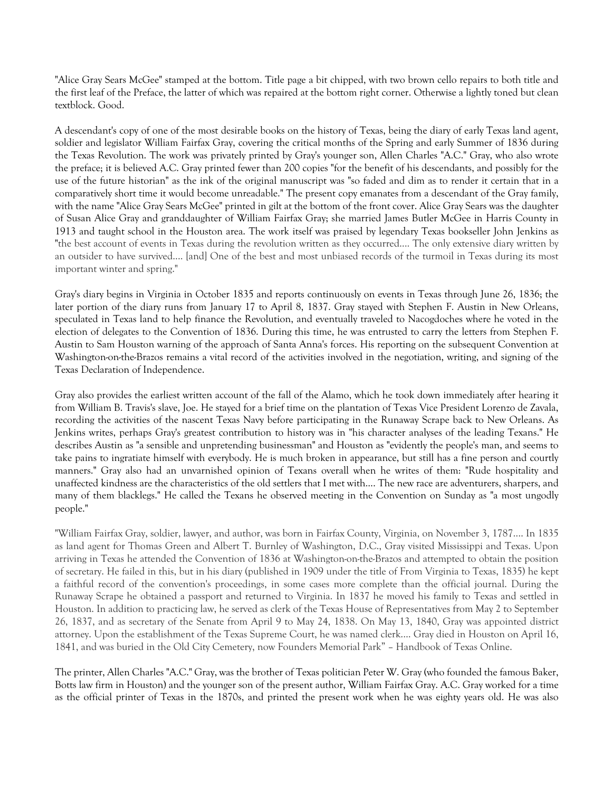"Alice Gray Sears McGee" stamped at the bottom. Title page a bit chipped, with two brown cello repairs to both title and the first leaf of the Preface, the latter of which was repaired at the bottom right corner. Otherwise a lightly toned but clean textblock. Good.

A descendant's copy of one of the most desirable books on the history of Texas, being the diary of early Texas land agent, soldier and legislator William Fairfax Gray, covering the critical months of the Spring and early Summer of 1836 during the Texas Revolution. The work was privately printed by Gray's younger son, Allen Charles "A.C." Gray, who also wrote the preface; it is believed A.C. Gray printed fewer than 200 copies "for the benefit of his descendants, and possibly for the use of the future historian" as the ink of the original manuscript was "so faded and dim as to render it certain that in a comparatively short time it would become unreadable." The present copy emanates from a descendant of the Gray family, with the name "Alice Gray Sears McGee" printed in gilt at the bottom of the front cover. Alice Gray Sears was the daughter of Susan Alice Gray and granddaughter of William Fairfax Gray; she married James Butler McGee in Harris County in 1913 and taught school in the Houston area. The work itself was praised by legendary Texas bookseller John Jenkins as "the best account of events in Texas during the revolution written as they occurred.... The only extensive diary written by an outsider to have survived.... [and] One of the best and most unbiased records of the turmoil in Texas during its most important winter and spring."

Gray's diary begins in Virginia in October 1835 and reports continuously on events in Texas through June 26, 1836; the later portion of the diary runs from January 17 to April 8, 1837. Gray stayed with Stephen F. Austin in New Orleans, speculated in Texas land to help finance the Revolution, and eventually traveled to Nacogdoches where he voted in the election of delegates to the Convention of 1836. During this time, he was entrusted to carry the letters from Stephen F. Austin to Sam Houston warning of the approach of Santa Anna's forces. His reporting on the subsequent Convention at Washington-on-the-Brazos remains a vital record of the activities involved in the negotiation, writing, and signing of the Texas Declaration of Independence.

Gray also provides the earliest written account of the fall of the Alamo, which he took down immediately after hearing it from William B. Travis's slave, Joe. He stayed for a brief time on the plantation of Texas Vice President Lorenzo de Zavala, recording the activities of the nascent Texas Navy before participating in the Runaway Scrape back to New Orleans. As Jenkins writes, perhaps Gray's greatest contribution to history was in "his character analyses of the leading Texans." He describes Austin as "a sensible and unpretending businessman" and Houston as "evidently the people's man, and seems to take pains to ingratiate himself with everybody. He is much broken in appearance, but still has a fine person and courtly manners." Gray also had an unvarnished opinion of Texans overall when he writes of them: "Rude hospitality and unaffected kindness are the characteristics of the old settlers that I met with.... The new race are adventurers, sharpers, and many of them blacklegs." He called the Texans he observed meeting in the Convention on Sunday as "a most ungodly people."

"William Fairfax Gray, soldier, lawyer, and author, was born in Fairfax County, Virginia, on November 3, 1787.... In 1835 as land agent for Thomas Green and Albert T. Burnley of Washington, D.C., Gray visited Mississippi and Texas. Upon arriving in Texas he attended the Convention of 1836 at Washington-on-the-Brazos and attempted to obtain the position of secretary. He failed in this, but in his diary (published in 1909 under the title of From Virginia to Texas, 1835) he kept a faithful record of the convention's proceedings, in some cases more complete than the official journal. During the Runaway Scrape he obtained a passport and returned to Virginia. In 1837 he moved his family to Texas and settled in Houston. In addition to practicing law, he served as clerk of the Texas House of Representatives from May 2 to September 26, 1837, and as secretary of the Senate from April 9 to May 24, 1838. On May 13, 1840, Gray was appointed district attorney. Upon the establishment of the Texas Supreme Court, he was named clerk.... Gray died in Houston on April 16, 1841, and was buried in the Old City Cemetery, now Founders Memorial Park" – Handbook of Texas Online.

The printer, Allen Charles "A.C." Gray, was the brother of Texas politician Peter W. Gray (who founded the famous Baker, Botts law firm in Houston) and the younger son of the present author, William Fairfax Gray. A.C. Gray worked for a time as the official printer of Texas in the 1870s, and printed the present work when he was eighty years old. He was also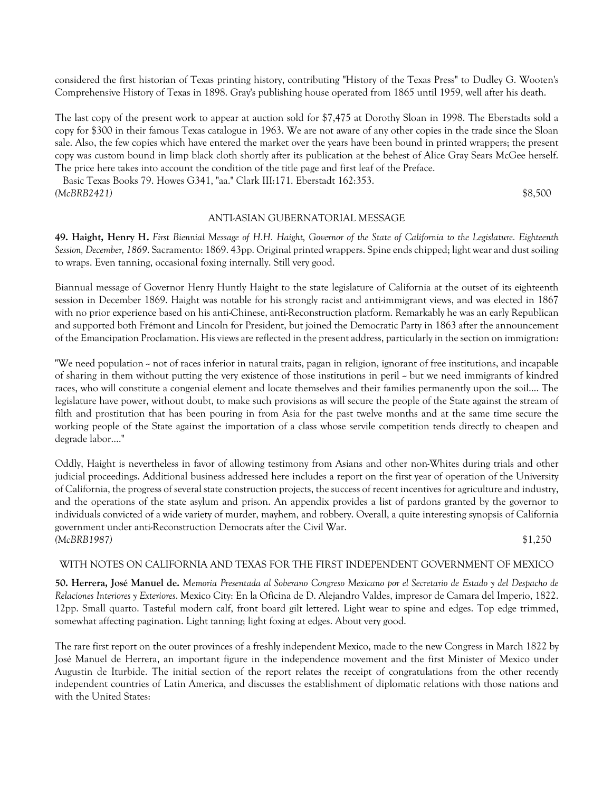considered the first historian of Texas printing history, contributing "History of the Texas Press" to Dudley G. Wooten's Comprehensive History of Texas in 1898. Gray's publishing house operated from 1865 until 1959, well after his death.

The last copy of the present work to appear at auction sold for \$7,475 at Dorothy Sloan in 1998. The Eberstadts sold a copy for \$300 in their famous Texas catalogue in 1963. We are not aware of any other copies in the trade since the Sloan sale. Also, the few copies which have entered the market over the years have been bound in printed wrappers; the present copy was custom bound in limp black cloth shortly after its publication at the behest of Alice Gray Sears McGee herself. The price here takes into account the condition of the title page and first leaf of the Preface.

 Basic Texas Books 79. Howes G341, "aa." Clark III:171. Eberstadt 162:353. *(McBRB2421)* \$8,500

#### ANTI-ASIAN GUBERNATORIAL MESSAGE

**49. Haight, Henry H.** *First Biennial Message of H.H. Haight, Governor of the State of California to the Legislature. Eighteenth Session, December, 1869*. Sacramento: 1869. 43pp. Original printed wrappers. Spine ends chipped; light wear and dust soiling to wraps. Even tanning, occasional foxing internally. Still very good.

Biannual message of Governor Henry Huntly Haight to the state legislature of California at the outset of its eighteenth session in December 1869. Haight was notable for his strongly racist and anti-immigrant views, and was elected in 1867 with no prior experience based on his anti-Chinese, anti-Reconstruction platform. Remarkably he was an early Republican and supported both Frémont and Lincoln for President, but joined the Democratic Party in 1863 after the announcement of the Emancipation Proclamation. His views are reflected in the present address, particularly in the section on immigration:

"We need population - not of races inferior in natural traits, pagan in religion, ignorant of free institutions, and incapable of sharing in them without putting the very existence of those institutions in peril  $\sim$  but we need immigrants of kindred races, who will constitute a congenial element and locate themselves and their families permanently upon the soil.... The legislature have power, without doubt, to make such provisions as will secure the people of the State against the stream of filth and prostitution that has been pouring in from Asia for the past twelve months and at the same time secure the working people of the State against the importation of a class whose servile competition tends directly to cheapen and degrade labor...."

Oddly, Haight is nevertheless in favor of allowing testimony from Asians and other non-Whites during trials and other judicial proceedings. Additional business addressed here includes a report on the first year of operation of the University of California, the progress of several state construction projects, the success of recent incentives for agriculture and industry, and the operations of the state asylum and prison. An appendix provides a list of pardons granted by the governor to individuals convicted of a wide variety of murder, mayhem, and robbery. Overall, a quite interesting synopsis of California government under anti-Reconstruction Democrats after the Civil War. *(McBRB1987)* \$1,250

#### WITH NOTES ON CALIFORNIA AND TEXAS FOR THE FIRST INDEPENDENT GOVERNMENT OF MEXICO

**50. Herrera, José Manuel de.** *Memoria Presentada al Soberano Congreso Mexicano por el Secretario de Estado y del Despacho de Relaciones Interiores y Exteriores*. Mexico City: En la Oficina de D. Alejandro Valdes, impresor de Camara del Imperio, 1822. 12pp. Small quarto. Tasteful modern calf, front board gilt lettered. Light wear to spine and edges. Top edge trimmed, somewhat affecting pagination. Light tanning; light foxing at edges. About very good.

The rare first report on the outer provinces of a freshly independent Mexico, made to the new Congress in March 1822 by José Manuel de Herrera, an important figure in the independence movement and the first Minister of Mexico under Augustin de Iturbide. The initial section of the report relates the receipt of congratulations from the other recently independent countries of Latin America, and discusses the establishment of diplomatic relations with those nations and with the United States: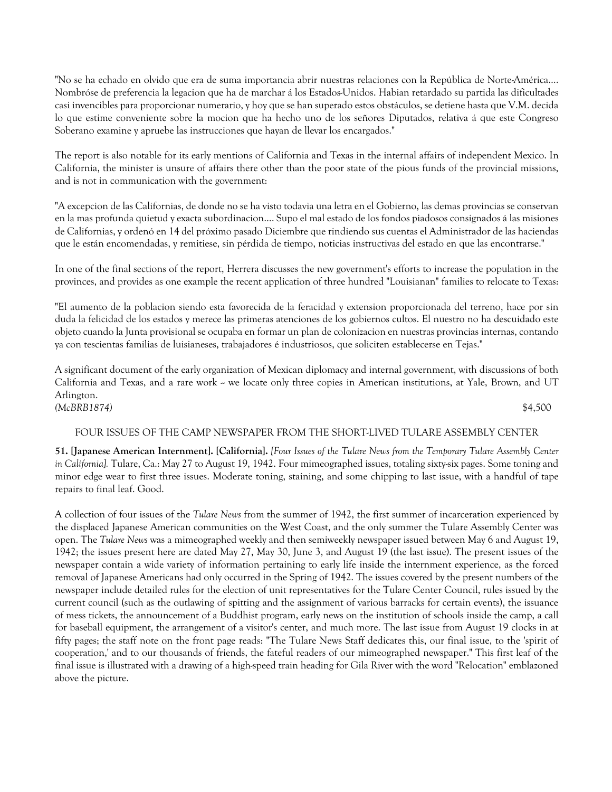"No se ha echado en olvido que era de suma importancia abrir nuestras relaciones con la República de Norte-América.... Nombróse de preferencia la legacion que ha de marchar á los Estados-Unidos. Habian retardado su partida las dificultades casi invencibles para proporcionar numerario, y hoy que se han superado estos obstáculos, se detiene hasta que V.M. decida lo que estime conveniente sobre la mocion que ha hecho uno de los señores Diputados, relativa á que este Congreso Soberano examine y apruebe las instrucciones que hayan de llevar los encargados."

The report is also notable for its early mentions of California and Texas in the internal affairs of independent Mexico. In California, the minister is unsure of affairs there other than the poor state of the pious funds of the provincial missions, and is not in communication with the government:

"A excepcion de las Californias, de donde no se ha visto todavia una letra en el Gobierno, las demas provincias se conservan en la mas profunda quietud y exacta subordinacion.... Supo el mal estado de los fondos piadosos consignados á las misiones de Californias, y ordenó en 14 del próximo pasado Diciembre que rindiendo sus cuentas el Administrador de las haciendas que le están encomendadas, y remitiese, sin pérdida de tiempo, noticias instructivas del estado en que las encontrarse."

In one of the final sections of the report, Herrera discusses the new government's efforts to increase the population in the provinces, and provides as one example the recent application of three hundred "Louisianan" families to relocate to Texas:

"El aumento de la poblacion siendo esta favorecida de la feracidad y extension proporcionada del terreno, hace por sin duda la felicidad de los estados y merece las primeras atenciones de los gobiernos cultos. El nuestro no ha descuidado este objeto cuando la Junta provisional se ocupaba en formar un plan de colonizacion en nuestras provincias internas, contando ya con tescientas familias de luisianeses, trabajadores é industriosos, que soliciten establecerse en Tejas."

A significant document of the early organization of Mexican diplomacy and internal government, with discussions of both California and Texas, and a rare work -- we locate only three copies in American institutions, at Yale, Brown, and UT Arlington. *(McBRB1874)* \$4,500

# FOUR ISSUES OF THE CAMP NEWSPAPER FROM THE SHORT-LIVED TULARE ASSEMBLY CENTER

**51. [Japanese American Internment]. [California].** *[Four Issues of the Tulare News from the Temporary Tulare Assembly Center in California].* Tulare, Ca.: May 27 to August 19, 1942. Four mimeographed issues, totaling sixty-six pages. Some toning and minor edge wear to first three issues. Moderate toning, staining, and some chipping to last issue, with a handful of tape repairs to final leaf. Good.

A collection of four issues of the *Tulare News* from the summer of 1942, the first summer of incarceration experienced by the displaced Japanese American communities on the West Coast, and the only summer the Tulare Assembly Center was open. The *Tulare News* was a mimeographed weekly and then semiweekly newspaper issued between May 6 and August 19, 1942; the issues present here are dated May 27, May 30, June 3, and August 19 (the last issue). The present issues of the newspaper contain a wide variety of information pertaining to early life inside the internment experience, as the forced removal of Japanese Americans had only occurred in the Spring of 1942. The issues covered by the present numbers of the newspaper include detailed rules for the election of unit representatives for the Tulare Center Council, rules issued by the current council (such as the outlawing of spitting and the assignment of various barracks for certain events), the issuance of mess tickets, the announcement of a Buddhist program, early news on the institution of schools inside the camp, a call for baseball equipment, the arrangement of a visitor's center, and much more. The last issue from August 19 clocks in at fifty pages; the staff note on the front page reads: "The Tulare News Staff dedicates this, our final issue, to the 'spirit of cooperation,' and to our thousands of friends, the fateful readers of our mimeographed newspaper." This first leaf of the final issue is illustrated with a drawing of a high-speed train heading for Gila River with the word "Relocation" emblazoned above the picture.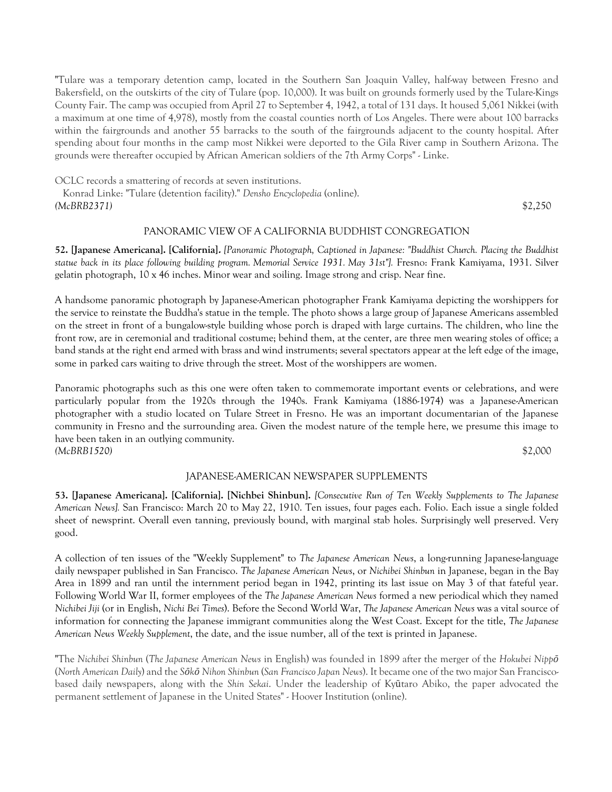"Tulare was a temporary detention camp, located in the Southern San Joaquin Valley, half-way between Fresno and Bakersfield, on the outskirts of the city of Tulare (pop. 10,000). It was built on grounds formerly used by the Tulare-Kings County Fair. The camp was occupied from April 27 to September 4, 1942, a total of 131 days. It housed 5,061 Nikkei (with a maximum at one time of 4,978), mostly from the coastal counties north of Los Angeles. There were about 100 barracks within the fairgrounds and another 55 barracks to the south of the fairgrounds adjacent to the county hospital. After spending about four months in the camp most Nikkei were deported to the Gila River camp in Southern Arizona. The grounds were thereafter occupied by African American soldiers of the 7th Army Corps" - Linke.

OCLC records a smattering of records at seven institutions.

 Konrad Linke: "Tulare (detention facility)." *Densho Encyclopedia* (online). *(McBRB2371)* \$2,250

### PANORAMIC VIEW OF A CALIFORNIA BUDDHIST CONGREGATION

**52. [Japanese Americana]. [California].** *[Panoramic Photograph, Captioned in Japanese: "Buddhist Church. Placing the Buddhist statue back in its place following building program. Memorial Service 1931. May 31st"].* Fresno: Frank Kamiyama, 1931. Silver gelatin photograph, 10 x 46 inches. Minor wear and soiling. Image strong and crisp. Near fine.

A handsome panoramic photograph by Japanese-American photographer Frank Kamiyama depicting the worshippers for the service to reinstate the Buddha's statue in the temple. The photo shows a large group of Japanese Americans assembled on the street in front of a bungalow-style building whose porch is draped with large curtains. The children, who line the front row, are in ceremonial and traditional costume; behind them, at the center, are three men wearing stoles of office; a band stands at the right end armed with brass and wind instruments; several spectators appear at the left edge of the image, some in parked cars waiting to drive through the street. Most of the worshippers are women.

Panoramic photographs such as this one were often taken to commemorate important events or celebrations, and were particularly popular from the 1920s through the 1940s. Frank Kamiyama (1886-1974) was a Japanese-American photographer with a studio located on Tulare Street in Fresno. He was an important documentarian of the Japanese community in Fresno and the surrounding area. Given the modest nature of the temple here, we presume this image to have been taken in an outlying community. *(McBRB1520)* \$2,000

### JAPANESE-AMERICAN NEWSPAPER SUPPLEMENTS

**53. [Japanese Americana]. [California]. [Nichbei Shinbun].** *[Consecutive Run of Ten Weekly Supplements to The Japanese American News].* San Francisco: March 20 to May 22, 1910. Ten issues, four pages each. Folio. Each issue a single folded sheet of newsprint. Overall even tanning, previously bound, with marginal stab holes. Surprisingly well preserved. Very good.

A collection of ten issues of the "Weekly Supplement" to *The Japanese American News*, a long-running Japanese-language daily newspaper published in San Francisco. *The Japanese American News*, or *Nichibei Shinbun* in Japanese, began in the Bay Area in 1899 and ran until the internment period began in 1942, printing its last issue on May 3 of that fateful year. Following World War II, former employees of the *The Japanese American News* formed a new periodical which they named *Nichibei Jiji* (or in English, *Nichi Bei Times*). Before the Second World War, *The Japanese American News* was a vital source of information for connecting the Japanese immigrant communities along the West Coast. Except for the title, *The Japanese American News Weekly Supplement*, the date, and the issue number, all of the text is printed in Japanese.

"The *Nichibei Shinbun* (*The Japanese American News* in English) was founded in 1899 after the merger of the *Hokubei Nippō* (*North American Daily*) and the *Sōkō Nihon Shinbun* (*San Francisco Japan News*). It became one of the two major San Franciscobased daily newspapers, along with the *Shin Sekai*. Under the leadership of Kyūtaro Abiko, the paper advocated the permanent settlement of Japanese in the United States" - Hoover Institution (online).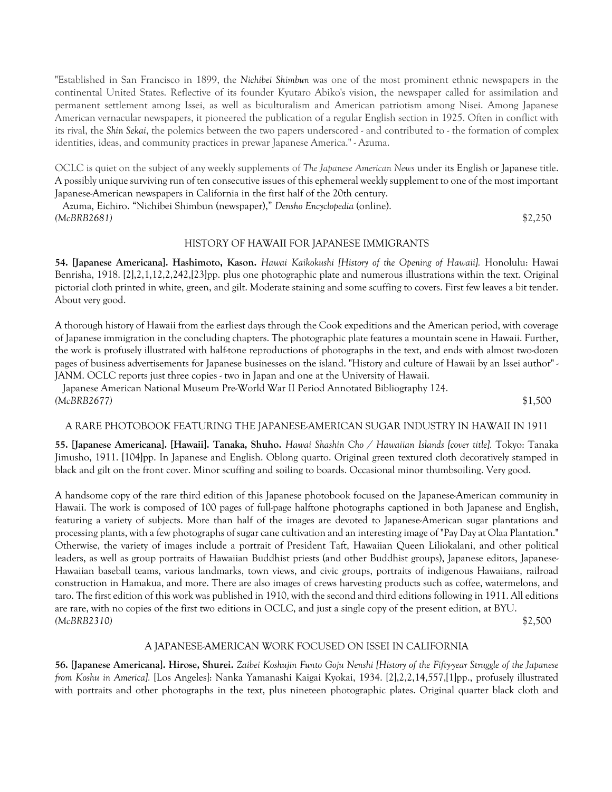"Established in San Francisco in 1899, the *Nichibei Shimbun* was one of the most prominent ethnic newspapers in the continental United States. Reflective of its founder Kyutaro Abiko's vision, the newspaper called for assimilation and permanent settlement among Issei, as well as biculturalism and American patriotism among Nisei. Among Japanese American vernacular newspapers, it pioneered the publication of a regular English section in 1925. Often in conflict with its rival, the *Shin Sekai*, the polemics between the two papers underscored - and contributed to - the formation of complex identities, ideas, and community practices in prewar Japanese America." - Azuma.

OCLC is quiet on the subject of any weekly supplements of *The Japanese American News* under its English or Japanese title. A possibly unique surviving run of ten consecutive issues of this ephemeral weekly supplement to one of the most important Japanese-American newspapers in California in the first half of the 20th century.

 Azuma, Eichiro. "Nichibei Shimbun (newspaper)," *Densho Encyclopedia* (online). *(McBRB2681)* \$2,250

#### HISTORY OF HAWAII FOR JAPANESE IMMIGRANTS

**54. [Japanese Americana]. Hashimoto, Kason.** *Hawai Kaikokushi [History of the Opening of Hawaii].* Honolulu: Hawai Benrisha, 1918. [2],2,1,12,2,242,[23]pp. plus one photographic plate and numerous illustrations within the text. Original pictorial cloth printed in white, green, and gilt. Moderate staining and some scuffing to covers. First few leaves a bit tender. About very good.

A thorough history of Hawaii from the earliest days through the Cook expeditions and the American period, with coverage of Japanese immigration in the concluding chapters. The photographic plate features a mountain scene in Hawaii. Further, the work is profusely illustrated with half-tone reproductions of photographs in the text, and ends with almost two-dozen pages of business advertisements for Japanese businesses on the island. "History and culture of Hawaii by an Issei author" - JANM. OCLC reports just three copies - two in Japan and one at the University of Hawaii.

 Japanese American National Museum Pre-World War II Period Annotated Bibliography 124. *(McBRB2677)* \$1,500

#### A RARE PHOTOBOOK FEATURING THE JAPANESE-AMERICAN SUGAR INDUSTRY IN HAWAII IN 1911

**55. [Japanese Americana]. [Hawaii]. Tanaka, Shuho.** *Hawai Shashin Cho / Hawaiian Islands [cover title].* Tokyo: Tanaka Jimusho, 1911. [104]pp. In Japanese and English. Oblong quarto. Original green textured cloth decoratively stamped in black and gilt on the front cover. Minor scuffing and soiling to boards. Occasional minor thumbsoiling. Very good.

A handsome copy of the rare third edition of this Japanese photobook focused on the Japanese-American community in Hawaii. The work is composed of 100 pages of full-page halftone photographs captioned in both Japanese and English, featuring a variety of subjects. More than half of the images are devoted to Japanese-American sugar plantations and processing plants, with a few photographs of sugar cane cultivation and an interesting image of "Pay Day at Olaa Plantation." Otherwise, the variety of images include a portrait of President Taft, Hawaiian Queen Liliokalani, and other political leaders, as well as group portraits of Hawaiian Buddhist priests (and other Buddhist groups), Japanese editors, Japanese-Hawaiian baseball teams, various landmarks, town views, and civic groups, portraits of indigenous Hawaiians, railroad construction in Hamakua, and more. There are also images of crews harvesting products such as coffee, watermelons, and taro. The first edition of this work was published in 1910, with the second and third editions following in 1911. All editions are rare, with no copies of the first two editions in OCLC, and just a single copy of the present edition, at BYU. *(McBRB2310)* \$2,500

### A JAPANESE-AMERICAN WORK FOCUSED ON ISSEI IN CALIFORNIA

**56. [Japanese Americana]. Hirose, Shurei.** *Zaibei Koshujin Funto Goju Nenshi [History of the Fifty-year Struggle of the Japanese from Koshu in America].* [Los Angeles]: Nanka Yamanashi Kaigai Kyokai, 1934. [2],2,2,14,557,[1]pp., profusely illustrated with portraits and other photographs in the text, plus nineteen photographic plates. Original quarter black cloth and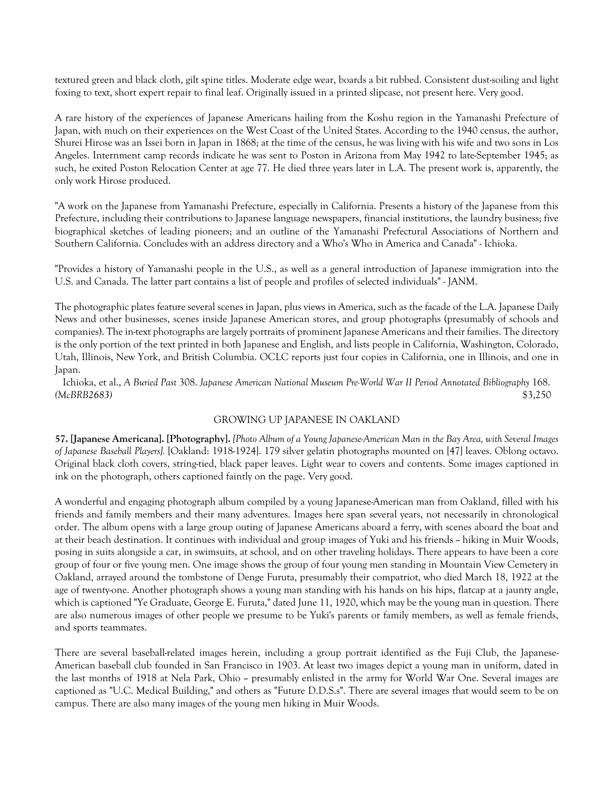textured green and black cloth, gilt spine titles. Moderate edge wear, boards a bit rubbed. Consistent dust-soiling and light foxing to text, short expert repair to final leaf. Originally issued in a printed slipcase, not present here. Very good.

A rare history of the experiences of Japanese Americans hailing from the Koshu region in the Yamanashi Prefecture of Japan, with much on their experiences on the West Coast of the United States. According to the 1940 census, the author, Shurei Hirose was an Issei born in Japan in 1868; at the time of the census, he was living with his wife and two sons in Los Angeles. Internment camp records indicate he was sent to Poston in Arizona from May 1942 to late-September 1945; as such, he exited Poston Relocation Center at age 77. He died three years later in L.A. The present work is, apparently, the only work Hirose produced.

"A work on the Japanese from Yamanashi Prefecture, especially in California. Presents a history of the Japanese from this Prefecture, including their contributions to Japanese language newspapers, financial institutions, the laundry business; five biographical sketches of leading pioneers; and an outline of the Yamanashi Prefectural Associations of Northern and Southern California. Concludes with an address directory and a Who's Who in America and Canada" - Ichioka.

"Provides a history of Yamanashi people in the U.S., as well as a general introduction of Japanese immigration into the U.S. and Canada. The latter part contains a list of people and profiles of selected individuals" - JANM.

The photographic plates feature several scenes in Japan, plus views in America, such as the facade of the L.A. Japanese Daily News and other businesses, scenes inside Japanese American stores, and group photographs (presumably of schools and companies). The in-text photographs are largely portraits of prominent Japanese Americans and their families. The directory is the only portion of the text printed in both Japanese and English, and lists people in California, Washington, Colorado, Utah, Illinois, New York, and British Columbia. OCLC reports just four copies in California, one in Illinois, and one in Japan.

 Ichioka, et al., *A Buried Past* 308. *Japanese American National Museum Pre-World War II Period Annotated Bibliography* 168. *(McBRB2683)* \$3,250

# GROWING UP JAPANESE IN OAKLAND

**57. [Japanese Americana]. [Photography].** *[Photo Album of a Young Japanese-American Man in the Bay Area, with Several Images of Japanese Baseball Players].* [Oakland: 1918-1924]. 179 silver gelatin photographs mounted on [47] leaves. Oblong octavo. Original black cloth covers, string-tied, black paper leaves. Light wear to covers and contents. Some images captioned in ink on the photograph, others captioned faintly on the page. Very good.

A wonderful and engaging photograph album compiled by a young Japanese-American man from Oakland, filled with his friends and family members and their many adventures. Images here span several years, not necessarily in chronological order. The album opens with a large group outing of Japanese Americans aboard a ferry, with scenes aboard the boat and at their beach destination. It continues with individual and group images of Yuki and his friends -- hiking in Muir Woods, posing in suits alongside a car, in swimsuits, at school, and on other traveling holidays. There appears to have been a core group of four or five young men. One image shows the group of four young men standing in Mountain View Cemetery in Oakland, arrayed around the tombstone of Denge Furuta, presumably their compatriot, who died March 18, 1922 at the age of twenty-one. Another photograph shows a young man standing with his hands on his hips, flatcap at a jaunty angle, which is captioned "Ye Graduate, George E. Furuta," dated June 11, 1920, which may be the young man in question. There are also numerous images of other people we presume to be Yuki's parents or family members, as well as female friends, and sports teammates.

There are several baseball-related images herein, including a group portrait identified as the Fuji Club, the Japanese-American baseball club founded in San Francisco in 1903. At least two images depict a young man in uniform, dated in the last months of 1918 at Nela Park, Ohio – presumably enlisted in the army for World War One. Several images are captioned as "U.C. Medical Building," and others as "Future D.D.S.s". There are several images that would seem to be on campus. There are also many images of the young men hiking in Muir Woods.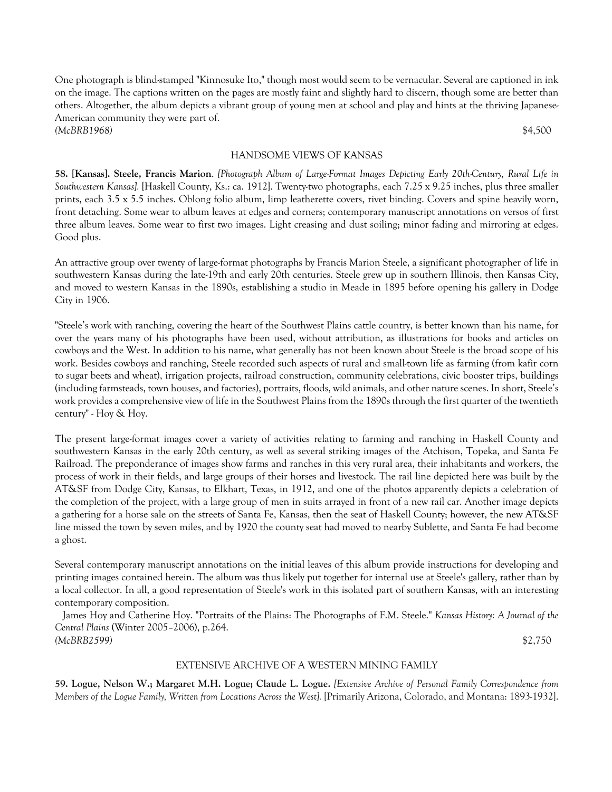One photograph is blind-stamped "Kinnosuke Ito," though most would seem to be vernacular. Several are captioned in ink on the image. The captions written on the pages are mostly faint and slightly hard to discern, though some are better than others. Altogether, the album depicts a vibrant group of young men at school and play and hints at the thriving Japanese-American community they were part of. *(McBRB1968)* \$4,500

#### HANDSOME VIEWS OF KANSAS

**58. [Kansas]. Steele, Francis Marion**. *[Photograph Album of Large-Format Images Depicting Early 20th-Century, Rural Life in Southwestern Kansas].* [Haskell County, Ks.: ca. 1912]. Twenty-two photographs, each 7.25 x 9.25 inches, plus three smaller prints, each 3.5 x 5.5 inches. Oblong folio album, limp leatherette covers, rivet binding. Covers and spine heavily worn, front detaching. Some wear to album leaves at edges and corners; contemporary manuscript annotations on versos of first three album leaves. Some wear to first two images. Light creasing and dust soiling; minor fading and mirroring at edges. Good plus.

An attractive group over twenty of large-format photographs by Francis Marion Steele, a significant photographer of life in southwestern Kansas during the late-19th and early 20th centuries. Steele grew up in southern Illinois, then Kansas City, and moved to western Kansas in the 1890s, establishing a studio in Meade in 1895 before opening his gallery in Dodge City in 1906.

"Steele's work with ranching, covering the heart of the Southwest Plains cattle country, is better known than his name, for over the years many of his photographs have been used, without attribution, as illustrations for books and articles on cowboys and the West. In addition to his name, what generally has not been known about Steele is the broad scope of his work. Besides cowboys and ranching, Steele recorded such aspects of rural and small-town life as farming (from kafir corn to sugar beets and wheat), irrigation projects, railroad construction, community celebrations, civic booster trips, buildings (including farmsteads, town houses, and factories), portraits, floods, wild animals, and other nature scenes. In short, Steele's work provides a comprehensive view of life in the Southwest Plains from the 1890s through the first quarter of the twentieth century" - Hoy & Hoy.

The present large-format images cover a variety of activities relating to farming and ranching in Haskell County and southwestern Kansas in the early 20th century, as well as several striking images of the Atchison, Topeka, and Santa Fe Railroad. The preponderance of images show farms and ranches in this very rural area, their inhabitants and workers, the process of work in their fields, and large groups of their horses and livestock. The rail line depicted here was built by the AT&SF from Dodge City, Kansas, to Elkhart, Texas, in 1912, and one of the photos apparently depicts a celebration of the completion of the project, with a large group of men in suits arrayed in front of a new rail car. Another image depicts a gathering for a horse sale on the streets of Santa Fe, Kansas, then the seat of Haskell County; however, the new AT&SF line missed the town by seven miles, and by 1920 the county seat had moved to nearby Sublette, and Santa Fe had become a ghost.

Several contemporary manuscript annotations on the initial leaves of this album provide instructions for developing and printing images contained herein. The album was thus likely put together for internal use at Steele's gallery, rather than by a local collector. In all, a good representation of Steele's work in this isolated part of southern Kansas, with an interesting contemporary composition.

 James Hoy and Catherine Hoy. "Portraits of the Plains: The Photographs of F.M. Steele." *Kansas History: A Journal of the Central Plains* (Winter 2005–2006), p.264. *(McBRB2599)* \$2,750

#### EXTENSIVE ARCHIVE OF A WESTERN MINING FAMILY

**59. Logue, Nelson W.; Margaret M.H. Logue; Claude L. Logue.** *[Extensive Archive of Personal Family Correspondence from Members of the Logue Family, Written from Locations Across the West].* [Primarily Arizona, Colorado, and Montana: 1893-1932].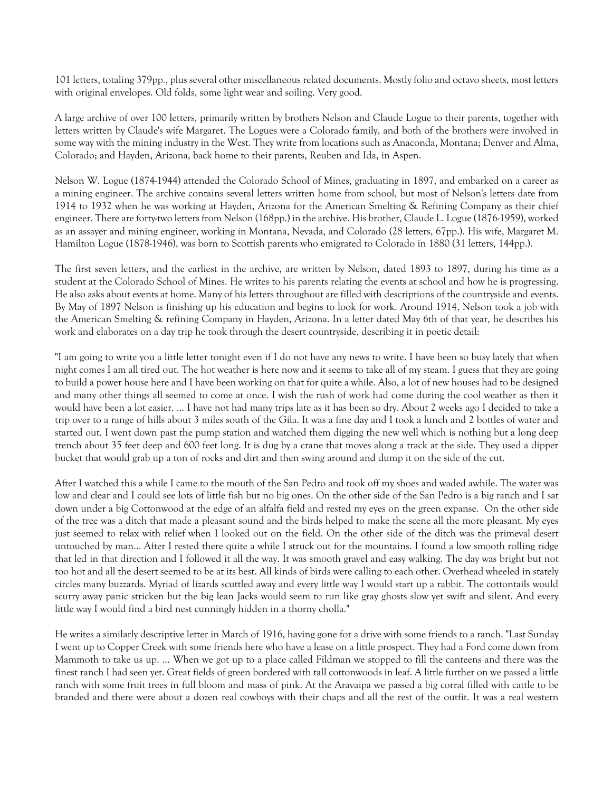101 letters, totaling 379pp., plus several other miscellaneous related documents. Mostly folio and octavo sheets, most letters with original envelopes. Old folds, some light wear and soiling. Very good.

A large archive of over 100 letters, primarily written by brothers Nelson and Claude Logue to their parents, together with letters written by Claude's wife Margaret. The Logues were a Colorado family, and both of the brothers were involved in some way with the mining industry in the West. They write from locations such as Anaconda, Montana; Denver and Alma, Colorado; and Hayden, Arizona, back home to their parents, Reuben and Ida, in Aspen.

Nelson W. Logue (1874-1944) attended the Colorado School of Mines, graduating in 1897, and embarked on a career as a mining engineer. The archive contains several letters written home from school, but most of Nelson's letters date from 1914 to 1932 when he was working at Hayden, Arizona for the American Smelting & Refining Company as their chief engineer. There are forty-two letters from Nelson (168pp.) in the archive. His brother, Claude L. Logue (1876-1959), worked as an assayer and mining engineer, working in Montana, Nevada, and Colorado (28 letters, 67pp.). His wife, Margaret M. Hamilton Logue (1878-1946), was born to Scottish parents who emigrated to Colorado in 1880 (31 letters, 144pp.).

The first seven letters, and the earliest in the archive, are written by Nelson, dated 1893 to 1897, during his time as a student at the Colorado School of Mines. He writes to his parents relating the events at school and how he is progressing. He also asks about events at home. Many of his letters throughout are filled with descriptions of the countryside and events. By May of 1897 Nelson is finishing up his education and begins to look for work. Around 1914, Nelson took a job with the American Smelting & refining Company in Hayden, Arizona. In a letter dated May 6th of that year, he describes his work and elaborates on a day trip he took through the desert countryside, describing it in poetic detail:

"I am going to write you a little letter tonight even if I do not have any news to write. I have been so busy lately that when night comes I am all tired out. The hot weather is here now and it seems to take all of my steam. I guess that they are going to build a power house here and I have been working on that for quite a while. Also, a lot of new houses had to be designed and many other things all seemed to come at once. I wish the rush of work had come during the cool weather as then it would have been a lot easier. ... I have not had many trips late as it has been so dry. About 2 weeks ago I decided to take a trip over to a range of hills about 3 miles south of the Gila. It was a fine day and I took a lunch and 2 bottles of water and started out. I went down past the pump station and watched them digging the new well which is nothing but a long deep trench about 35 feet deep and 600 feet long. It is dug by a crane that moves along a track at the side. They used a dipper bucket that would grab up a ton of rocks and dirt and then swing around and dump it on the side of the cut.

After I watched this a while I came to the mouth of the San Pedro and took off my shoes and waded awhile. The water was low and clear and I could see lots of little fish but no big ones. On the other side of the San Pedro is a big ranch and I sat down under a big Cottonwood at the edge of an alfalfa field and rested my eyes on the green expanse. On the other side of the tree was a ditch that made a pleasant sound and the birds helped to make the scene all the more pleasant. My eyes just seemed to relax with relief when I looked out on the field. On the other side of the ditch was the primeval desert untouched by man… After I rested there quite a while I struck out for the mountains. I found a low smooth rolling ridge that led in that direction and I followed it all the way. It was smooth gravel and easy walking. The day was bright but not too hot and all the desert seemed to be at its best. All kinds of birds were calling to each other. Overhead wheeled in stately circles many buzzards. Myriad of lizards scuttled away and every little way I would start up a rabbit. The cottontails would scurry away panic stricken but the big lean Jacks would seem to run like gray ghosts slow yet swift and silent. And every little way I would find a bird nest cunningly hidden in a thorny cholla."

He writes a similarly descriptive letter in March of 1916, having gone for a drive with some friends to a ranch. "Last Sunday I went up to Copper Creek with some friends here who have a lease on a little prospect. They had a Ford come down from Mammoth to take us up. ... When we got up to a place called Fildman we stopped to fill the canteens and there was the finest ranch I had seen yet. Great fields of green bordered with tall cottonwoods in leaf. A little further on we passed a little ranch with some fruit trees in full bloom and mass of pink. At the Aravaipa we passed a big corral filled with cattle to be branded and there were about a dozen real cowboys with their chaps and all the rest of the outfit. It was a real western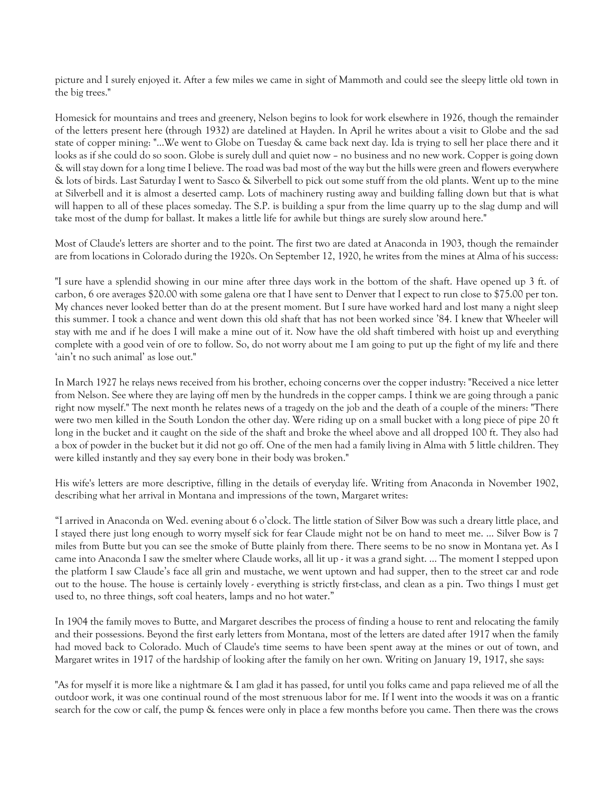picture and I surely enjoyed it. After a few miles we came in sight of Mammoth and could see the sleepy little old town in the big trees."

Homesick for mountains and trees and greenery, Nelson begins to look for work elsewhere in 1926, though the remainder of the letters present here (through 1932) are datelined at Hayden. In April he writes about a visit to Globe and the sad state of copper mining: "…We went to Globe on Tuesday & came back next day. Ida is trying to sell her place there and it looks as if she could do so soon. Globe is surely dull and quiet now – no business and no new work. Copper is going down & will stay down for a long time I believe. The road was bad most of the way but the hills were green and flowers everywhere & lots of birds. Last Saturday I went to Sasco & Silverbell to pick out some stuff from the old plants. Went up to the mine at Silverbell and it is almost a deserted camp. Lots of machinery rusting away and building falling down but that is what will happen to all of these places someday. The S.P. is building a spur from the lime quarry up to the slag dump and will take most of the dump for ballast. It makes a little life for awhile but things are surely slow around here."

Most of Claude's letters are shorter and to the point. The first two are dated at Anaconda in 1903, though the remainder are from locations in Colorado during the 1920s. On September 12, 1920, he writes from the mines at Alma of his success:

"I sure have a splendid showing in our mine after three days work in the bottom of the shaft. Have opened up 3 ft. of carbon, 6 ore averages \$20.00 with some galena ore that I have sent to Denver that I expect to run close to \$75.00 per ton. My chances never looked better than do at the present moment. But I sure have worked hard and lost many a night sleep this summer. I took a chance and went down this old shaft that has not been worked since '84. I knew that Wheeler will stay with me and if he does I will make a mine out of it. Now have the old shaft timbered with hoist up and everything complete with a good vein of ore to follow. So, do not worry about me I am going to put up the fight of my life and there 'ain't no such animal' as lose out."

In March 1927 he relays news received from his brother, echoing concerns over the copper industry: "Received a nice letter from Nelson. See where they are laying off men by the hundreds in the copper camps. I think we are going through a panic right now myself." The next month he relates news of a tragedy on the job and the death of a couple of the miners: "There were two men killed in the South London the other day. Were riding up on a small bucket with a long piece of pipe 20 ft long in the bucket and it caught on the side of the shaft and broke the wheel above and all dropped 100 ft. They also had a box of powder in the bucket but it did not go off. One of the men had a family living in Alma with 5 little children. They were killed instantly and they say every bone in their body was broken."

His wife's letters are more descriptive, filling in the details of everyday life. Writing from Anaconda in November 1902, describing what her arrival in Montana and impressions of the town, Margaret writes:

"I arrived in Anaconda on Wed. evening about 6 o'clock. The little station of Silver Bow was such a dreary little place, and I stayed there just long enough to worry myself sick for fear Claude might not be on hand to meet me. … Silver Bow is 7 miles from Butte but you can see the smoke of Butte plainly from there. There seems to be no snow in Montana yet. As I came into Anaconda I saw the smelter where Claude works, all lit up - it was a grand sight. … The moment I stepped upon the platform I saw Claude's face all grin and mustache, we went uptown and had supper, then to the street car and rode out to the house. The house is certainly lovely - everything is strictly first-class, and clean as a pin. Two things I must get used to, no three things, soft coal heaters, lamps and no hot water."

In 1904 the family moves to Butte, and Margaret describes the process of finding a house to rent and relocating the family and their possessions. Beyond the first early letters from Montana, most of the letters are dated after 1917 when the family had moved back to Colorado. Much of Claude's time seems to have been spent away at the mines or out of town, and Margaret writes in 1917 of the hardship of looking after the family on her own. Writing on January 19, 1917, she says:

"As for myself it is more like a nightmare & I am glad it has passed, for until you folks came and papa relieved me of all the outdoor work, it was one continual round of the most strenuous labor for me. If I went into the woods it was on a frantic search for the cow or calf, the pump & fences were only in place a few months before you came. Then there was the crows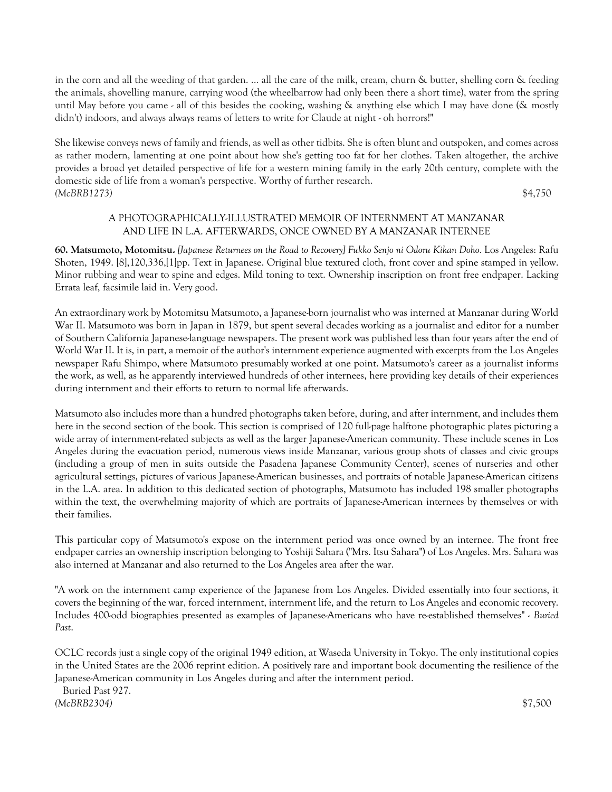in the corn and all the weeding of that garden. ... all the care of the milk, cream, churn & butter, shelling corn & feeding the animals, shovelling manure, carrying wood (the wheelbarrow had only been there a short time), water from the spring until May before you came - all of this besides the cooking, washing & anything else which I may have done (& mostly didn't) indoors, and always always reams of letters to write for Claude at night - oh horrors!"

She likewise conveys news of family and friends, as well as other tidbits. She is often blunt and outspoken, and comes across as rather modern, lamenting at one point about how she's getting too fat for her clothes. Taken altogether, the archive provides a broad yet detailed perspective of life for a western mining family in the early 20th century, complete with the domestic side of life from a woman's perspective. Worthy of further research. *(McBRB1273)* \$4,750

# A PHOTOGRAPHICALLY-ILLUSTRATED MEMOIR OF INTERNMENT AT MANZANAR AND LIFE IN L.A. AFTERWARDS, ONCE OWNED BY A MANZANAR INTERNEE

**60. Matsumoto, Motomitsu.** *[Japanese Returnees on the Road to Recovery] Fukko Senjo ni Odoru Kikan Doho.* Los Angeles: Rafu Shoten, 1949. [8],120,336,[1]pp. Text in Japanese. Original blue textured cloth, front cover and spine stamped in yellow. Minor rubbing and wear to spine and edges. Mild toning to text. Ownership inscription on front free endpaper. Lacking Errata leaf, facsimile laid in. Very good.

An extraordinary work by Motomitsu Matsumoto, a Japanese-born journalist who was interned at Manzanar during World War II. Matsumoto was born in Japan in 1879, but spent several decades working as a journalist and editor for a number of Southern California Japanese-language newspapers. The present work was published less than four years after the end of World War II. It is, in part, a memoir of the author's internment experience augmented with excerpts from the Los Angeles newspaper Rafu Shimpo, where Matsumoto presumably worked at one point. Matsumoto's career as a journalist informs the work, as well, as he apparently interviewed hundreds of other internees, here providing key details of their experiences during internment and their efforts to return to normal life afterwards.

Matsumoto also includes more than a hundred photographs taken before, during, and after internment, and includes them here in the second section of the book. This section is comprised of 120 full-page halftone photographic plates picturing a wide array of internment-related subjects as well as the larger Japanese-American community. These include scenes in Los Angeles during the evacuation period, numerous views inside Manzanar, various group shots of classes and civic groups (including a group of men in suits outside the Pasadena Japanese Community Center), scenes of nurseries and other agricultural settings, pictures of various Japanese-American businesses, and portraits of notable Japanese-American citizens in the L.A. area. In addition to this dedicated section of photographs, Matsumoto has included 198 smaller photographs within the text, the overwhelming majority of which are portraits of Japanese-American internees by themselves or with their families.

This particular copy of Matsumoto's expose on the internment period was once owned by an internee. The front free endpaper carries an ownership inscription belonging to Yoshiji Sahara ("Mrs. Itsu Sahara") of Los Angeles. Mrs. Sahara was also interned at Manzanar and also returned to the Los Angeles area after the war.

"A work on the internment camp experience of the Japanese from Los Angeles. Divided essentially into four sections, it covers the beginning of the war, forced internment, internment life, and the return to Los Angeles and economic recovery. Includes 400-odd biographies presented as examples of Japanese-Americans who have re-established themselves" - *Buried Past*.

OCLC records just a single copy of the original 1949 edition, at Waseda University in Tokyo. The only institutional copies in the United States are the 2006 reprint edition. A positively rare and important book documenting the resilience of the Japanese-American community in Los Angeles during and after the internment period.

 Buried Past 927. *(McBRB2304)* \$7,500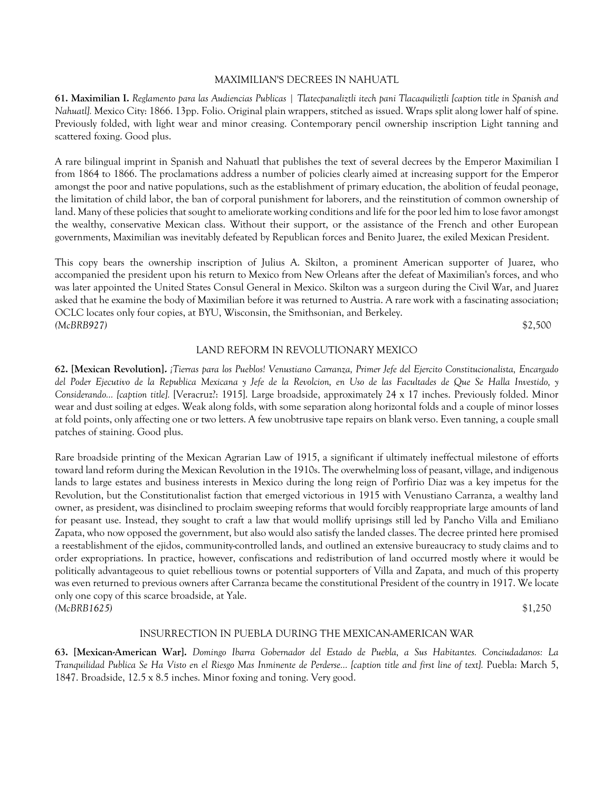### MAXIMILIAN'S DECREES IN NAHUATL

**61. Maximilian I.** *Reglamento para las Audiencias Publicas | Tlatecpanaliztli itech pani Tlacaquiliztli [caption title in Spanish and Nahuatl].* Mexico City: 1866. 13pp. Folio. Original plain wrappers, stitched as issued. Wraps split along lower half of spine. Previously folded, with light wear and minor creasing. Contemporary pencil ownership inscription Light tanning and scattered foxing. Good plus.

A rare bilingual imprint in Spanish and Nahuatl that publishes the text of several decrees by the Emperor Maximilian I from 1864 to 1866. The proclamations address a number of policies clearly aimed at increasing support for the Emperor amongst the poor and native populations, such as the establishment of primary education, the abolition of feudal peonage, the limitation of child labor, the ban of corporal punishment for laborers, and the reinstitution of common ownership of land. Many of these policies that sought to ameliorate working conditions and life for the poor led him to lose favor amongst the wealthy, conservative Mexican class. Without their support, or the assistance of the French and other European governments, Maximilian was inevitably defeated by Republican forces and Benito Juarez, the exiled Mexican President.

This copy bears the ownership inscription of Julius A. Skilton, a prominent American supporter of Juarez, who accompanied the president upon his return to Mexico from New Orleans after the defeat of Maximilian's forces, and who was later appointed the United States Consul General in Mexico. Skilton was a surgeon during the Civil War, and Juarez asked that he examine the body of Maximilian before it was returned to Austria. A rare work with a fascinating association; OCLC locates only four copies, at BYU, Wisconsin, the Smithsonian, and Berkeley. *(McBRB927)* \$2,500

#### LAND REFORM IN REVOLUTIONARY MEXICO

**62. [Mexican Revolution].** *¡Tierras para los Pueblos! Venustiano Carranza, Primer Jefe del Ejercito Constitucionalista, Encargado del Poder Ejecutivo de la Republica Mexicana y Jefe de la Revolcion, en Uso de las Facultades de Que Se Halla Investido, y Considerando... [caption title].* [Veracruz?: 1915]. Large broadside, approximately 24 x 17 inches. Previously folded. Minor wear and dust soiling at edges. Weak along folds, with some separation along horizontal folds and a couple of minor losses at fold points, only affecting one or two letters. A few unobtrusive tape repairs on blank verso. Even tanning, a couple small patches of staining. Good plus.

Rare broadside printing of the Mexican Agrarian Law of 1915, a significant if ultimately ineffectual milestone of efforts toward land reform during the Mexican Revolution in the 1910s. The overwhelming loss of peasant, village, and indigenous lands to large estates and business interests in Mexico during the long reign of Porfirio Diaz was a key impetus for the Revolution, but the Constitutionalist faction that emerged victorious in 1915 with Venustiano Carranza, a wealthy land owner, as president, was disinclined to proclaim sweeping reforms that would forcibly reappropriate large amounts of land for peasant use. Instead, they sought to craft a law that would mollify uprisings still led by Pancho Villa and Emiliano Zapata, who now opposed the government, but also would also satisfy the landed classes. The decree printed here promised a reestablishment of the ejidos, community-controlled lands, and outlined an extensive bureaucracy to study claims and to order expropriations. In practice, however, confiscations and redistribution of land occurred mostly where it would be politically advantageous to quiet rebellious towns or potential supporters of Villa and Zapata, and much of this property was even returned to previous owners after Carranza became the constitutional President of the country in 1917. We locate only one copy of this scarce broadside, at Yale. *(McBRB1625)* \$1,250

### INSURRECTION IN PUEBLA DURING THE MEXICAN-AMERICAN WAR

**63. [Mexican-American War].** *Domingo Ibarra Gobernador del Estado de Puebla, a Sus Habitantes. Conciudadanos: La Tranquilidad Publica Se Ha Visto en el Riesgo Mas Inminente de Perderse... [caption title and first line of text].* Puebla: March 5, 1847. Broadside, 12.5 x 8.5 inches. Minor foxing and toning. Very good.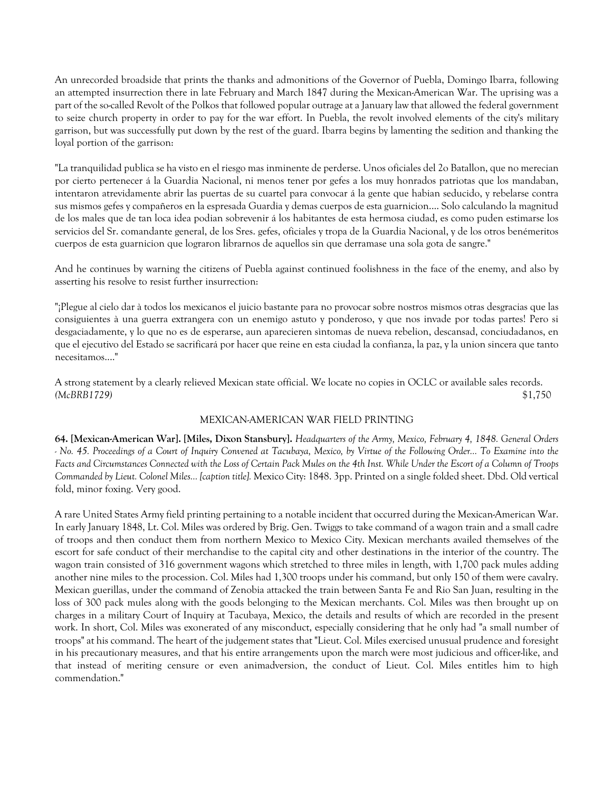An unrecorded broadside that prints the thanks and admonitions of the Governor of Puebla, Domingo Ibarra, following an attempted insurrection there in late February and March 1847 during the Mexican-American War. The uprising was a part of the so-called Revolt of the Polkos that followed popular outrage at a January law that allowed the federal government to seize church property in order to pay for the war effort. In Puebla, the revolt involved elements of the city's military garrison, but was successfully put down by the rest of the guard. Ibarra begins by lamenting the sedition and thanking the loyal portion of the garrison:

"La tranquilidad publica se ha visto en el riesgo mas inminente de perderse. Unos oficiales del 2o Batallon, que no merecian por cierto pertenecer á la Guardia Nacional, ni menos tener por gefes a los muy honrados patriotas que los mandaban, intentaron atrevidamente abrir las puertas de su cuartel para convocar á la gente que habian seducido, y rebelarse contra sus mismos gefes y compañeros en la espresada Guardia y demas cuerpos de esta guarnicion.... Solo calculando la magnitud de los males que de tan loca idea podian sobrevenir á los habitantes de esta hermosa ciudad, es como puden estimarse los servicios del Sr. comandante general, de los Sres. gefes, oficiales y tropa de la Guardia Nacional, y de los otros benémeritos cuerpos de esta guarnicion que lograron librarnos de aquellos sin que derramase una sola gota de sangre."

And he continues by warning the citizens of Puebla against continued foolishness in the face of the enemy, and also by asserting his resolve to resist further insurrection:

"¡Plegue al cielo dar à todos los mexicanos el juicio bastante para no provocar sobre nostros mismos otras desgracias que las consiguientes à una guerra extrangera con un enemigo astuto y ponderoso, y que nos invade por todas partes! Pero si desgaciadamente, y lo que no es de esperarse, aun aparecieren sìntomas de nueva rebelion, descansad, conciudadanos, en que el ejecutivo del Estado se sacrificará por hacer que reine en esta ciudad la confianza, la paz, y la union sincera que tanto necesitamos...."

A strong statement by a clearly relieved Mexican state official. We locate no copies in OCLC or available sales records. *(McBRB1729)* \$1,750

### MEXICAN-AMERICAN WAR FIELD PRINTING

**64. [Mexican-American War]. [Miles, Dixon Stansbury].** *Headquarters of the Army, Mexico, February 4, 1848. General Orders - No. 45. Proceedings of a Court of Inquiry Convened at Tacubaya, Mexico, by Virtue of the Following Order... To Examine into the Facts and Circumstances Connected with the Loss of Certain Pack Mules on the 4th Inst. While Under the Escort of a Column of Troops Commanded by Lieut. Colonel Miles... [caption title].* Mexico City: 1848. 3pp. Printed on a single folded sheet. Dbd. Old vertical fold, minor foxing. Very good.

A rare United States Army field printing pertaining to a notable incident that occurred during the Mexican-American War. In early January 1848, Lt. Col. Miles was ordered by Brig. Gen. Twiggs to take command of a wagon train and a small cadre of troops and then conduct them from northern Mexico to Mexico City. Mexican merchants availed themselves of the escort for safe conduct of their merchandise to the capital city and other destinations in the interior of the country. The wagon train consisted of 316 government wagons which stretched to three miles in length, with 1,700 pack mules adding another nine miles to the procession. Col. Miles had 1,300 troops under his command, but only 150 of them were cavalry. Mexican guerillas, under the command of Zenobia attacked the train between Santa Fe and Rio San Juan, resulting in the loss of 300 pack mules along with the goods belonging to the Mexican merchants. Col. Miles was then brought up on charges in a military Court of Inquiry at Tacubaya, Mexico, the details and results of which are recorded in the present work. In short, Col. Miles was exonerated of any misconduct, especially considering that he only had "a small number of troops" at his command. The heart of the judgement states that "Lieut. Col. Miles exercised unusual prudence and foresight in his precautionary measures, and that his entire arrangements upon the march were most judicious and officer-like, and that instead of meriting censure or even animadversion, the conduct of Lieut. Col. Miles entitles him to high commendation."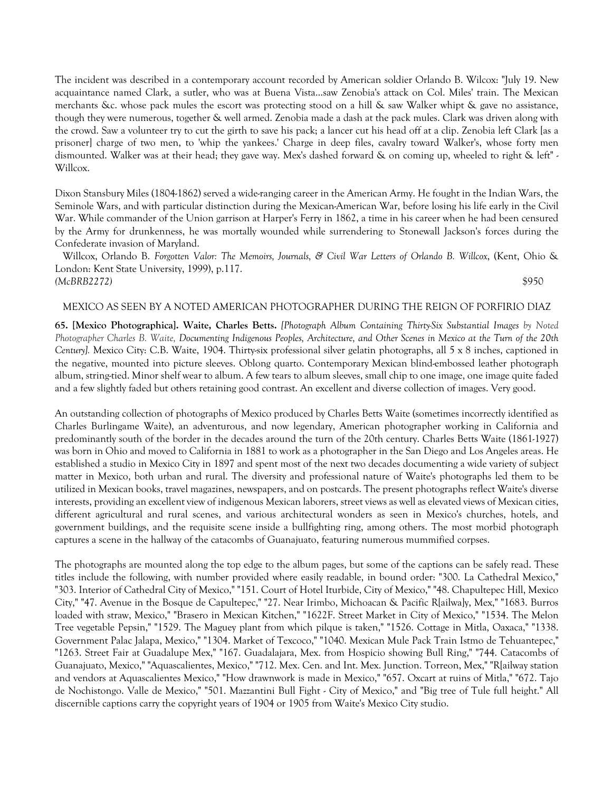The incident was described in a contemporary account recorded by American soldier Orlando B. Wilcox: "July 19. New acquaintance named Clark, a sutler, who was at Buena Vista...saw Zenobia's attack on Col. Miles' train. The Mexican merchants &c. whose pack mules the escort was protecting stood on a hill & saw Walker whipt & gave no assistance, though they were numerous, together & well armed. Zenobia made a dash at the pack mules. Clark was driven along with the crowd. Saw a volunteer try to cut the girth to save his pack; a lancer cut his head off at a clip. Zenobia left Clark [as a prisoner] charge of two men, to 'whip the yankees.' Charge in deep files, cavalry toward Walker's, whose forty men dismounted. Walker was at their head; they gave way. Mex's dashed forward & on coming up, wheeled to right & left" - Willcox.

Dixon Stansbury Miles (1804-1862) served a wide-ranging career in the American Army. He fought in the Indian Wars, the Seminole Wars, and with particular distinction during the Mexican-American War, before losing his life early in the Civil War. While commander of the Union garrison at Harper's Ferry in 1862, a time in his career when he had been censured by the Army for drunkenness, he was mortally wounded while surrendering to Stonewall Jackson's forces during the Confederate invasion of Maryland.

 Willcox, Orlando B. *Forgotten Valor: The Memoirs, Journals, & Civil War Letters of Orlando B. Willcox*, (Kent, Ohio & London: Kent State University, 1999), p.117. *(McBRB2272)* \$950

#### MEXICO AS SEEN BY A NOTED AMERICAN PHOTOGRAPHER DURING THE REIGN OF PORFIRIO DIAZ

**65. [Mexico Photographica]. Waite, Charles Betts.** *[Photograph Album Containing Thirty-Six Substantial Images by Noted Photographer Charles B. Waite, Documenting Indigenous Peoples, Architecture, and Other Scenes in Mexico at the Turn of the 20th Century].* Mexico City: C.B. Waite, 1904. Thirty-six professional silver gelatin photographs, all 5 x 8 inches, captioned in the negative, mounted into picture sleeves. Oblong quarto. Contemporary Mexican blind-embossed leather photograph album, string-tied. Minor shelf wear to album. A few tears to album sleeves, small chip to one image, one image quite faded and a few slightly faded but others retaining good contrast. An excellent and diverse collection of images. Very good.

An outstanding collection of photographs of Mexico produced by Charles Betts Waite (sometimes incorrectly identified as Charles Burlingame Waite), an adventurous, and now legendary, American photographer working in California and predominantly south of the border in the decades around the turn of the 20th century. Charles Betts Waite (1861-1927) was born in Ohio and moved to California in 1881 to work as a photographer in the San Diego and Los Angeles areas. He established a studio in Mexico City in 1897 and spent most of the next two decades documenting a wide variety of subject matter in Mexico, both urban and rural. The diversity and professional nature of Waite's photographs led them to be utilized in Mexican books, travel magazines, newspapers, and on postcards. The present photographs reflect Waite's diverse interests, providing an excellent view of indigenous Mexican laborers, street views as well as elevated views of Mexican cities, different agricultural and rural scenes, and various architectural wonders as seen in Mexico's churches, hotels, and government buildings, and the requisite scene inside a bullfighting ring, among others. The most morbid photograph captures a scene in the hallway of the catacombs of Guanajuato, featuring numerous mummified corpses.

The photographs are mounted along the top edge to the album pages, but some of the captions can be safely read. These titles include the following, with number provided where easily readable, in bound order: "300. La Cathedral Mexico," "303. Interior of Cathedral City of Mexico," "151. Court of Hotel Iturbide, City of Mexico," "48. Chapultepec Hill, Mexico City," "47. Avenue in the Bosque de Capultepec," "27. Near Irimbo, Michoacan & Pacific R[ailwa]y, Mex," "1683. Burros loaded with straw, Mexico," "Brasero in Mexican Kitchen," "1622F. Street Market in City of Mexico," "1534. The Melon Tree vegetable Pepsin," "1529. The Maguey plant from which pilque is taken," "1526. Cottage in Mitla, Oaxaca," "1338. Government Palac Jalapa, Mexico," "1304. Market of Texcoco," "1040. Mexican Mule Pack Train Istmo de Tehuantepec," "1263. Street Fair at Guadalupe Mex," "167. Guadalajara, Mex. from Hospicio showing Bull Ring," "744. Catacombs of Guanajuato, Mexico," "Aquascalientes, Mexico," "712. Mex. Cen. and Int. Mex. Junction. Torreon, Mex," "R[ailway station and vendors at Aquascalientes Mexico," "How drawnwork is made in Mexico," "657. Oxcart at ruins of Mitla," "672. Tajo de Nochistongo. Valle de Mexico," "501. Mazzantini Bull Fight - City of Mexico," and "Big tree of Tule full height." All discernible captions carry the copyright years of 1904 or 1905 from Waite's Mexico City studio.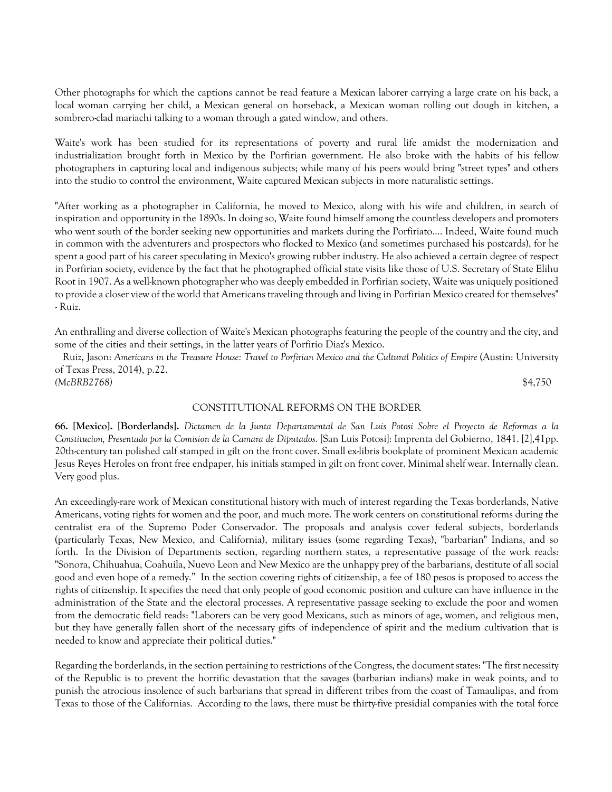Other photographs for which the captions cannot be read feature a Mexican laborer carrying a large crate on his back, a local woman carrying her child, a Mexican general on horseback, a Mexican woman rolling out dough in kitchen, a sombrero-clad mariachi talking to a woman through a gated window, and others.

Waite's work has been studied for its representations of poverty and rural life amidst the modernization and industrialization brought forth in Mexico by the Porfirian government. He also broke with the habits of his fellow photographers in capturing local and indigenous subjects; while many of his peers would bring "street types" and others into the studio to control the environment, Waite captured Mexican subjects in more naturalistic settings.

"After working as a photographer in California, he moved to Mexico, along with his wife and children, in search of inspiration and opportunity in the 1890s. In doing so, Waite found himself among the countless developers and promoters who went south of the border seeking new opportunities and markets during the Porfiriato.... Indeed, Waite found much in common with the adventurers and prospectors who flocked to Mexico (and sometimes purchased his postcards), for he spent a good part of his career speculating in Mexico's growing rubber industry. He also achieved a certain degree of respect in Porfirian society, evidence by the fact that he photographed official state visits like those of U.S. Secretary of State Elihu Root in 1907. As a well-known photographer who was deeply embedded in Porfirian society, Waite was uniquely positioned to provide a closer view of the world that Americans traveling through and living in Porfirian Mexico created for themselves" - Ruiz.

An enthralling and diverse collection of Waite's Mexican photographs featuring the people of the country and the city, and some of the cities and their settings, in the latter years of Porfirio Diaz's Mexico.

 Ruiz, Jason: *Americans in the Treasure House: Travel to Porfirian Mexico and the Cultural Politics of Empire* (Austin: University of Texas Press, 2014), p.22. *(McBRB2768)* \$4,750

### CONSTITUTIONAL REFORMS ON THE BORDER

**66. [Mexico]. [Borderlands].** *Dictamen de la Junta Departamental de San Luis Potosi Sobre el Proyecto de Reformas a la Constitucion, Presentado por la Comision de la Camara de Diputados*. [San Luis Potosi]: Imprenta del Gobierno, 1841. [2],41pp. 20th-century tan polished calf stamped in gilt on the front cover. Small ex-libris bookplate of prominent Mexican academic Jesus Reyes Heroles on front free endpaper, his initials stamped in gilt on front cover. Minimal shelf wear. Internally clean. Very good plus.

An exceedingly-rare work of Mexican constitutional history with much of interest regarding the Texas borderlands, Native Americans, voting rights for women and the poor, and much more. The work centers on constitutional reforms during the centralist era of the Supremo Poder Conservador. The proposals and analysis cover federal subjects, borderlands (particularly Texas, New Mexico, and California), military issues (some regarding Texas), "barbarian" Indians, and so forth. In the Division of Departments section, regarding northern states, a representative passage of the work reads: "Sonora, Chihuahua, Coahuila, Nuevo Leon and New Mexico are the unhappy prey of the barbarians, destitute of all social good and even hope of a remedy." In the section covering rights of citizenship, a fee of 180 pesos is proposed to access the rights of citizenship. It specifies the need that only people of good economic position and culture can have influence in the administration of the State and the electoral processes. A representative passage seeking to exclude the poor and women from the democratic field reads: "Laborers can be very good Mexicans, such as minors of age, women, and religious men, but they have generally fallen short of the necessary gifts of independence of spirit and the medium cultivation that is needed to know and appreciate their political duties."

Regarding the borderlands, in the section pertaining to restrictions of the Congress, the document states: "The first necessity of the Republic is to prevent the horrific devastation that the savages (barbarian indians) make in weak points, and to punish the atrocious insolence of such barbarians that spread in different tribes from the coast of Tamaulipas, and from Texas to those of the Californias. According to the laws, there must be thirty-five presidial companies with the total force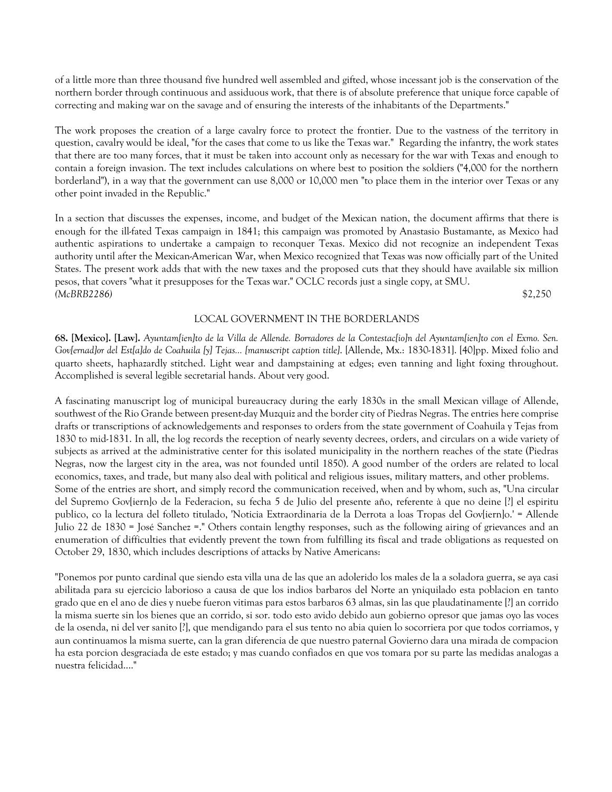of a little more than three thousand five hundred well assembled and gifted, whose incessant job is the conservation of the northern border through continuous and assiduous work, that there is of absolute preference that unique force capable of correcting and making war on the savage and of ensuring the interests of the inhabitants of the Departments."

The work proposes the creation of a large cavalry force to protect the frontier. Due to the vastness of the territory in question, cavalry would be ideal, "for the cases that come to us like the Texas war." Regarding the infantry, the work states that there are too many forces, that it must be taken into account only as necessary for the war with Texas and enough to contain a foreign invasion. The text includes calculations on where best to position the soldiers ("4,000 for the northern borderland"), in a way that the government can use 8,000 or 10,000 men "to place them in the interior over Texas or any other point invaded in the Republic."

In a section that discusses the expenses, income, and budget of the Mexican nation, the document affirms that there is enough for the ill-fated Texas campaign in 1841; this campaign was promoted by Anastasio Bustamante, as Mexico had authentic aspirations to undertake a campaign to reconquer Texas. Mexico did not recognize an independent Texas authority until after the Mexican-American War, when Mexico recognized that Texas was now officially part of the United States. The present work adds that with the new taxes and the proposed cuts that they should have available six million pesos, that covers "what it presupposes for the Texas war." OCLC records just a single copy, at SMU. *(McBRB2286)* \$2,250

### LOCAL GOVERNMENT IN THE BORDERLANDS

**68. [Mexico]. [Law].** *Ayuntam[ien]to de la Villa de Allende. Borradores de la Contestac[io]n del Ayuntam[ien]to con el Exmo. Sen. Gov[ernad]or del Est[a]do de Coahuila [y] Tejas... [manuscript caption title]*. [Allende, Mx.: 1830-1831]. [40]pp. Mixed folio and quarto sheets, haphazardly stitched. Light wear and dampstaining at edges; even tanning and light foxing throughout. Accomplished is several legible secretarial hands. About very good.

A fascinating manuscript log of municipal bureaucracy during the early 1830s in the small Mexican village of Allende, southwest of the Rio Grande between present-day Muzquiz and the border city of Piedras Negras. The entries here comprise drafts or transcriptions of acknowledgements and responses to orders from the state government of Coahuila y Tejas from 1830 to mid-1831. In all, the log records the reception of nearly seventy decrees, orders, and circulars on a wide variety of subjects as arrived at the administrative center for this isolated municipality in the northern reaches of the state (Piedras Negras, now the largest city in the area, was not founded until 1850). A good number of the orders are related to local economics, taxes, and trade, but many also deal with political and religious issues, military matters, and other problems. Some of the entries are short, and simply record the communication received, when and by whom, such as, "Una circular del Supremo Gov[iern]o de la Federacion, su fecha 5 de Julio del presente año, referente à que no deine [?] el espiritu publico, co la lectura del folleto titulado, 'Noticia Extraordinaria de la Derrota a loas Tropas del Gov[iern]o.' = Allende Julio 22 de 1830 = José Sanchez =." Others contain lengthy responses, such as the following airing of grievances and an enumeration of difficulties that evidently prevent the town from fulfilling its fiscal and trade obligations as requested on October 29, 1830, which includes descriptions of attacks by Native Americans:

"Ponemos por punto cardinal que siendo esta villa una de las que an adolerido los males de la a soladora guerra, se aya casi abilitada para su ejercicio laborioso a causa de que los indios barbaros del Norte an yniquilado esta poblacion en tanto grado que en el ano de dies y nuebe fueron vitimas para estos barbaros 63 almas, sin las que plaudatinamente [?] an corrido la misma suerte sin los bienes que an corrido, si sor. todo esto avido debido aun gobierno opresor que jamas oyo las voces de la osenda, ni del ver sanito [?], que mendigando para el sus tento no abia quien lo socorriera por que todos corriamos, y aun continuamos la misma suerte, can la gran diferencia de que nuestro paternal Govierno dara una mirada de compacion ha esta porcion desgraciada de este estado; y mas cuando confiados en que vos tomara por su parte las medidas analogas a nuestra felicidad...."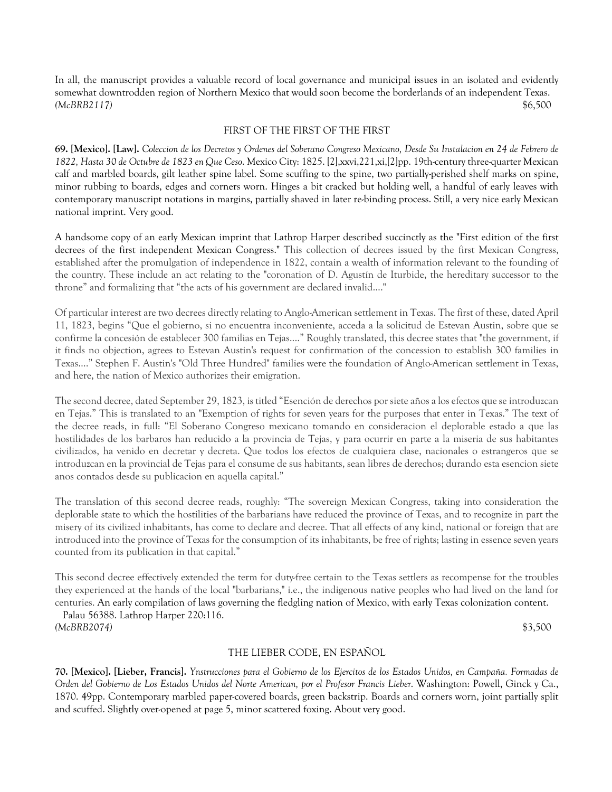In all, the manuscript provides a valuable record of local governance and municipal issues in an isolated and evidently somewhat downtrodden region of Northern Mexico that would soon become the borderlands of an independent Texas. *(McBRB2117)* \$6,500

#### FIRST OF THE FIRST OF THE FIRST

**69. [Mexico]. [Law].** *Coleccion de los Decretos y Ordenes del Soberano Congreso Mexicano, Desde Su Instalacion en 24 de Febrero de 1822, Hasta 30 de Octubre de 1823 en Que Ceso*. Mexico City: 1825. [2],xxvi,221,xi,[2]pp. 19th-century three-quarter Mexican calf and marbled boards, gilt leather spine label. Some scuffing to the spine, two partially-perished shelf marks on spine, minor rubbing to boards, edges and corners worn. Hinges a bit cracked but holding well, a handful of early leaves with contemporary manuscript notations in margins, partially shaved in later re-binding process. Still, a very nice early Mexican national imprint. Very good.

A handsome copy of an early Mexican imprint that Lathrop Harper described succinctly as the "First edition of the first decrees of the first independent Mexican Congress." This collection of decrees issued by the first Mexican Congress, established after the promulgation of independence in 1822, contain a wealth of information relevant to the founding of the country. These include an act relating to the "coronation of D. Agustín de Iturbide, the hereditary successor to the throne" and formalizing that "the acts of his government are declared invalid...."

Of particular interest are two decrees directly relating to Anglo-American settlement in Texas. The first of these, dated April 11, 1823, begins "Que el gobierno, si no encuentra inconveniente, acceda a la solicitud de Estevan Austin, sobre que se confirme la concesión de establecer 300 familias en Tejas...." Roughly translated, this decree states that "the government, if it finds no objection, agrees to Estevan Austin's request for confirmation of the concession to establish 300 families in Texas...." Stephen F. Austin's "Old Three Hundred" families were the foundation of Anglo-American settlement in Texas, and here, the nation of Mexico authorizes their emigration.

The second decree, dated September 29, 1823, is titled "Esención de derechos por siete años a los efectos que se introduzcan en Tejas." This is translated to an "Exemption of rights for seven years for the purposes that enter in Texas." The text of the decree reads, in full: "El Soberano Congreso mexicano tomando en consideracion el deplorable estado a que las hostilidades de los barbaros han reducido a la provincia de Tejas, y para ocurrir en parte a la miseria de sus habitantes civilizados, ha venido en decretar y decreta. Que todos los efectos de cualquiera clase, nacionales o estrangeros que se introduzcan en la provincial de Tejas para el consume de sus habitants, sean libres de derechos; durando esta esencion siete anos contados desde su publicacion en aquella capital."

The translation of this second decree reads, roughly: "The sovereign Mexican Congress, taking into consideration the deplorable state to which the hostilities of the barbarians have reduced the province of Texas, and to recognize in part the misery of its civilized inhabitants, has come to declare and decree. That all effects of any kind, national or foreign that are introduced into the province of Texas for the consumption of its inhabitants, be free of rights; lasting in essence seven years counted from its publication in that capital."

This second decree effectively extended the term for duty-free certain to the Texas settlers as recompense for the troubles they experienced at the hands of the local "barbarians," i.e., the indigenous native peoples who had lived on the land for centuries. An early compilation of laws governing the fledgling nation of Mexico, with early Texas colonization content.

 Palau 56388. Lathrop Harper 220:116. *(McBRB2074)* \$3,500

#### THE LIEBER CODE, EN ESPAÑOL

**70. [Mexico]. [Lieber, Francis].** *Ynstrucciones para el Gobierno de los Ejercitos de los Estados Unidos, en Campaña. Formadas de Orden del Gobierno de Los Estados Unidos del Norte American, por el Profesor Francis Lieber*. Washington: Powell, Ginck y Ca., 1870. 49pp. Contemporary marbled paper-covered boards, green backstrip. Boards and corners worn, joint partially split and scuffed. Slightly over-opened at page 5, minor scattered foxing. About very good.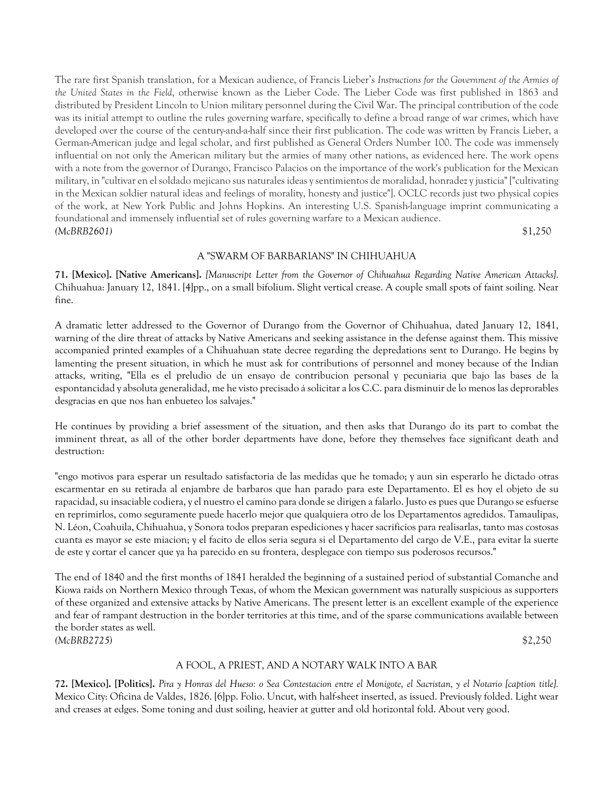The rare first Spanish translation, for a Mexican audience, of Francis Lieber's *Instructions for the Government of the Armies of the United States in the Field*, otherwise known as the Lieber Code. The Lieber Code was first published in 1863 and distributed by President Lincoln to Union military personnel during the Civil War. The principal contribution of the code was its initial attempt to outline the rules governing warfare, specifically to define a broad range of war crimes, which have developed over the course of the century-and-a-half since their first publication. The code was written by Francis Lieber, a German-American judge and legal scholar, and first published as General Orders Number 100. The code was immensely influential on not only the American military but the armies of many other nations, as evidenced here. The work opens with a note from the governor of Durango, Francisco Palacios on the importance of the work's publication for the Mexican military, in "cultivar en el soldado mejicano sus naturales ideas y sentimientos de moralidad, honradez y justicia" ["cultivating in the Mexican soldier natural ideas and feelings of morality, honesty and justice"]. OCLC records just two physical copies of the work, at New York Public and Johns Hopkins. An interesting U.S. Spanish-language imprint communicating a foundational and immensely influential set of rules governing warfare to a Mexican audience. *(McBRB2601)* \$1,250

# A "SWARM OF BARBARIANS" IN CHIHUAHUA

**71. [Mexico]. [Native Americans].** *[Manuscript Letter from the Governor of Chihuahua Regarding Native American Attacks]*. Chihuahua: January 12, 1841. [4]pp., on a small bifolium. Slight vertical crease. A couple small spots of faint soiling. Near fine.

A dramatic letter addressed to the Governor of Durango from the Governor of Chihuahua, dated January 12, 1841, warning of the dire threat of attacks by Native Americans and seeking assistance in the defense against them. This missive accompanied printed examples of a Chihuahuan state decree regarding the depredations sent to Durango. He begins by lamenting the present situation, in which he must ask for contributions of personnel and money because of the Indian attacks, writing, "Ella es el preludio de un ensayo de contribucion personal y pecuniaria que bajo las bases de la espontancidad y absoluta generalidad, me he visto precisado á solicitar a los C.C. para disminuir de lo menos las deprorables desgracias en que nos han enbueteo los salvajes."

He continues by providing a brief assessment of the situation, and then asks that Durango do its part to combat the imminent threat, as all of the other border departments have done, before they themselves face significant death and destruction:

"engo motivos para esperar un resultado satisfactoria de las medidas que he tomado; y aun sin esperarlo he dictado otras escarmentar en su retirada al enjambre de barbaros que han parado para este Departamento. El es hoy el objeto de su rapacidad, su insaciable codiera, y el nuestro el camino para donde se dirigen a falarlo. Justo es pues que Durango se esfuerse en reprimirlos, como seguramente puede hacerlo mejor que qualquiera otro de los Departamentos agredidos. Tamaulipas, N. Léon, Coahuila, Chihuahua, y Sonora todos preparan espediciones y hacer sacrificios para realisarlas, tanto mas costosas cuanta es mayor se este miacion; y el facito de ellos seria segura si el Departamento del cargo de V.E., para evitar la suerte de este y cortar el cancer que ya ha parecido en su frontera, desplegace con tiempo sus poderosos recursos."

The end of 1840 and the first months of 1841 heralded the beginning of a sustained period of substantial Comanche and Kiowa raids on Northern Mexico through Texas, of whom the Mexican government was naturally suspicious as supporters of these organized and extensive attacks by Native Americans. The present letter is an excellent example of the experience and fear of rampant destruction in the border territories at this time, and of the sparse communications available between the border states as well. *(McBRB2725)* \$2,250

#### A FOOL, A PRIEST, AND A NOTARY WALK INTO A BAR

**72. [Mexico]. [Politics].** *Pira y Honras del Hueso: o Sea Contestacion entre el Monigote, el Sacristan, y el Notario [caption title].*  Mexico City: Oficina de Valdes, 1826. [6]pp. Folio. Uncut, with half-sheet inserted, as issued. Previously folded. Light wear and creases at edges. Some toning and dust soiling, heavier at gutter and old horizontal fold. About very good.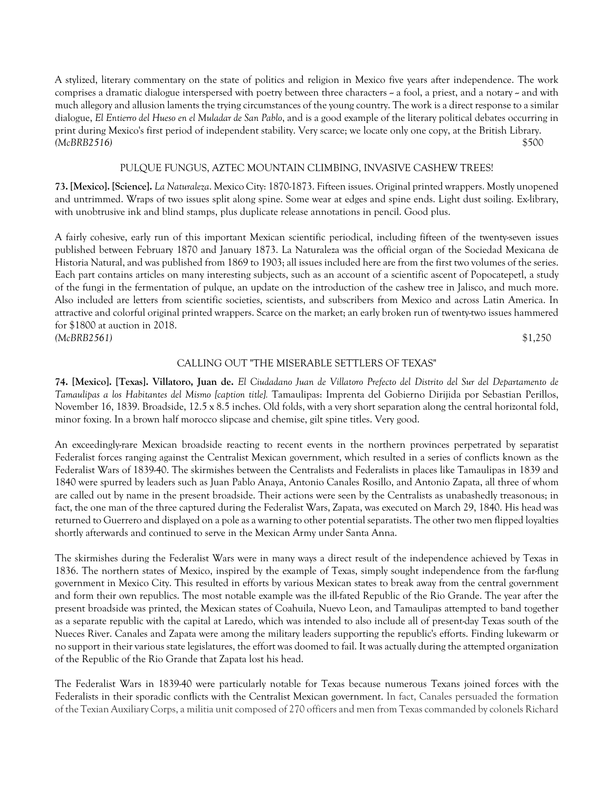A stylized, literary commentary on the state of politics and religion in Mexico five years after independence. The work comprises a dramatic dialogue interspersed with poetry between three characters  $\sim$  a fool, a priest, and a notary  $\sim$  and with much allegory and allusion laments the trying circumstances of the young country. The work is a direct response to a similar dialogue, *El Entierro del Hueso en el Muladar de San Pablo*, and is a good example of the literary political debates occurring in print during Mexico's first period of independent stability. Very scarce; we locate only one copy, at the British Library. *(McBRB2516)* \$500

# PULQUE FUNGUS, AZTEC MOUNTAIN CLIMBING, INVASIVE CASHEW TREES!

**73. [Mexico]. [Science].** *La Naturaleza*. Mexico City: 1870-1873. Fifteen issues. Original printed wrappers. Mostly unopened and untrimmed. Wraps of two issues split along spine. Some wear at edges and spine ends. Light dust soiling. Ex-library, with unobtrusive ink and blind stamps, plus duplicate release annotations in pencil. Good plus.

A fairly cohesive, early run of this important Mexican scientific periodical, including fifteen of the twenty-seven issues published between February 1870 and January 1873. La Naturaleza was the official organ of the Sociedad Mexicana de Historia Natural, and was published from 1869 to 1903; all issues included here are from the first two volumes of the series. Each part contains articles on many interesting subjects, such as an account of a scientific ascent of Popocatepetl, a study of the fungi in the fermentation of pulque, an update on the introduction of the cashew tree in Jalisco, and much more. Also included are letters from scientific societies, scientists, and subscribers from Mexico and across Latin America. In attractive and colorful original printed wrappers. Scarce on the market; an early broken run of twenty-two issues hammered for \$1800 at auction in 2018. *(McBRB2561)* \$1,250

# CALLING OUT "THE MISERABLE SETTLERS OF TEXAS"

**74. [Mexico]. [Texas]. Villatoro, Juan de.** *El Ciudadano Juan de Villatoro Prefecto del Distrito del Sur del Departamento de Tamaulipas a los Habitantes del Mismo [caption title].* Tamaulipas: Imprenta del Gobierno Dirijida por Sebastian Perillos, November 16, 1839. Broadside, 12.5 x 8.5 inches. Old folds, with a very short separation along the central horizontal fold, minor foxing. In a brown half morocco slipcase and chemise, gilt spine titles. Very good.

An exceedingly-rare Mexican broadside reacting to recent events in the northern provinces perpetrated by separatist Federalist forces ranging against the Centralist Mexican government, which resulted in a series of conflicts known as the Federalist Wars of 1839-40. The skirmishes between the Centralists and Federalists in places like Tamaulipas in 1839 and 1840 were spurred by leaders such as Juan Pablo Anaya, Antonio Canales Rosillo, and Antonio Zapata, all three of whom are called out by name in the present broadside. Their actions were seen by the Centralists as unabashedly treasonous; in fact, the one man of the three captured during the Federalist Wars, Zapata, was executed on March 29, 1840. His head was returned to Guerrero and displayed on a pole as a warning to other potential separatists. The other two men flipped loyalties shortly afterwards and continued to serve in the Mexican Army under Santa Anna.

The skirmishes during the Federalist Wars were in many ways a direct result of the independence achieved by Texas in 1836. The northern states of Mexico, inspired by the example of Texas, simply sought independence from the far-flung government in Mexico City. This resulted in efforts by various Mexican states to break away from the central government and form their own republics. The most notable example was the ill-fated Republic of the Rio Grande. The year after the present broadside was printed, the Mexican states of Coahuila, Nuevo Leon, and Tamaulipas attempted to band together as a separate republic with the capital at Laredo, which was intended to also include all of present-day Texas south of the Nueces River. Canales and Zapata were among the military leaders supporting the republic's efforts. Finding lukewarm or no support in their various state legislatures, the effort was doomed to fail. It was actually during the attempted organization of the Republic of the Rio Grande that Zapata lost his head.

The Federalist Wars in 1839-40 were particularly notable for Texas because numerous Texans joined forces with the Federalists in their sporadic conflicts with the Centralist Mexican government. In fact, Canales persuaded the formation of the Texian Auxiliary Corps, a militia unit composed of 270 officers and men from Texas commanded by colonels Richard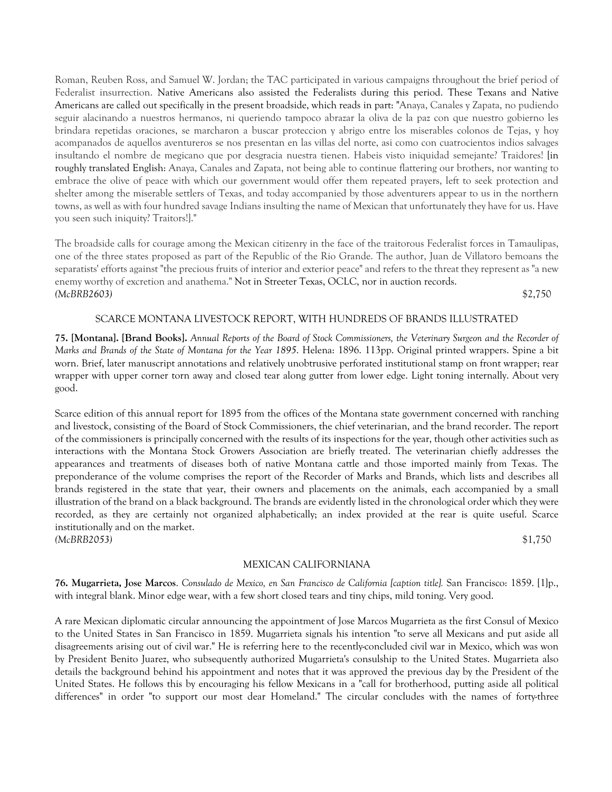Roman, Reuben Ross, and Samuel W. Jordan; the TAC participated in various campaigns throughout the brief period of Federalist insurrection. Native Americans also assisted the Federalists during this period. These Texans and Native Americans are called out specifically in the present broadside, which reads in part: "Anaya, Canales y Zapata, no pudiendo seguir alacinando a nuestros hermanos, ni queriendo tampoco abrazar la oliva de la paz con que nuestro gobierno les brindara repetidas oraciones, se marcharon a buscar proteccion y abrigo entre los miserables colonos de Tejas, y hoy acompanados de aquellos aventureros se nos presentan en las villas del norte, asi como con cuatrocientos indios salvages insultando el nombre de megicano que por desgracia nuestra tienen. Habeis visto iniquidad semejante? Traidores! [in roughly translated English: Anaya, Canales and Zapata, not being able to continue flattering our brothers, nor wanting to embrace the olive of peace with which our government would offer them repeated prayers, left to seek protection and shelter among the miserable settlers of Texas, and today accompanied by those adventurers appear to us in the northern towns, as well as with four hundred savage Indians insulting the name of Mexican that unfortunately they have for us. Have you seen such iniquity? Traitors!]."

The broadside calls for courage among the Mexican citizenry in the face of the traitorous Federalist forces in Tamaulipas, one of the three states proposed as part of the Republic of the Rio Grande. The author, Juan de Villatoro bemoans the separatists' efforts against "the precious fruits of interior and exterior peace" and refers to the threat they represent as "a new enemy worthy of excretion and anathema." Not in Streeter Texas, OCLC, nor in auction records. *(McBRB2603)* \$2,750

# SCARCE MONTANA LIVESTOCK REPORT, WITH HUNDREDS OF BRANDS ILLUSTRATED

**75. [Montana]. [Brand Books].** *Annual Reports of the Board of Stock Commissioners, the Veterinary Surgeon and the Recorder of Marks and Brands of the State of Montana for the Year 1895*. Helena: 1896. 113pp. Original printed wrappers. Spine a bit worn. Brief, later manuscript annotations and relatively unobtrusive perforated institutional stamp on front wrapper; rear wrapper with upper corner torn away and closed tear along gutter from lower edge. Light toning internally. About very good.

Scarce edition of this annual report for 1895 from the offices of the Montana state government concerned with ranching and livestock, consisting of the Board of Stock Commissioners, the chief veterinarian, and the brand recorder. The report of the commissioners is principally concerned with the results of its inspections for the year, though other activities such as interactions with the Montana Stock Growers Association are briefly treated. The veterinarian chiefly addresses the appearances and treatments of diseases both of native Montana cattle and those imported mainly from Texas. The preponderance of the volume comprises the report of the Recorder of Marks and Brands, which lists and describes all brands registered in the state that year, their owners and placements on the animals, each accompanied by a small illustration of the brand on a black background. The brands are evidently listed in the chronological order which they were recorded, as they are certainly not organized alphabetically; an index provided at the rear is quite useful. Scarce institutionally and on the market. *(McBRB2053)* \$1,750

### MEXICAN CALIFORNIANA

**76. Mugarrieta, Jose Marcos**. *Consulado de Mexico, en San Francisco de California [caption title].* San Francisco: 1859. [1]p., with integral blank. Minor edge wear, with a few short closed tears and tiny chips, mild toning. Very good.

A rare Mexican diplomatic circular announcing the appointment of Jose Marcos Mugarrieta as the first Consul of Mexico to the United States in San Francisco in 1859. Mugarrieta signals his intention "to serve all Mexicans and put aside all disagreements arising out of civil war." He is referring here to the recently-concluded civil war in Mexico, which was won by President Benito Juarez, who subsequently authorized Mugarrieta's consulship to the United States. Mugarrieta also details the background behind his appointment and notes that it was approved the previous day by the President of the United States. He follows this by encouraging his fellow Mexicans in a "call for brotherhood, putting aside all political differences" in order "to support our most dear Homeland." The circular concludes with the names of forty-three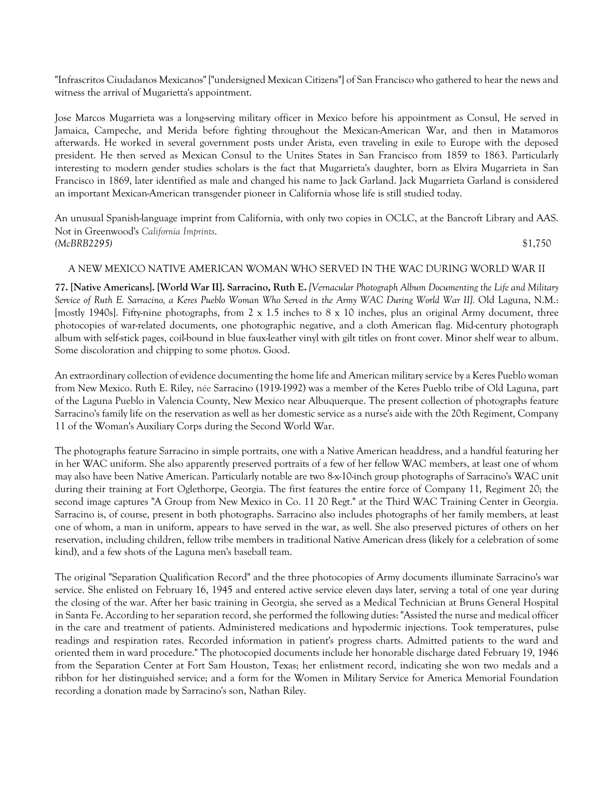"Infrascritos Ciudadanos Mexicanos" ["undersigned Mexican Citizens"] of San Francisco who gathered to hear the news and witness the arrival of Mugarietta's appointment.

Jose Marcos Mugarrieta was a long-serving military officer in Mexico before his appointment as Consul, He served in Jamaica, Campeche, and Merida before fighting throughout the Mexican-American War, and then in Matamoros afterwards. He worked in several government posts under Arista, even traveling in exile to Europe with the deposed president. He then served as Mexican Consul to the Unites States in San Francisco from 1859 to 1863. Particularly interesting to modern gender studies scholars is the fact that Mugarrieta's daughter, born as Elvira Mugarrieta in San Francisco in 1869, later identified as male and changed his name to Jack Garland. Jack Mugarrieta Garland is considered an important Mexican-American transgender pioneer in California whose life is still studied today.

An unusual Spanish-language imprint from California, with only two copies in OCLC, at the Bancroft Library and AAS. Not in Greenwood's *California Imprints*. *(McBRB2295)* \$1,750

#### A NEW MEXICO NATIVE AMERICAN WOMAN WHO SERVED IN THE WAC DURING WORLD WAR II

**77. [Native Americans]. [World War II]. Sarracino, Ruth E.** *[Vernacular Photograph Album Documenting the Life and Military Service of Ruth E. Sarracino, a Keres Pueblo Woman Who Served in the Army WAC During World War II].* Old Laguna, N.M.: [mostly 1940s]. Fifty-nine photographs, from 2 x 1.5 inches to 8 x 10 inches, plus an original Army document, three photocopies of war-related documents, one photographic negative, and a cloth American flag. Mid-century photograph album with self-stick pages, coil-bound in blue faux-leather vinyl with gilt titles on front cover. Minor shelf wear to album. Some discoloration and chipping to some photos. Good.

An extraordinary collection of evidence documenting the home life and American military service by a Keres Pueblo woman from New Mexico. Ruth E. Riley, née Sarracino (1919-1992) was a member of the Keres Pueblo tribe of Old Laguna, part of the Laguna Pueblo in Valencia County, New Mexico near Albuquerque. The present collection of photographs feature Sarracino's family life on the reservation as well as her domestic service as a nurse's aide with the 20th Regiment, Company 11 of the Woman's Auxiliary Corps during the Second World War.

The photographs feature Sarracino in simple portraits, one with a Native American headdress, and a handful featuring her in her WAC uniform. She also apparently preserved portraits of a few of her fellow WAC members, at least one of whom may also have been Native American. Particularly notable are two 8-x-10-inch group photographs of Sarracino's WAC unit during their training at Fort Oglethorpe, Georgia. The first features the entire force of Company 11, Regiment 20; the second image captures "A Group from New Mexico in Co. 11 20 Regt." at the Third WAC Training Center in Georgia. Sarracino is, of course, present in both photographs. Sarracino also includes photographs of her family members, at least one of whom, a man in uniform, appears to have served in the war, as well. She also preserved pictures of others on her reservation, including children, fellow tribe members in traditional Native American dress (likely for a celebration of some kind), and a few shots of the Laguna men's baseball team.

The original "Separation Qualification Record" and the three photocopies of Army documents illuminate Sarracino's war service. She enlisted on February 16, 1945 and entered active service eleven days later, serving a total of one year during the closing of the war. After her basic training in Georgia, she served as a Medical Technician at Bruns General Hospital in Santa Fe. According to her separation record, she performed the following duties: "Assisted the nurse and medical officer in the care and treatment of patients. Administered medications and hypodermic injections. Took temperatures, pulse readings and respiration rates. Recorded information in patient's progress charts. Admitted patients to the ward and oriented them in ward procedure." The photocopied documents include her honorable discharge dated February 19, 1946 from the Separation Center at Fort Sam Houston, Texas; her enlistment record, indicating she won two medals and a ribbon for her distinguished service; and a form for the Women in Military Service for America Memorial Foundation recording a donation made by Sarracino's son, Nathan Riley.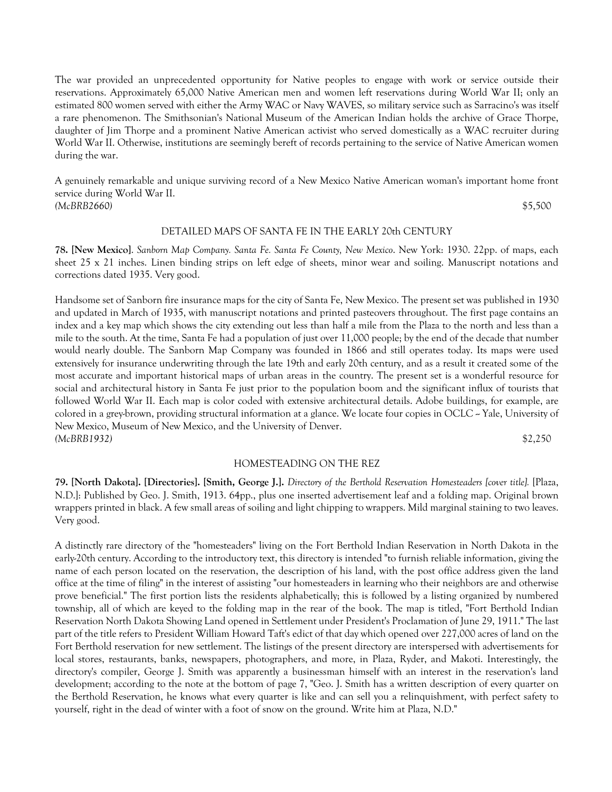The war provided an unprecedented opportunity for Native peoples to engage with work or service outside their reservations. Approximately 65,000 Native American men and women left reservations during World War II; only an estimated 800 women served with either the Army WAC or Navy WAVES, so military service such as Sarracino's was itself a rare phenomenon. The Smithsonian's National Museum of the American Indian holds the archive of Grace Thorpe, daughter of Jim Thorpe and a prominent Native American activist who served domestically as a WAC recruiter during World War II. Otherwise, institutions are seemingly bereft of records pertaining to the service of Native American women during the war.

A genuinely remarkable and unique surviving record of a New Mexico Native American woman's important home front service during World War II. *(McBRB2660)* \$5,500

# DETAILED MAPS OF SANTA FE IN THE EARLY 20th CENTURY

**78. [New Mexico]**. *Sanborn Map Company. Santa Fe. Santa Fe County, New Mexico*. New York: 1930. 22pp. of maps, each sheet 25 x 21 inches. Linen binding strips on left edge of sheets, minor wear and soiling. Manuscript notations and corrections dated 1935. Very good.

Handsome set of Sanborn fire insurance maps for the city of Santa Fe, New Mexico. The present set was published in 1930 and updated in March of 1935, with manuscript notations and printed pasteovers throughout. The first page contains an index and a key map which shows the city extending out less than half a mile from the Plaza to the north and less than a mile to the south. At the time, Santa Fe had a population of just over 11,000 people; by the end of the decade that number would nearly double. The Sanborn Map Company was founded in 1866 and still operates today. Its maps were used extensively for insurance underwriting through the late 19th and early 20th century, and as a result it created some of the most accurate and important historical maps of urban areas in the country. The present set is a wonderful resource for social and architectural history in Santa Fe just prior to the population boom and the significant influx of tourists that followed World War II. Each map is color coded with extensive architectural details. Adobe buildings, for example, are colored in a grey-brown, providing structural information at a glance. We locate four copies in OCLC -- Yale, University of New Mexico, Museum of New Mexico, and the University of Denver. *(McBRB1932)* \$2,250

### HOMESTEADING ON THE REZ

**79. [North Dakota]. [Directories]. [Smith, George J.].** *Directory of the Berthold Reservation Homesteaders [cover title].* [Plaza, N.D.]: Published by Geo. J. Smith, 1913. 64pp., plus one inserted advertisement leaf and a folding map. Original brown wrappers printed in black. A few small areas of soiling and light chipping to wrappers. Mild marginal staining to two leaves. Very good.

A distinctly rare directory of the "homesteaders" living on the Fort Berthold Indian Reservation in North Dakota in the early-20th century. According to the introductory text, this directory is intended "to furnish reliable information, giving the name of each person located on the reservation, the description of his land, with the post office address given the land office at the time of filing" in the interest of assisting "our homesteaders in learning who their neighbors are and otherwise prove beneficial." The first portion lists the residents alphabetically; this is followed by a listing organized by numbered township, all of which are keyed to the folding map in the rear of the book. The map is titled, "Fort Berthold Indian Reservation North Dakota Showing Land opened in Settlement under President's Proclamation of June 29, 1911." The last part of the title refers to President William Howard Taft's edict of that day which opened over 227,000 acres of land on the Fort Berthold reservation for new settlement. The listings of the present directory are interspersed with advertisements for local stores, restaurants, banks, newspapers, photographers, and more, in Plaza, Ryder, and Makoti. Interestingly, the directory's compiler, George J. Smith was apparently a businessman himself with an interest in the reservation's land development; according to the note at the bottom of page 7, "Geo. J. Smith has a written description of every quarter on the Berthold Reservation, he knows what every quarter is like and can sell you a relinquishment, with perfect safety to yourself, right in the dead of winter with a foot of snow on the ground. Write him at Plaza, N.D."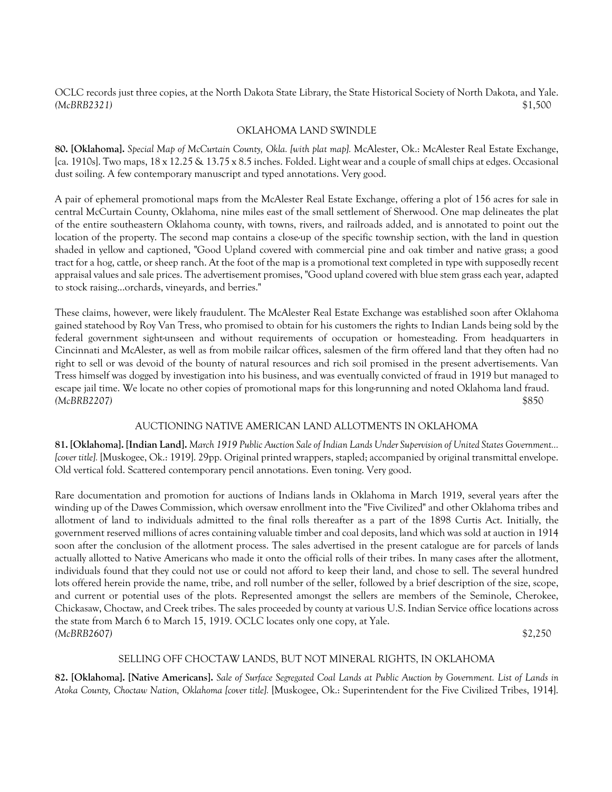OCLC records just three copies, at the North Dakota State Library, the State Historical Society of North Dakota, and Yale. *(McBRB2321)* \$1,500

# OKLAHOMA LAND SWINDLE

**80. [Oklahoma].** *Special Map of McCurtain County, Okla. [with plat map].* McAlester, Ok.: McAlester Real Estate Exchange, [ca. 1910s]. Two maps, 18 x 12.25 & 13.75 x 8.5 inches. Folded. Light wear and a couple of small chips at edges. Occasional dust soiling. A few contemporary manuscript and typed annotations. Very good.

A pair of ephemeral promotional maps from the McAlester Real Estate Exchange, offering a plot of 156 acres for sale in central McCurtain County, Oklahoma, nine miles east of the small settlement of Sherwood. One map delineates the plat of the entire southeastern Oklahoma county, with towns, rivers, and railroads added, and is annotated to point out the location of the property. The second map contains a close-up of the specific township section, with the land in question shaded in yellow and captioned, "Good Upland covered with commercial pine and oak timber and native grass; a good tract for a hog, cattle, or sheep ranch. At the foot of the map is a promotional text completed in type with supposedly recent appraisal values and sale prices. The advertisement promises, "Good upland covered with blue stem grass each year, adapted to stock raising...orchards, vineyards, and berries."

These claims, however, were likely fraudulent. The McAlester Real Estate Exchange was established soon after Oklahoma gained statehood by Roy Van Tress, who promised to obtain for his customers the rights to Indian Lands being sold by the federal government sight-unseen and without requirements of occupation or homesteading. From headquarters in Cincinnati and McAlester, as well as from mobile railcar offices, salesmen of the firm offered land that they often had no right to sell or was devoid of the bounty of natural resources and rich soil promised in the present advertisements. Van Tress himself was dogged by investigation into his business, and was eventually convicted of fraud in 1919 but managed to escape jail time. We locate no other copies of promotional maps for this long-running and noted Oklahoma land fraud. *(McBRB2207)* \$850

# AUCTIONING NATIVE AMERICAN LAND ALLOTMENTS IN OKLAHOMA

**81. [Oklahoma]. [Indian Land].** *March 1919 Public Auction Sale of Indian Lands Under Supervision of United States Government... [cover title].* [Muskogee, Ok.: 1919]. 29pp. Original printed wrappers, stapled; accompanied by original transmittal envelope. Old vertical fold. Scattered contemporary pencil annotations. Even toning. Very good.

Rare documentation and promotion for auctions of Indians lands in Oklahoma in March 1919, several years after the winding up of the Dawes Commission, which oversaw enrollment into the "Five Civilized" and other Oklahoma tribes and allotment of land to individuals admitted to the final rolls thereafter as a part of the 1898 Curtis Act. Initially, the government reserved millions of acres containing valuable timber and coal deposits, land which was sold at auction in 1914 soon after the conclusion of the allotment process. The sales advertised in the present catalogue are for parcels of lands actually allotted to Native Americans who made it onto the official rolls of their tribes. In many cases after the allotment, individuals found that they could not use or could not afford to keep their land, and chose to sell. The several hundred lots offered herein provide the name, tribe, and roll number of the seller, followed by a brief description of the size, scope, and current or potential uses of the plots. Represented amongst the sellers are members of the Seminole, Cherokee, Chickasaw, Choctaw, and Creek tribes. The sales proceeded by county at various U.S. Indian Service office locations across the state from March 6 to March 15, 1919. OCLC locates only one copy, at Yale. *(McBRB2607)* \$2,250

### SELLING OFF CHOCTAW LANDS, BUT NOT MINERAL RIGHTS, IN OKLAHOMA

**82. [Oklahoma]. [Native Americans].** *Sale of Surface Segregated Coal Lands at Public Auction by Government. List of Lands in Atoka County, Choctaw Nation, Oklahoma [cover title].* [Muskogee, Ok.: Superintendent for the Five Civilized Tribes, 1914].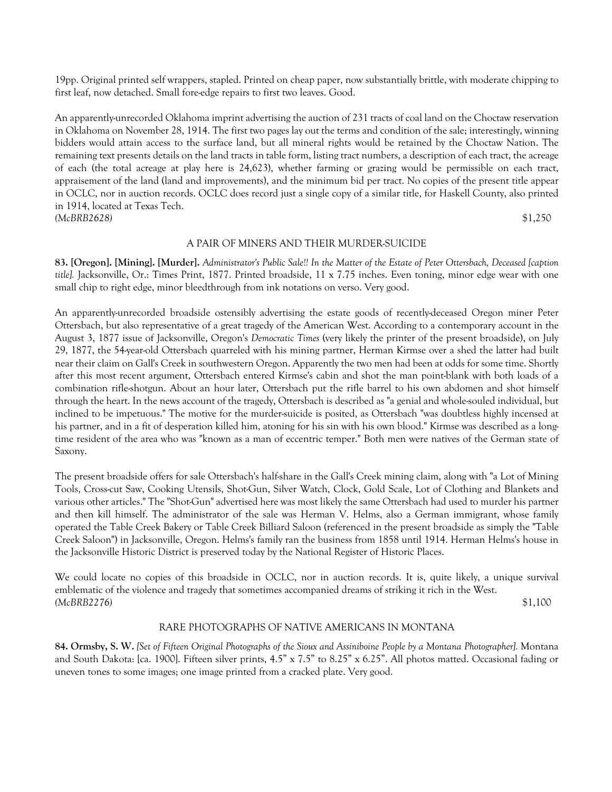19pp. Original printed self wrappers, stapled. Printed on cheap paper, now substantially brittle, with moderate chipping to first leaf, now detached. Small fore-edge repairs to first two leaves. Good.

An apparently-unrecorded Oklahoma imprint advertising the auction of 231 tracts of coal land on the Choctaw reservation in Oklahoma on November 28, 1914. The first two pages lay out the terms and condition of the sale; interestingly, winning bidders would attain access to the surface land, but all mineral rights would be retained by the Choctaw Nation. The remaining text presents details on the land tracts in table form, listing tract numbers, a description of each tract, the acreage of each (the total acreage at play here is 24,623), whether farming or grazing would be permissible on each tract, appraisement of the land (land and improvements), and the minimum bid per tract. No copies of the present title appear in OCLC, nor in auction records. OCLC does record just a single copy of a similar title, for Haskell County, also printed in 1914, located at Texas Tech. *(McBRB2628)* \$1,250

#### A PAIR OF MINERS AND THEIR MURDER-SUICIDE

**83. [Oregon]. [Mining]. [Murder].** *Administrator's Public Sale!! In the Matter of the Estate of Peter Ottersbach, Deceased [caption title].* Jacksonville, Or.: Times Print, 1877. Printed broadside, 11 x 7.75 inches. Even toning, minor edge wear with one small chip to right edge, minor bleedthrough from ink notations on verso. Very good.

An apparently-unrecorded broadside ostensibly advertising the estate goods of recently-deceased Oregon miner Peter Ottersbach, but also representative of a great tragedy of the American West. According to a contemporary account in the August 3, 1877 issue of Jacksonville, Oregon's *Democratic Times* (very likely the printer of the present broadside), on July 29, 1877, the 54-year-old Ottersbach quarreled with his mining partner, Herman Kirmse over a shed the latter had built near their claim on Gall's Creek in southwestern Oregon. Apparently the two men had been at odds for some time. Shortly after this most recent argument, Ottersbach entered Kirmse's cabin and shot the man point-blank with both loads of a combination rifle-shotgun. About an hour later, Ottersbach put the rifle barrel to his own abdomen and shot himself through the heart. In the news account of the tragedy, Ottersbach is described as "a genial and whole-souled individual, but inclined to be impetuous." The motive for the murder-suicide is posited, as Ottersbach "was doubtless highly incensed at his partner, and in a fit of desperation killed him, atoning for his sin with his own blood." Kirmse was described as a longtime resident of the area who was "known as a man of eccentric temper." Both men were natives of the German state of Saxony.

The present broadside offers for sale Ottersbach's half-share in the Gall's Creek mining claim, along with "a Lot of Mining Tools, Cross-cut Saw, Cooking Utensils, Shot-Gun, Silver Watch, Clock, Gold Scale, Lot of Clothing and Blankets and various other articles." The "Shot-Gun" advertised here was most likely the same Ottersbach had used to murder his partner and then kill himself. The administrator of the sale was Herman V. Helms, also a German immigrant, whose family operated the Table Creek Bakery or Table Creek Billiard Saloon (referenced in the present broadside as simply the "Table Creek Saloon") in Jacksonville, Oregon. Helms's family ran the business from 1858 until 1914. Herman Helms's house in the Jacksonville Historic District is preserved today by the National Register of Historic Places.

We could locate no copies of this broadside in OCLC, nor in auction records. It is, quite likely, a unique survival emblematic of the violence and tragedy that sometimes accompanied dreams of striking it rich in the West. *(McBRB2276)* \$1,100

# RARE PHOTOGRAPHS OF NATIVE AMERICANS IN MONTANA

**84. Ormsby, S. W.** *[Set of Fifteen Original Photographs of the Sioux and Assiniboine People by a Montana Photographer].* Montana and South Dakota: [ca. 1900]. Fifteen silver prints, 4.5" x 7.5" to 8.25" x 6.25". All photos matted. Occasional fading or uneven tones to some images; one image printed from a cracked plate. Very good.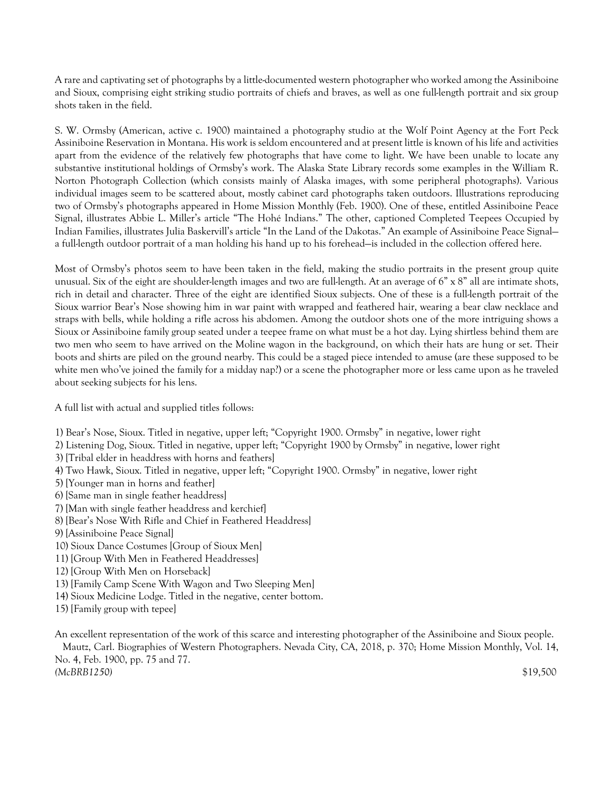A rare and captivating set of photographs by a little-documented western photographer who worked among the Assiniboine and Sioux, comprising eight striking studio portraits of chiefs and braves, as well as one full-length portrait and six group shots taken in the field.

S. W. Ormsby (American, active c. 1900) maintained a photography studio at the Wolf Point Agency at the Fort Peck Assiniboine Reservation in Montana. His work is seldom encountered and at present little is known of his life and activities apart from the evidence of the relatively few photographs that have come to light. We have been unable to locate any substantive institutional holdings of Ormsby's work. The Alaska State Library records some examples in the William R. Norton Photograph Collection (which consists mainly of Alaska images, with some peripheral photographs). Various individual images seem to be scattered about, mostly cabinet card photographs taken outdoors. Illustrations reproducing two of Ormsby's photographs appeared in Home Mission Monthly (Feb. 1900). One of these, entitled Assiniboine Peace Signal, illustrates Abbie L. Miller's article "The Hohé Indians." The other, captioned Completed Teepees Occupied by Indian Families, illustrates Julia Baskervill's article "In the Land of the Dakotas." An example of Assiniboine Peace Signal a full-length outdoor portrait of a man holding his hand up to his forehead—is included in the collection offered here.

Most of Ormsby's photos seem to have been taken in the field, making the studio portraits in the present group quite unusual. Six of the eight are shoulder-length images and two are full-length. At an average of 6" x 8" all are intimate shots, rich in detail and character. Three of the eight are identified Sioux subjects. One of these is a full-length portrait of the Sioux warrior Bear's Nose showing him in war paint with wrapped and feathered hair, wearing a bear claw necklace and straps with bells, while holding a rifle across his abdomen. Among the outdoor shots one of the more intriguing shows a Sioux or Assiniboine family group seated under a teepee frame on what must be a hot day. Lying shirtless behind them are two men who seem to have arrived on the Moline wagon in the background, on which their hats are hung or set. Their boots and shirts are piled on the ground nearby. This could be a staged piece intended to amuse (are these supposed to be white men who've joined the family for a midday nap?) or a scene the photographer more or less came upon as he traveled about seeking subjects for his lens.

A full list with actual and supplied titles follows:

- 1) Bear's Nose, Sioux. Titled in negative, upper left; "Copyright 1900. Ormsby" in negative, lower right
- 2) Listening Dog, Sioux. Titled in negative, upper left; "Copyright 1900 by Ormsby" in negative, lower right
- 3) [Tribal elder in headdress with horns and feathers]
- 4) Two Hawk, Sioux. Titled in negative, upper left; "Copyright 1900. Ormsby" in negative, lower right
- 5) [Younger man in horns and feather]
- 6) [Same man in single feather headdress]
- 7) [Man with single feather headdress and kerchief]
- 8) [Bear's Nose With Rifle and Chief in Feathered Headdress]
- 9) [Assiniboine Peace Signal]
- 10) Sioux Dance Costumes [Group of Sioux Men]
- 11) [Group With Men in Feathered Headdresses]
- 12) [Group With Men on Horseback]
- 13) [Family Camp Scene With Wagon and Two Sleeping Men]
- 14) Sioux Medicine Lodge. Titled in the negative, center bottom.
- 15) [Family group with tepee]

An excellent representation of the work of this scarce and interesting photographer of the Assiniboine and Sioux people.

 Mautz, Carl. Biographies of Western Photographers. Nevada City, CA, 2018, p. 370; Home Mission Monthly, Vol. 14, No. 4, Feb. 1900, pp. 75 and 77.

*(McBRB1250)* \$19,500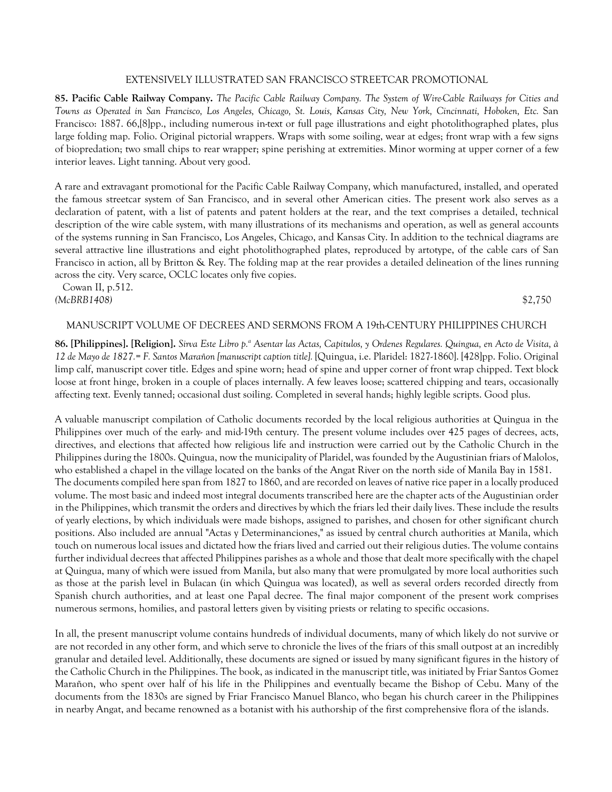### EXTENSIVELY ILLUSTRATED SAN FRANCISCO STREETCAR PROMOTIONAL

**85. Pacific Cable Railway Company.** *The Pacific Cable Railway Company. The System of Wire-Cable Railways for Cities and Towns as Operated in San Francisco, Los Angeles, Chicago, St. Louis, Kansas City, New York, Cincinnati, Hoboken, Etc.* San Francisco: 1887. 66,[8]pp., including numerous in-text or full page illustrations and eight photolithographed plates, plus large folding map. Folio. Original pictorial wrappers. Wraps with some soiling, wear at edges; front wrap with a few signs of biopredation; two small chips to rear wrapper; spine perishing at extremities. Minor worming at upper corner of a few interior leaves. Light tanning. About very good.

A rare and extravagant promotional for the Pacific Cable Railway Company, which manufactured, installed, and operated the famous streetcar system of San Francisco, and in several other American cities. The present work also serves as a declaration of patent, with a list of patents and patent holders at the rear, and the text comprises a detailed, technical description of the wire cable system, with many illustrations of its mechanisms and operation, as well as general accounts of the systems running in San Francisco, Los Angeles, Chicago, and Kansas City. In addition to the technical diagrams are several attractive line illustrations and eight photolithographed plates, reproduced by artotype, of the cable cars of San Francisco in action, all by Britton & Rey. The folding map at the rear provides a detailed delineation of the lines running across the city. Very scarce, OCLC locates only five copies.

 Cowan II, p.512. *(McBRB1408)* \$2,750

### MANUSCRIPT VOLUME OF DECREES AND SERMONS FROM A 19th-CENTURY PHILIPPINES CHURCH

86. [Philippines]. [Religion]. *Sirva Este Libro p.ª Asentar las Actas, Capitulos, y Ordenes Regulares. Quingua, en Acto de Visita, à 12 de Mayo de 1827.= F. Santos Marañon [manuscript caption title].* [Quingua, i.e. Plaridel: 1827-1860]. [428]pp. Folio. Original limp calf, manuscript cover title. Edges and spine worn; head of spine and upper corner of front wrap chipped. Text block loose at front hinge, broken in a couple of places internally. A few leaves loose; scattered chipping and tears, occasionally affecting text. Evenly tanned; occasional dust soiling. Completed in several hands; highly legible scripts. Good plus.

A valuable manuscript compilation of Catholic documents recorded by the local religious authorities at Quingua in the Philippines over much of the early- and mid-19th century. The present volume includes over 425 pages of decrees, acts, directives, and elections that affected how religious life and instruction were carried out by the Catholic Church in the Philippines during the 1800s. Quingua, now the municipality of Plaridel, was founded by the Augustinian friars of Malolos, who established a chapel in the village located on the banks of the Angat River on the north side of Manila Bay in 1581. The documents compiled here span from 1827 to 1860, and are recorded on leaves of native rice paper in a locally produced volume. The most basic and indeed most integral documents transcribed here are the chapter acts of the Augustinian order in the Philippines, which transmit the orders and directives by which the friars led their daily lives. These include the results of yearly elections, by which individuals were made bishops, assigned to parishes, and chosen for other significant church positions. Also included are annual "Actas y Determinanciones," as issued by central church authorities at Manila, which touch on numerous local issues and dictated how the friars lived and carried out their religious duties. The volume contains further individual decrees that affected Philippines parishes as a whole and those that dealt more specifically with the chapel at Quingua, many of which were issued from Manila, but also many that were promulgated by more local authorities such as those at the parish level in Bulacan (in which Quingua was located), as well as several orders recorded directly from Spanish church authorities, and at least one Papal decree. The final major component of the present work comprises numerous sermons, homilies, and pastoral letters given by visiting priests or relating to specific occasions.

In all, the present manuscript volume contains hundreds of individual documents, many of which likely do not survive or are not recorded in any other form, and which serve to chronicle the lives of the friars of this small outpost at an incredibly granular and detailed level. Additionally, these documents are signed or issued by many significant figures in the history of the Catholic Church in the Philippines. The book, as indicated in the manuscript title, was initiated by Friar Santos Gomez Marañon, who spent over half of his life in the Philippines and eventually became the Bishop of Cebu. Many of the documents from the 1830s are signed by Friar Francisco Manuel Blanco, who began his church career in the Philippines in nearby Angat, and became renowned as a botanist with his authorship of the first comprehensive flora of the islands.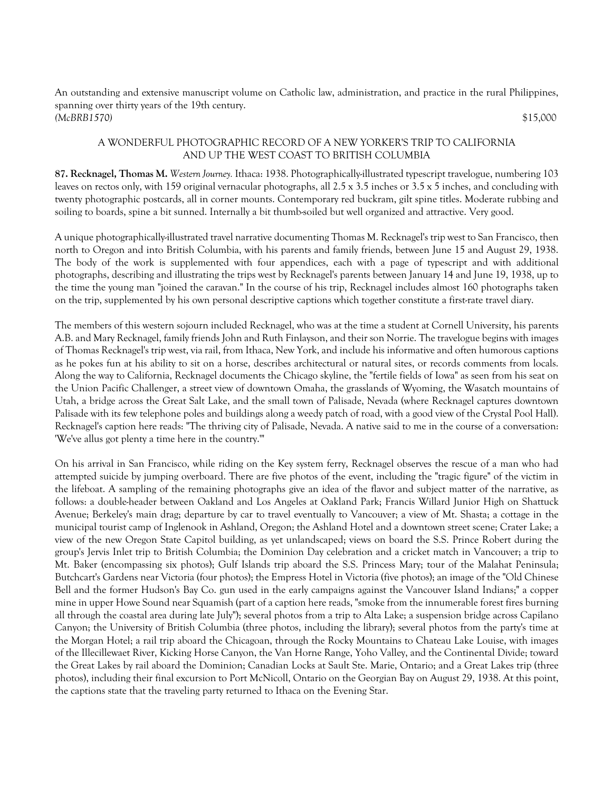An outstanding and extensive manuscript volume on Catholic law, administration, and practice in the rural Philippines, spanning over thirty years of the 19th century. *(McBRB1570)* \$15,000

# A WONDERFUL PHOTOGRAPHIC RECORD OF A NEW YORKER'S TRIP TO CALIFORNIA AND UP THE WEST COAST TO BRITISH COLUMBIA

**87. Recknagel, Thomas M.** *Western Journey.* Ithaca: 1938. Photographically-illustrated typescript travelogue, numbering 103 leaves on rectos only, with 159 original vernacular photographs, all  $2.5 \times 3.5$  inches or  $3.5 \times 5$  inches, and concluding with twenty photographic postcards, all in corner mounts. Contemporary red buckram, gilt spine titles. Moderate rubbing and soiling to boards, spine a bit sunned. Internally a bit thumb-soiled but well organized and attractive. Very good.

A unique photographically-illustrated travel narrative documenting Thomas M. Recknagel's trip west to San Francisco, then north to Oregon and into British Columbia, with his parents and family friends, between June 15 and August 29, 1938. The body of the work is supplemented with four appendices, each with a page of typescript and with additional photographs, describing and illustrating the trips west by Recknagel's parents between January 14 and June 19, 1938, up to the time the young man "joined the caravan." In the course of his trip, Recknagel includes almost 160 photographs taken on the trip, supplemented by his own personal descriptive captions which together constitute a first-rate travel diary.

The members of this western sojourn included Recknagel, who was at the time a student at Cornell University, his parents A.B. and Mary Recknagel, family friends John and Ruth Finlayson, and their son Norrie. The travelogue begins with images of Thomas Recknagel's trip west, via rail, from Ithaca, New York, and include his informative and often humorous captions as he pokes fun at his ability to sit on a horse, describes architectural or natural sites, or records comments from locals. Along the way to California, Recknagel documents the Chicago skyline, the "fertile fields of Iowa" as seen from his seat on the Union Pacific Challenger, a street view of downtown Omaha, the grasslands of Wyoming, the Wasatch mountains of Utah, a bridge across the Great Salt Lake, and the small town of Palisade, Nevada (where Recknagel captures downtown Palisade with its few telephone poles and buildings along a weedy patch of road, with a good view of the Crystal Pool Hall). Recknagel's caption here reads: "The thriving city of Palisade, Nevada. A native said to me in the course of a conversation: 'We've allus got plenty a time here in the country.'"

On his arrival in San Francisco, while riding on the Key system ferry, Recknagel observes the rescue of a man who had attempted suicide by jumping overboard. There are five photos of the event, including the "tragic figure" of the victim in the lifeboat. A sampling of the remaining photographs give an idea of the flavor and subject matter of the narrative, as follows: a double-header between Oakland and Los Angeles at Oakland Park; Francis Willard Junior High on Shattuck Avenue; Berkeley's main drag; departure by car to travel eventually to Vancouver; a view of Mt. Shasta; a cottage in the municipal tourist camp of Inglenook in Ashland, Oregon; the Ashland Hotel and a downtown street scene; Crater Lake; a view of the new Oregon State Capitol building, as yet unlandscaped; views on board the S.S. Prince Robert during the group's Jervis Inlet trip to British Columbia; the Dominion Day celebration and a cricket match in Vancouver; a trip to Mt. Baker (encompassing six photos); Gulf Islands trip aboard the S.S. Princess Mary; tour of the Malahat Peninsula; Butchcart's Gardens near Victoria (four photos); the Empress Hotel in Victoria (five photos); an image of the "Old Chinese Bell and the former Hudson's Bay Co. gun used in the early campaigns against the Vancouver Island Indians;" a copper mine in upper Howe Sound near Squamish (part of a caption here reads, "smoke from the innumerable forest fires burning all through the coastal area during late July"); several photos from a trip to Alta Lake; a suspension bridge across Capilano Canyon; the University of British Columbia (three photos, including the library); several photos from the party's time at the Morgan Hotel; a rail trip aboard the Chicagoan, through the Rocky Mountains to Chateau Lake Louise, with images of the Illecillewaet River, Kicking Horse Canyon, the Van Horne Range, Yoho Valley, and the Continental Divide; toward the Great Lakes by rail aboard the Dominion; Canadian Locks at Sault Ste. Marie, Ontario; and a Great Lakes trip (three photos), including their final excursion to Port McNicoll, Ontario on the Georgian Bay on August 29, 1938. At this point, the captions state that the traveling party returned to Ithaca on the Evening Star.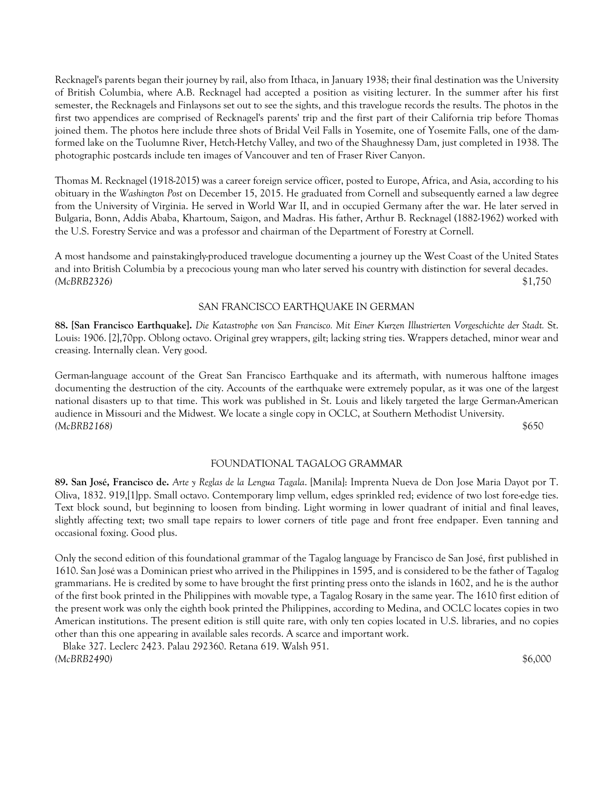Recknagel's parents began their journey by rail, also from Ithaca, in January 1938; their final destination was the University of British Columbia, where A.B. Recknagel had accepted a position as visiting lecturer. In the summer after his first semester, the Recknagels and Finlaysons set out to see the sights, and this travelogue records the results. The photos in the first two appendices are comprised of Recknagel's parents' trip and the first part of their California trip before Thomas joined them. The photos here include three shots of Bridal Veil Falls in Yosemite, one of Yosemite Falls, one of the damformed lake on the Tuolumne River, Hetch-Hetchy Valley, and two of the Shaughnessy Dam, just completed in 1938. The photographic postcards include ten images of Vancouver and ten of Fraser River Canyon.

Thomas M. Recknagel (1918-2015) was a career foreign service officer, posted to Europe, Africa, and Asia, according to his obituary in the *Washington Post* on December 15, 2015. He graduated from Cornell and subsequently earned a law degree from the University of Virginia. He served in World War II, and in occupied Germany after the war. He later served in Bulgaria, Bonn, Addis Ababa, Khartoum, Saigon, and Madras. His father, Arthur B. Recknagel (1882-1962) worked with the U.S. Forestry Service and was a professor and chairman of the Department of Forestry at Cornell.

A most handsome and painstakingly-produced travelogue documenting a journey up the West Coast of the United States and into British Columbia by a precocious young man who later served his country with distinction for several decades. *(McBRB2326)* \$1,750

### SAN FRANCISCO EARTHQUAKE IN GERMAN

**88. [San Francisco Earthquake].** *Die Katastrophe von San Francisco. Mit Einer Kurzen Illustrierten Vorgeschichte der Stadt.* St. Louis: 1906. [2],70pp. Oblong octavo. Original grey wrappers, gilt; lacking string ties. Wrappers detached, minor wear and creasing. Internally clean. Very good.

German-language account of the Great San Francisco Earthquake and its aftermath, with numerous halftone images documenting the destruction of the city. Accounts of the earthquake were extremely popular, as it was one of the largest national disasters up to that time. This work was published in St. Louis and likely targeted the large German-American audience in Missouri and the Midwest. We locate a single copy in OCLC, at Southern Methodist University. *(McBRB2168)* \$650

# FOUNDATIONAL TAGALOG GRAMMAR

**89. San José, Francisco de.** *Arte y Reglas de la Lengua Tagala*. [Manila]: Imprenta Nueva de Don Jose Maria Dayot por T. Oliva, 1832. 919,[1]pp. Small octavo. Contemporary limp vellum, edges sprinkled red; evidence of two lost fore-edge ties. Text block sound, but beginning to loosen from binding. Light worming in lower quadrant of initial and final leaves, slightly affecting text; two small tape repairs to lower corners of title page and front free endpaper. Even tanning and occasional foxing. Good plus.

Only the second edition of this foundational grammar of the Tagalog language by Francisco de San José, first published in 1610. San José was a Dominican priest who arrived in the Philippines in 1595, and is considered to be the father of Tagalog grammarians. He is credited by some to have brought the first printing press onto the islands in 1602, and he is the author of the first book printed in the Philippines with movable type, a Tagalog Rosary in the same year. The 1610 first edition of the present work was only the eighth book printed the Philippines, according to Medina, and OCLC locates copies in two American institutions. The present edition is still quite rare, with only ten copies located in U.S. libraries, and no copies other than this one appearing in available sales records. A scarce and important work.

 Blake 327. Leclerc 2423. Palau 292360. Retana 619. Walsh 951. *(McBRB2490)* \$6,000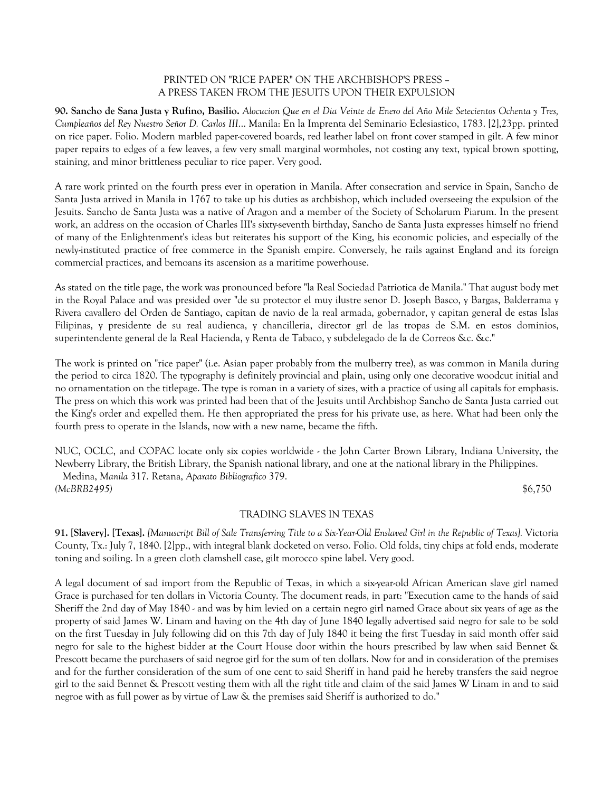# PRINTED ON "RICE PAPER" ON THE ARCHBISHOP'S PRESS – A PRESS TAKEN FROM THE JESUITS UPON THEIR EXPULSION

**90. Sancho de Sana Justa y Rufino, Basilio.** *Alocucion Que en el Dia Veinte de Enero del Año Mile Setecientos Ochenta y Tres, Cumpleaños del Rey Nuestro Señor D. Carlos III*... Manila: En la Imprenta del Seminario Eclesiastico, 1783. [2],23pp. printed on rice paper. Folio. Modern marbled paper-covered boards, red leather label on front cover stamped in gilt. A few minor paper repairs to edges of a few leaves, a few very small marginal wormholes, not costing any text, typical brown spotting, staining, and minor brittleness peculiar to rice paper. Very good.

A rare work printed on the fourth press ever in operation in Manila. After consecration and service in Spain, Sancho de Santa Justa arrived in Manila in 1767 to take up his duties as archbishop, which included overseeing the expulsion of the Jesuits. Sancho de Santa Justa was a native of Aragon and a member of the Society of Scholarum Piarum. In the present work, an address on the occasion of Charles III's sixty-seventh birthday, Sancho de Santa Justa expresses himself no friend of many of the Enlightenment's ideas but reiterates his support of the King, his economic policies, and especially of the newly-instituted practice of free commerce in the Spanish empire. Conversely, he rails against England and its foreign commercial practices, and bemoans its ascension as a maritime powerhouse.

As stated on the title page, the work was pronounced before "la Real Sociedad Patriotica de Manila." That august body met in the Royal Palace and was presided over "de su protector el muy ilustre senor D. Joseph Basco, y Bargas, Balderrama y Rivera cavallero del Orden de Santiago, capitan de navio de la real armada, gobernador, y capitan general de estas Islas Filipinas, y presidente de su real audienca, y chancilleria, director grl de las tropas de S.M. en estos dominios, superintendente general de la Real Hacienda, y Renta de Tabaco, y subdelegado de la de Correos &c. &c."

The work is printed on "rice paper" (i.e. Asian paper probably from the mulberry tree), as was common in Manila during the period to circa 1820. The typography is definitely provincial and plain, using only one decorative woodcut initial and no ornamentation on the titlepage. The type is roman in a variety of sizes, with a practice of using all capitals for emphasis. The press on which this work was printed had been that of the Jesuits until Archbishop Sancho de Santa Justa carried out the King's order and expelled them. He then appropriated the press for his private use, as here. What had been only the fourth press to operate in the Islands, now with a new name, became the fifth.

NUC, OCLC, and COPAC locate only six copies worldwide - the John Carter Brown Library, Indiana University, the Newberry Library, the British Library, the Spanish national library, and one at the national library in the Philippines.

 Medina, *Manila* 317. Retana, *Aparato Bibliografico* 379. *(McBRB2495)* \$6,750

# TRADING SLAVES IN TEXAS

**91. [Slavery]. [Texas].** *[Manuscript Bill of Sale Transferring Title to a Six-Year-Old Enslaved Girl in the Republic of Texas].* Victoria County, Tx.: July 7, 1840. [2]pp., with integral blank docketed on verso. Folio. Old folds, tiny chips at fold ends, moderate toning and soiling. In a green cloth clamshell case, gilt morocco spine label. Very good.

A legal document of sad import from the Republic of Texas, in which a six-year-old African American slave girl named Grace is purchased for ten dollars in Victoria County. The document reads, in part: "Execution came to the hands of said Sheriff the 2nd day of May 1840 - and was by him levied on a certain negro girl named Grace about six years of age as the property of said James W. Linam and having on the 4th day of June 1840 legally advertised said negro for sale to be sold on the first Tuesday in July following did on this 7th day of July 1840 it being the first Tuesday in said month offer said negro for sale to the highest bidder at the Court House door within the hours prescribed by law when said Bennet & Prescott became the purchasers of said negroe girl for the sum of ten dollars. Now for and in consideration of the premises and for the further consideration of the sum of one cent to said Sheriff in hand paid he hereby transfers the said negroe girl to the said Bennet & Prescott vesting them with all the right title and claim of the said James W Linam in and to said negroe with as full power as by virtue of Law & the premises said Sheriff is authorized to do."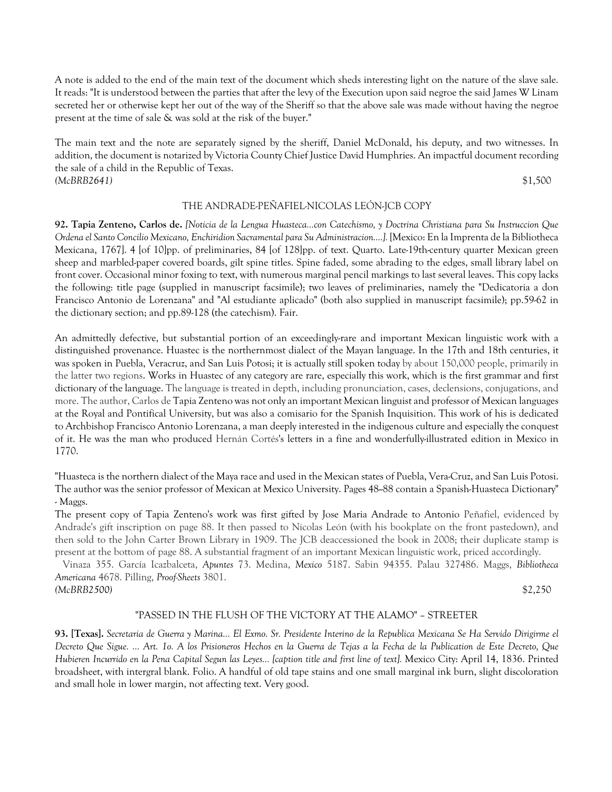A note is added to the end of the main text of the document which sheds interesting light on the nature of the slave sale. It reads: "It is understood between the parties that after the levy of the Execution upon said negroe the said James W Linam secreted her or otherwise kept her out of the way of the Sheriff so that the above sale was made without having the negroe present at the time of sale & was sold at the risk of the buyer."

The main text and the note are separately signed by the sheriff, Daniel McDonald, his deputy, and two witnesses. In addition, the document is notarized by Victoria County Chief Justice David Humphries. An impactful document recording the sale of a child in the Republic of Texas. *(McBRB2641)* \$1,500

#### THE ANDRADE-PEÑAFIEL-NICOLAS LEÓN-JCB COPY

**92. Tapia Zenteno, Carlos de.** *[Noticia de la Lengua Huasteca...con Catechismo, y Doctrina Christiana para Su Instruccion Que Ordena el Santo Concilio Mexicano, Enchiridion Sacramental para Su Administracion....].* [Mexico: En la Imprenta de la Bibliotheca Mexicana, 1767]. 4 [of 10]pp. of preliminaries, 84 [of 128]pp. of text. Quarto. Late-19th-century quarter Mexican green sheep and marbled-paper covered boards, gilt spine titles. Spine faded, some abrading to the edges, small library label on front cover. Occasional minor foxing to text, with numerous marginal pencil markings to last several leaves. This copy lacks the following: title page (supplied in manuscript facsimile); two leaves of preliminaries, namely the "Dedicatoria a don Francisco Antonio de Lorenzana" and "Al estudiante aplicado" (both also supplied in manuscript facsimile); pp.59-62 in the dictionary section; and pp.89-128 (the catechism). Fair.

An admittedly defective, but substantial portion of an exceedingly-rare and important Mexican linguistic work with a distinguished provenance. Huastec is the northernmost dialect of the Mayan language. In the 17th and 18th centuries, it was spoken in Puebla, Veracruz, and San Luis Potosi; it is actually still spoken today by about 150,000 people, primarily in the latter two regions. Works in Huastec of any category are rare, especially this work, which is the first grammar and first dictionary of the language. The language is treated in depth, including pronunciation, cases, declensions, conjugations, and more. The author, Carlos de Tapia Zenteno was not only an important Mexican linguist and professor of Mexican languages at the Royal and Pontifical University, but was also a comisario for the Spanish Inquisition. This work of his is dedicated to Archbishop Francisco Antonio Lorenzana, a man deeply interested in the indigenous culture and especially the conquest of it. He was the man who produced Hernán Cortés's letters in a fine and wonderfully-illustrated edition in Mexico in 1770.

"Huasteca is the northern dialect of the Maya race and used in the Mexican states of Puebla, Vera-Cruz, and San Luis Potosi. The author was the senior professor of Mexican at Mexico University. Pages 48--88 contain a Spanish-Huasteca Dictionary" - Maggs.

The present copy of Tapia Zenteno's work was first gifted by Jose Maria Andrade to Antonio Peñafiel, evidenced by Andrade's gift inscription on page 88. It then passed to Nicolas León (with his bookplate on the front pastedown), and then sold to the John Carter Brown Library in 1909. The JCB deaccessioned the book in 2008; their duplicate stamp is present at the bottom of page 88. A substantial fragment of an important Mexican linguistic work, priced accordingly.

 Vinaza 355. García Icazbalceta, *Apuntes* 73. Medina, *Mexico* 5187. Sabin 94355. Palau 327486. Maggs, *Bibliotheca Americana* 4678. Pilling, *Proof-Sheets* 3801. *(McBRB2500)* \$2,250

# "PASSED IN THE FLUSH OF THE VICTORY AT THE ALAMO" – STREETER

**93. [Texas].** *Secretaria de Guerra y Marina... El Exmo. Sr. Presidente Interino de la Republica Mexicana Se Ha Servido Dirigirme el Decreto Que Sigue. ... Art. 1o. A los Prisioneros Hechos en la Guerra de Tejas a la Fecha de la Publication de Este Decreto, Que*  Hubieren Incurrido en la Pena Capital Segun las Leyes... [caption title and first line of text]. Mexico City: April 14, 1836. Printed broadsheet, with intergral blank. Folio. A handful of old tape stains and one small marginal ink burn, slight discoloration and small hole in lower margin, not affecting text. Very good.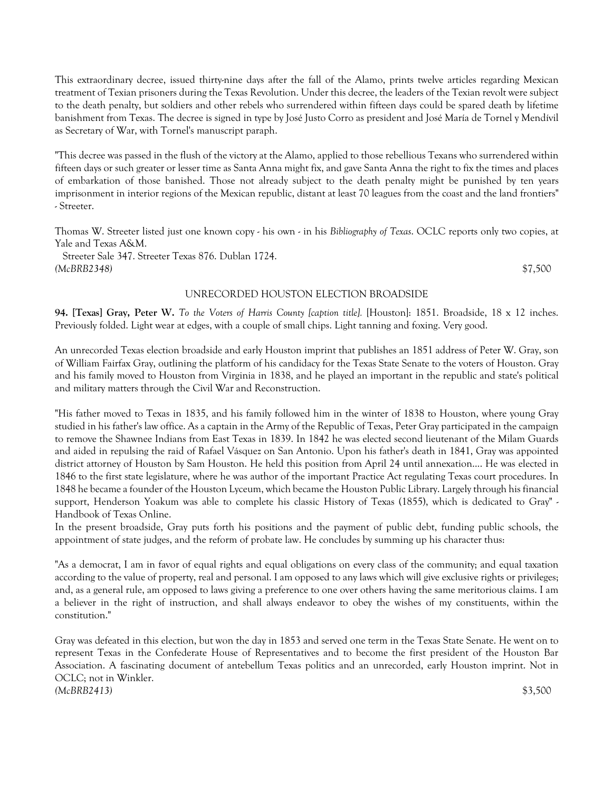This extraordinary decree, issued thirty-nine days after the fall of the Alamo, prints twelve articles regarding Mexican treatment of Texian prisoners during the Texas Revolution. Under this decree, the leaders of the Texian revolt were subject to the death penalty, but soldiers and other rebels who surrendered within fifteen days could be spared death by lifetime banishment from Texas. The decree is signed in type by José Justo Corro as president and José María de Tornel y Mendívil as Secretary of War, with Tornel's manuscript paraph.

"This decree was passed in the flush of the victory at the Alamo, applied to those rebellious Texans who surrendered within fifteen days or such greater or lesser time as Santa Anna might fix, and gave Santa Anna the right to fix the times and places of embarkation of those banished. Those not already subject to the death penalty might be punished by ten years imprisonment in interior regions of the Mexican republic, distant at least 70 leagues from the coast and the land frontiers" - Streeter.

Thomas W. Streeter listed just one known copy - his own - in his *Bibliography of Texas*. OCLC reports only two copies, at Yale and Texas A&M.

 Streeter Sale 347. Streeter Texas 876. Dublan 1724. *(McBRB2348)* \$7,500

#### UNRECORDED HOUSTON ELECTION BROADSIDE

**94. [Texas] Gray, Peter W.** *To the Voters of Harris County [caption title].* [Houston]: 1851. Broadside, 18 x 12 inches. Previously folded. Light wear at edges, with a couple of small chips. Light tanning and foxing. Very good.

An unrecorded Texas election broadside and early Houston imprint that publishes an 1851 address of Peter W. Gray, son of William Fairfax Gray, outlining the platform of his candidacy for the Texas State Senate to the voters of Houston. Gray and his family moved to Houston from Virginia in 1838, and he played an important in the republic and state's political and military matters through the Civil War and Reconstruction.

"His father moved to Texas in 1835, and his family followed him in the winter of 1838 to Houston, where young Gray studied in his father's law office. As a captain in the Army of the Republic of Texas, Peter Gray participated in the campaign to remove the Shawnee Indians from East Texas in 1839. In 1842 he was elected second lieutenant of the Milam Guards and aided in repulsing the raid of Rafael Vásquez on San Antonio. Upon his father's death in 1841, Gray was appointed district attorney of Houston by Sam Houston. He held this position from April 24 until annexation.... He was elected in 1846 to the first state legislature, where he was author of the important Practice Act regulating Texas court procedures. In 1848 he became a founder of the Houston Lyceum, which became the Houston Public Library. Largely through his financial support, Henderson Yoakum was able to complete his classic History of Texas (1855), which is dedicated to Gray" - Handbook of Texas Online.

In the present broadside, Gray puts forth his positions and the payment of public debt, funding public schools, the appointment of state judges, and the reform of probate law. He concludes by summing up his character thus:

"As a democrat, I am in favor of equal rights and equal obligations on every class of the community; and equal taxation according to the value of property, real and personal. I am opposed to any laws which will give exclusive rights or privileges; and, as a general rule, am opposed to laws giving a preference to one over others having the same meritorious claims. I am a believer in the right of instruction, and shall always endeavor to obey the wishes of my constituents, within the constitution."

Gray was defeated in this election, but won the day in 1853 and served one term in the Texas State Senate. He went on to represent Texas in the Confederate House of Representatives and to become the first president of the Houston Bar Association. A fascinating document of antebellum Texas politics and an unrecorded, early Houston imprint. Not in OCLC; not in Winkler. *(McBRB2413)* \$3,500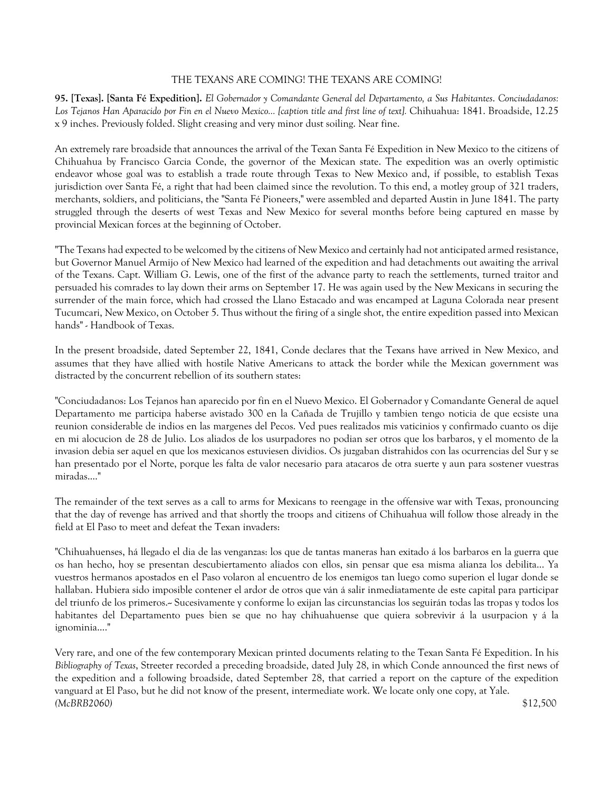# THE TEXANS ARE COMING! THE TEXANS ARE COMING!

**95. [Texas]. [Santa Fé Expedition].** *El Gobernador y Comandante General del Departamento, a Sus Habitantes*. *Conciudadanos: Los Tejanos Han Aparacido por Fin en el Nuevo Mexico... [caption title and first line of text].* Chihuahua: 1841. Broadside, 12.25 x 9 inches. Previously folded. Slight creasing and very minor dust soiling. Near fine.

An extremely rare broadside that announces the arrival of the Texan Santa Fé Expedition in New Mexico to the citizens of Chihuahua by Francisco Garcia Conde, the governor of the Mexican state. The expedition was an overly optimistic endeavor whose goal was to establish a trade route through Texas to New Mexico and, if possible, to establish Texas jurisdiction over Santa Fé, a right that had been claimed since the revolution. To this end, a motley group of 321 traders, merchants, soldiers, and politicians, the "Santa Fé Pioneers," were assembled and departed Austin in June 1841. The party struggled through the deserts of west Texas and New Mexico for several months before being captured en masse by provincial Mexican forces at the beginning of October.

"The Texans had expected to be welcomed by the citizens of New Mexico and certainly had not anticipated armed resistance, but Governor Manuel Armijo of New Mexico had learned of the expedition and had detachments out awaiting the arrival of the Texans. Capt. William G. Lewis, one of the first of the advance party to reach the settlements, turned traitor and persuaded his comrades to lay down their arms on September 17. He was again used by the New Mexicans in securing the surrender of the main force, which had crossed the Llano Estacado and was encamped at Laguna Colorada near present Tucumcari, New Mexico, on October 5. Thus without the firing of a single shot, the entire expedition passed into Mexican hands" - Handbook of Texas.

In the present broadside, dated September 22, 1841, Conde declares that the Texans have arrived in New Mexico, and assumes that they have allied with hostile Native Americans to attack the border while the Mexican government was distracted by the concurrent rebellion of its southern states:

"Conciudadanos: Los Tejanos han aparecido por fin en el Nuevo Mexico. El Gobernador y Comandante General de aquel Departamento me participa haberse avistado 300 en la Cañada de Trujillo y tambien tengo noticia de que ecsiste una reunion considerable de indios en las margenes del Pecos. Ved pues realizados mis vaticinios y confirmado cuanto os dije en mi alocucion de 28 de Julio. Los aliados de los usurpadores no podian ser otros que los barbaros, y el momento de la invasion debia ser aquel en que los mexicanos estuviesen dividios. Os juzgaban distrahidos con las ocurrencias del Sur y se han presentado por el Norte, porque les falta de valor necesario para atacaros de otra suerte y aun para sostener vuestras miradas...."

The remainder of the text serves as a call to arms for Mexicans to reengage in the offensive war with Texas, pronouncing that the day of revenge has arrived and that shortly the troops and citizens of Chihuahua will follow those already in the field at El Paso to meet and defeat the Texan invaders:

"Chihuahuenses, há llegado el dia de las venganzas: los que de tantas maneras han exitado á los barbaros en la guerra que os han hecho, hoy se presentan descubiertamento aliados con ellos, sin pensar que esa misma alianza los debilita... Ya vuestros hermanos apostados en el Paso volaron al encuentro de los enemigos tan luego como superion el lugar donde se hallaban. Hubiera sido imposible contener el ardor de otros que ván á salir inmediatamente de este capital para participar del triunfo de los primeros.-- Sucesivamente y conforme lo exijan las circunstancias los seguirán todas las tropas y todos los habitantes del Departamento pues bien se que no hay chihuahuense que quiera sobrevivir á la usurpacion y á la ignominia...."

Very rare, and one of the few contemporary Mexican printed documents relating to the Texan Santa Fé Expedition. In his *Bibliography of Texas*, Streeter recorded a preceding broadside, dated July 28, in which Conde announced the first news of the expedition and a following broadside, dated September 28, that carried a report on the capture of the expedition vanguard at El Paso, but he did not know of the present, intermediate work. We locate only one copy, at Yale. *(McBRB2060)* \$12,500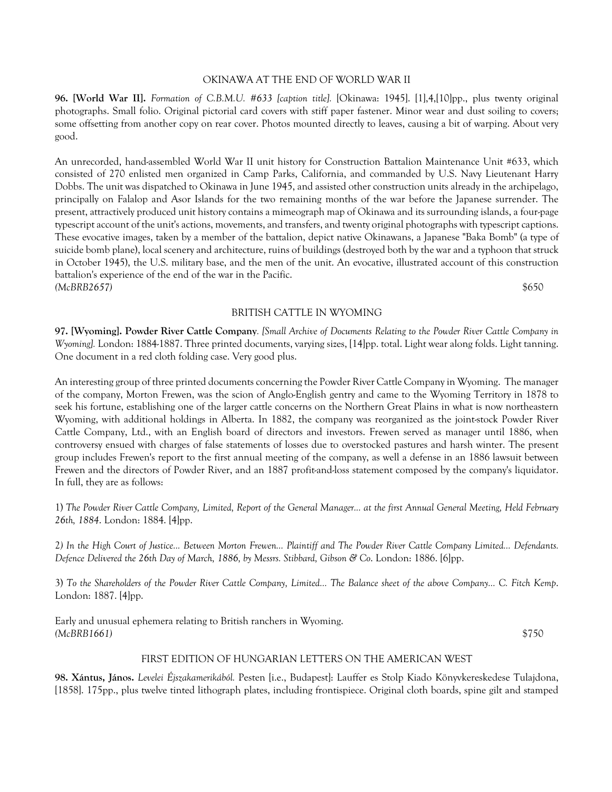### OKINAWA AT THE END OF WORLD WAR II

**96. [World War II].** *Formation of C.B.M.U. #633 [caption title].* [Okinawa: 1945]. [1],4,[10]pp., plus twenty original photographs. Small folio. Original pictorial card covers with stiff paper fastener. Minor wear and dust soiling to covers; some offsetting from another copy on rear cover. Photos mounted directly to leaves, causing a bit of warping. About very good.

An unrecorded, hand-assembled World War II unit history for Construction Battalion Maintenance Unit #633, which consisted of 270 enlisted men organized in Camp Parks, California, and commanded by U.S. Navy Lieutenant Harry Dobbs. The unit was dispatched to Okinawa in June 1945, and assisted other construction units already in the archipelago, principally on Falalop and Asor Islands for the two remaining months of the war before the Japanese surrender. The present, attractively produced unit history contains a mimeograph map of Okinawa and its surrounding islands, a four-page typescript account of the unit's actions, movements, and transfers, and twenty original photographs with typescript captions. These evocative images, taken by a member of the battalion, depict native Okinawans, a Japanese "Baka Bomb" (a type of suicide bomb plane), local scenery and architecture, ruins of buildings (destroyed both by the war and a typhoon that struck in October 1945), the U.S. military base, and the men of the unit. An evocative, illustrated account of this construction battalion's experience of the end of the war in the Pacific. *(McBRB2657)* \$650

BRITISH CATTLE IN WYOMING

**97. [Wyoming]. Powder River Cattle Company***. [Small Archive of Documents Relating to the Powder River Cattle Company in Wyoming].* London: 1884-1887. Three printed documents, varying sizes, [14]pp. total. Light wear along folds. Light tanning. One document in a red cloth folding case. Very good plus.

An interesting group of three printed documents concerning the Powder River Cattle Company in Wyoming. The manager of the company, Morton Frewen, was the scion of Anglo-English gentry and came to the Wyoming Territory in 1878 to seek his fortune, establishing one of the larger cattle concerns on the Northern Great Plains in what is now northeastern Wyoming, with additional holdings in Alberta. In 1882, the company was reorganized as the joint-stock Powder River Cattle Company, Ltd., with an English board of directors and investors. Frewen served as manager until 1886, when controversy ensued with charges of false statements of losses due to overstocked pastures and harsh winter. The present group includes Frewen's report to the first annual meeting of the company, as well a defense in an 1886 lawsuit between Frewen and the directors of Powder River, and an 1887 profit-and-loss statement composed by the company's liquidator. In full, they are as follows:

1) *The Powder River Cattle Company, Limited, Report of the General Manager... at the first Annual General Meeting, Held February 26th, 1884*. London: 1884. [4]pp.

2*) In the High Court of Justice... Between Morton Frewen... Plaintiff and The Powder River Cattle Company Limited... Defendants. Defence Delivered the 26th Day of March, 1886, by Messrs. Stibbard, Gibson & Co*. London: 1886. [6]pp.

3) *To the Shareholders of the Powder River Cattle Company, Limited... The Balance sheet of the above Company... C. Fitch Kemp*. London: 1887. [4]pp.

Early and unusual ephemera relating to British ranchers in Wyoming. *(McBRB1661)* \$750

#### FIRST EDITION OF HUNGARIAN LETTERS ON THE AMERICAN WEST

**98. Xántus, János.** *Levelei Éjszakamerikából.* Pesten [i.e., Budapest]: Lauffer es Stolp Kiado Könyvkereskedese Tulajdona, [1858]. 175pp., plus twelve tinted lithograph plates, including frontispiece. Original cloth boards, spine gilt and stamped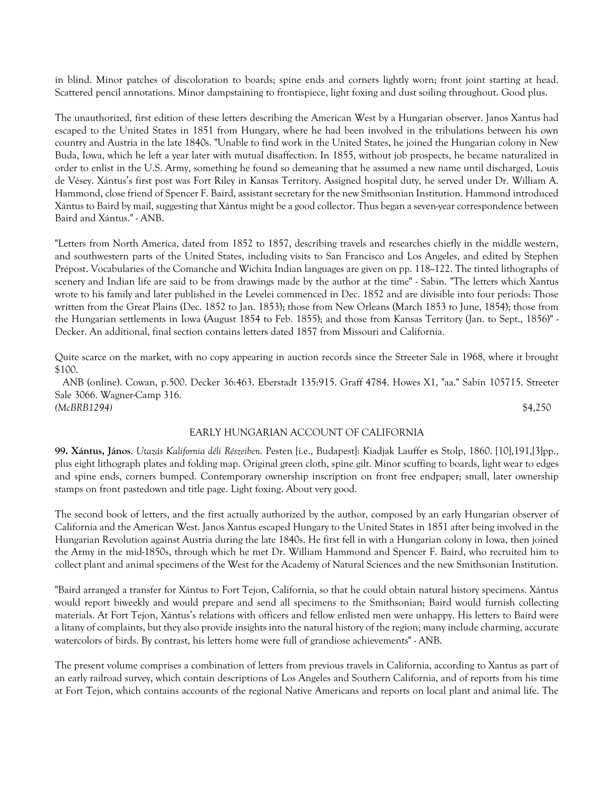in blind. Minor patches of discoloration to boards; spine ends and corners lightly worn; front joint starting at head. Scattered pencil annotations. Minor dampstaining to frontispiece, light foxing and dust soiling throughout. Good plus.

The unauthorized, first edition of these letters describing the American West by a Hungarian observer. Janos Xantus had escaped to the United States in 1851 from Hungary, where he had been involved in the tribulations between his own country and Austria in the late 1840s. "Unable to find work in the United States, he joined the Hungarian colony in New Buda, Iowa, which he left a year later with mutual disaffection. In 1855, without job prospects, he became naturalized in order to enlist in the U.S. Army, something he found so demeaning that he assumed a new name until discharged, Louis de Vésey. Xántus's first post was Fort Riley in Kansas Territory. Assigned hospital duty, he served under Dr. William A. Hammond, close friend of Spencer F. Baird, assistant secretary for the new Smithsonian Institution. Hammond introduced Xántus to Baird by mail, suggesting that Xántus might be a good collector. Thus began a seven-year correspondence between Baird and Xántus." - ANB.

"Letters from North America, dated from 1852 to 1857, describing travels and researches chiefly in the middle western, and southwestern parts of the United States, including visits to San Francisco and Los Angeles, and edited by Stephen Prépost. Vocabularies of the Comanche and Wichita Indian languages are given on pp. 118-122. The tinted lithographs of scenery and Indian life are said to be from drawings made by the author at the time" - Sabin. "The letters which Xantus wrote to his family and later published in the Levelei commenced in Dec. 1852 and are divisible into four periods: Those written from the Great Plains (Dec. 1852 to Jan. 1853); those from New Orleans (March 1853 to June, 1854); those from the Hungarian settlements in Iowa (August 1854 to Feb. 1855); and those from Kansas Territory (Jan. to Sept., 1856)" - Decker. An additional, final section contains letters dated 1857 from Missouri and California.

Quite scarce on the market, with no copy appearing in auction records since the Streeter Sale in 1968, where it brought \$100.

 ANB (online). Cowan, p.500. Decker 36:463. Eberstadt 135:915. Graff 4784. Howes X1, "aa." Sabin 105715. Streeter Sale 3066. Wagner-Camp 316. *(McBRB1294)* \$4,250

### EARLY HUNGARIAN ACCOUNT OF CALIFORNIA

**99. Xántus, János**. *Utazás Kalifornia déli Részeiben*. Pesten [i.e., Budapest]: Kiadjak Lauffer es Stolp, 1860. [10],191,[3]pp., plus eight lithograph plates and folding map. Original green cloth, spine gilt. Minor scuffing to boards, light wear to edges and spine ends, corners bumped. Contemporary ownership inscription on front free endpaper; small, later ownership stamps on front pastedown and title page. Light foxing. About very good.

The second book of letters, and the first actually authorized by the author, composed by an early Hungarian observer of California and the American West. Janos Xantus escaped Hungary to the United States in 1851 after being involved in the Hungarian Revolution against Austria during the late 1840s. He first fell in with a Hungarian colony in Iowa, then joined the Army in the mid-1850s, through which he met Dr. William Hammond and Spencer F. Baird, who recruited him to collect plant and animal specimens of the West for the Academy of Natural Sciences and the new Smithsonian Institution.

"Baird arranged a transfer for Xántus to Fort Tejon, California, so that he could obtain natural history specimens. Xántus would report biweekly and would prepare and send all specimens to the Smithsonian; Baird would furnish collecting materials. At Fort Tejon, Xántus's relations with officers and fellow enlisted men were unhappy. His letters to Baird were a litany of complaints, but they also provide insights into the natural history of the region; many include charming, accurate watercolors of birds. By contrast, his letters home were full of grandiose achievements" - ANB.

The present volume comprises a combination of letters from previous travels in California, according to Xantus as part of an early railroad survey, which contain descriptions of Los Angeles and Southern California, and of reports from his time at Fort Tejon, which contains accounts of the regional Native Americans and reports on local plant and animal life. The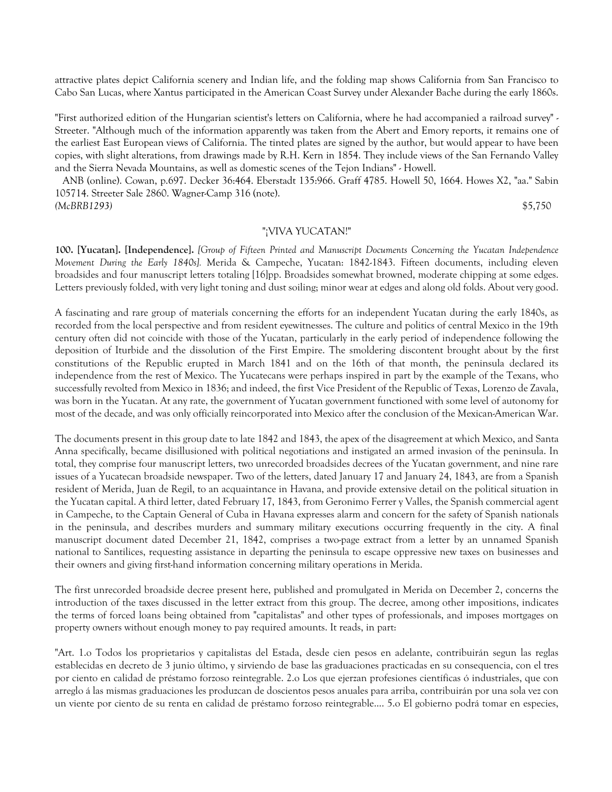attractive plates depict California scenery and Indian life, and the folding map shows California from San Francisco to Cabo San Lucas, where Xantus participated in the American Coast Survey under Alexander Bache during the early 1860s.

"First authorized edition of the Hungarian scientist's letters on California, where he had accompanied a railroad survey" - Streeter. "Although much of the information apparently was taken from the Abert and Emory reports, it remains one of the earliest East European views of California. The tinted plates are signed by the author, but would appear to have been copies, with slight alterations, from drawings made by R.H. Kern in 1854. They include views of the San Fernando Valley and the Sierra Nevada Mountains, as well as domestic scenes of the Tejon Indians" - Howell.

 ANB (online). Cowan, p.697. Decker 36:464. Eberstadt 135:966. Graff 4785. Howell 50, 1664. Howes X2, "aa." Sabin 105714. Streeter Sale 2860. Wagner-Camp 316 (note). *(McBRB1293)* \$5,750

# "¡VIVA YUCATAN!"

**100. [Yucatan]. [Independence].** *[Group of Fifteen Printed and Manuscript Documents Concerning the Yucatan Independence Movement During the Early 1840s].* Merida & Campeche, Yucatan: 1842-1843. Fifteen documents, including eleven broadsides and four manuscript letters totaling [16]pp. Broadsides somewhat browned, moderate chipping at some edges. Letters previously folded, with very light toning and dust soiling; minor wear at edges and along old folds. About very good.

A fascinating and rare group of materials concerning the efforts for an independent Yucatan during the early 1840s, as recorded from the local perspective and from resident eyewitnesses. The culture and politics of central Mexico in the 19th century often did not coincide with those of the Yucatan, particularly in the early period of independence following the deposition of Iturbide and the dissolution of the First Empire. The smoldering discontent brought about by the first constitutions of the Republic erupted in March 1841 and on the 16th of that month, the peninsula declared its independence from the rest of Mexico. The Yucatecans were perhaps inspired in part by the example of the Texans, who successfully revolted from Mexico in 1836; and indeed, the first Vice President of the Republic of Texas, Lorenzo de Zavala, was born in the Yucatan. At any rate, the government of Yucatan government functioned with some level of autonomy for most of the decade, and was only officially reincorporated into Mexico after the conclusion of the Mexican-American War.

The documents present in this group date to late 1842 and 1843, the apex of the disagreement at which Mexico, and Santa Anna specifically, became disillusioned with political negotiations and instigated an armed invasion of the peninsula. In total, they comprise four manuscript letters, two unrecorded broadsides decrees of the Yucatan government, and nine rare issues of a Yucatecan broadside newspaper. Two of the letters, dated January 17 and January 24, 1843, are from a Spanish resident of Merida, Juan de Regil, to an acquaintance in Havana, and provide extensive detail on the political situation in the Yucatan capital. A third letter, dated February 17, 1843, from Geronimo Ferrer y Valles, the Spanish commercial agent in Campeche, to the Captain General of Cuba in Havana expresses alarm and concern for the safety of Spanish nationals in the peninsula, and describes murders and summary military executions occurring frequently in the city. A final manuscript document dated December 21, 1842, comprises a two-page extract from a letter by an unnamed Spanish national to Santilices, requesting assistance in departing the peninsula to escape oppressive new taxes on businesses and their owners and giving first-hand information concerning military operations in Merida.

The first unrecorded broadside decree present here, published and promulgated in Merida on December 2, concerns the introduction of the taxes discussed in the letter extract from this group. The decree, among other impositions, indicates the terms of forced loans being obtained from "capitalistas" and other types of professionals, and imposes mortgages on property owners without enough money to pay required amounts. It reads, in part:

"Art. 1.o Todos los proprietarios y capitalistas del Estada, desde cien pesos en adelante, contribuirán segun las reglas establecidas en decreto de 3 junio último, y sirviendo de base las graduaciones practicadas en su consequencia, con el tres por ciento en calidad de préstamo forzoso reintegrable. 2.o Los que ejerzan profesiones científicas ó industriales, que con arreglo á las mismas graduaciones les produzcan de doscientos pesos anuales para arriba, contribuirán por una sola vez con un viente por ciento de su renta en calidad de préstamo forzoso reintegrable.... 5.o El gobierno podrá tomar en especies,